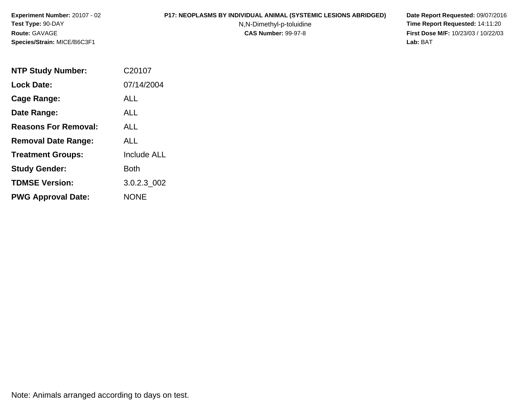#### **P17: NEOPLASMS BY INDIVIDUAL ANIMAL (SYSTEMIC LESIONS ABRIDGED) Date Report Requested:** 09/07/2016

N,N-Dimethyl-p-toluidine

 **Time Report Requested:** 14:11:20 **First Dose M/F:** 10/23/03 / 10/22/03<br>**Lab:** BAT **Lab:** BAT

| <b>NTP Study Number:</b>    | C20107             |
|-----------------------------|--------------------|
| <b>Lock Date:</b>           | 07/14/2004         |
| Cage Range:                 | ALL                |
| Date Range:                 | ALL                |
| <b>Reasons For Removal:</b> | ALL.               |
| <b>Removal Date Range:</b>  | ALL                |
| <b>Treatment Groups:</b>    | <b>Include ALL</b> |
| <b>Study Gender:</b>        | Both               |
| <b>TDMSE Version:</b>       | 3.0.2.3 002        |
| <b>PWG Approval Date:</b>   | <b>NONE</b>        |

Note: Animals arranged according to days on test.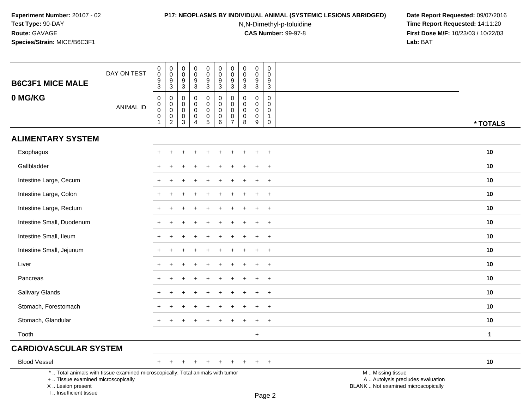# **P17: NEOPLASMS BY INDIVIDUAL ANIMAL (SYSTEMIC LESIONS ABRIDGED) Date Report Requested:** 09/07/2016

N,N-Dimethyl-p-toluidine

| <b>B6C3F1 MICE MALE</b>                                                                                                                                             | DAY ON TEST      | $\begin{smallmatrix}0\0\0\9\end{smallmatrix}$<br>3                                | $\begin{smallmatrix}0\\0\end{smallmatrix}$<br>$\boldsymbol{9}$<br>$\mathbf{3}$ | $\pmb{0}$<br>$\mathbf 0$<br>9<br>3        | $\pmb{0}$<br>$\mathbf 0$<br>$\boldsymbol{9}$<br>$\mathbf{3}$                       | $\mathbf 0$<br>$\mathbf 0$<br>9<br>3                             | $\mathbf 0$<br>$\mathbf 0$<br>$\overline{9}$<br>3                       | $\mathbf 0$<br>$\pmb{0}$<br>9<br>3                               | $\mathbf 0$<br>$\pmb{0}$<br>9<br>$\mathbf{3}$ | $\boldsymbol{0}$<br>$\mathbf 0$<br>9<br>3                     | 0<br>$\mathbf 0$<br>9<br>3                           |                                                                                               |              |
|---------------------------------------------------------------------------------------------------------------------------------------------------------------------|------------------|-----------------------------------------------------------------------------------|--------------------------------------------------------------------------------|-------------------------------------------|------------------------------------------------------------------------------------|------------------------------------------------------------------|-------------------------------------------------------------------------|------------------------------------------------------------------|-----------------------------------------------|---------------------------------------------------------------|------------------------------------------------------|-----------------------------------------------------------------------------------------------|--------------|
| 0 MG/KG                                                                                                                                                             | <b>ANIMAL ID</b> | $\pmb{0}$<br>$\overline{0}$ <sub>0</sub><br>$\mathsf{O}\xspace$<br>$\overline{1}$ | $\pmb{0}$<br>$\mathbf 0$<br>$\mathbf 0$<br>$\mathbf 0$<br>$\sqrt{2}$           | 0<br>$\mathbf 0$<br>0<br>$\mathbf 0$<br>3 | $\mathbf 0$<br>$\mathbf 0$<br>$\mathbf 0$<br>$\mathbf 0$<br>$\boldsymbol{\Lambda}$ | 0<br>$\mathbf 0$<br>$\mathbf 0$<br>$\mathbf 0$<br>$\overline{5}$ | $\mathbf 0$<br>$\mathbf 0$<br>$\mathbf 0$<br>$\mathbf 0$<br>$6^{\circ}$ | 0<br>$\mathbf 0$<br>$\mathbf 0$<br>$\mathbf 0$<br>$\overline{7}$ | $\mathbf 0$<br>$\mathbf 0$<br>0<br>0<br>8     | $\mathbf 0$<br>$\mathbf 0$<br>$\mathbf 0$<br>$\mathbf 0$<br>9 | 0<br>$\mathbf 0$<br>$\mathbf 0$<br>$\mathbf{1}$<br>0 |                                                                                               | * TOTALS     |
| <b>ALIMENTARY SYSTEM</b>                                                                                                                                            |                  |                                                                                   |                                                                                |                                           |                                                                                    |                                                                  |                                                                         |                                                                  |                                               |                                                               |                                                      |                                                                                               |              |
| Esophagus                                                                                                                                                           |                  |                                                                                   |                                                                                |                                           |                                                                                    |                                                                  |                                                                         |                                                                  |                                               |                                                               | $\overline{ }$                                       |                                                                                               | 10           |
| Gallbladder                                                                                                                                                         |                  |                                                                                   |                                                                                |                                           |                                                                                    |                                                                  |                                                                         |                                                                  |                                               |                                                               | $+$                                                  |                                                                                               | 10           |
| Intestine Large, Cecum                                                                                                                                              |                  |                                                                                   |                                                                                |                                           |                                                                                    |                                                                  |                                                                         |                                                                  |                                               | $\pm$                                                         | $+$                                                  |                                                                                               | 10           |
| Intestine Large, Colon                                                                                                                                              |                  |                                                                                   |                                                                                |                                           |                                                                                    |                                                                  |                                                                         |                                                                  |                                               |                                                               | $+$                                                  |                                                                                               | 10           |
| Intestine Large, Rectum                                                                                                                                             |                  | $\pm$                                                                             |                                                                                |                                           |                                                                                    |                                                                  |                                                                         |                                                                  |                                               |                                                               | $+$                                                  |                                                                                               | 10           |
| Intestine Small, Duodenum                                                                                                                                           |                  |                                                                                   |                                                                                |                                           |                                                                                    |                                                                  |                                                                         |                                                                  |                                               |                                                               | $\ddot{}$                                            |                                                                                               | 10           |
| Intestine Small, Ileum                                                                                                                                              |                  |                                                                                   |                                                                                |                                           |                                                                                    |                                                                  |                                                                         |                                                                  |                                               |                                                               | $\overline{1}$                                       |                                                                                               | 10           |
| Intestine Small, Jejunum                                                                                                                                            |                  |                                                                                   |                                                                                |                                           |                                                                                    |                                                                  |                                                                         |                                                                  |                                               |                                                               | $\ddot{}$                                            |                                                                                               | 10           |
| Liver                                                                                                                                                               |                  |                                                                                   |                                                                                |                                           |                                                                                    |                                                                  |                                                                         |                                                                  |                                               |                                                               | $^{+}$                                               |                                                                                               | 10           |
| Pancreas                                                                                                                                                            |                  |                                                                                   |                                                                                |                                           |                                                                                    |                                                                  |                                                                         |                                                                  |                                               | $\pm$                                                         | $+$                                                  |                                                                                               | 10           |
| Salivary Glands                                                                                                                                                     |                  |                                                                                   |                                                                                |                                           |                                                                                    |                                                                  |                                                                         |                                                                  |                                               |                                                               | $+$                                                  |                                                                                               | 10           |
| Stomach, Forestomach                                                                                                                                                |                  |                                                                                   |                                                                                |                                           |                                                                                    |                                                                  |                                                                         |                                                                  |                                               |                                                               | $\ddot{}$                                            |                                                                                               | 10           |
| Stomach, Glandular                                                                                                                                                  |                  |                                                                                   |                                                                                |                                           |                                                                                    |                                                                  |                                                                         |                                                                  |                                               |                                                               | $\ddot{}$                                            |                                                                                               | 10           |
| Tooth                                                                                                                                                               |                  |                                                                                   |                                                                                |                                           |                                                                                    |                                                                  |                                                                         |                                                                  |                                               | $\ddot{}$                                                     |                                                      |                                                                                               | $\mathbf{1}$ |
| <b>CARDIOVASCULAR SYSTEM</b>                                                                                                                                        |                  |                                                                                   |                                                                                |                                           |                                                                                    |                                                                  |                                                                         |                                                                  |                                               |                                                               |                                                      |                                                                                               |              |
| <b>Blood Vessel</b>                                                                                                                                                 |                  | $+$                                                                               | $\overline{+}$                                                                 |                                           |                                                                                    |                                                                  |                                                                         |                                                                  |                                               |                                                               | $+$                                                  |                                                                                               | 10           |
| *  Total animals with tissue examined microscopically; Total animals with tumor<br>+  Tissue examined microscopically<br>X  Lesion present<br>I Insufficient tissue |                  |                                                                                   |                                                                                |                                           |                                                                                    |                                                                  |                                                                         |                                                                  |                                               |                                                               | $D_{200}$                                            | M  Missing tissue<br>A  Autolysis precludes evaluation<br>BLANK  Not examined microscopically |              |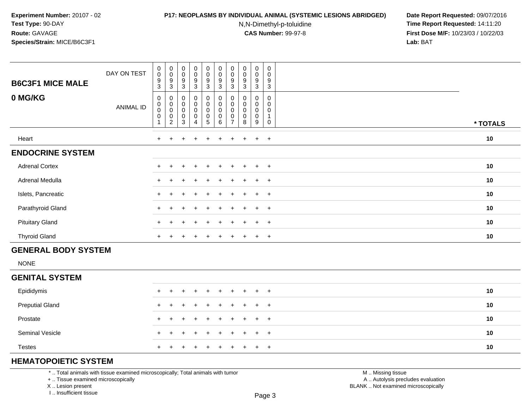#### **P17: NEOPLASMS BY INDIVIDUAL ANIMAL (SYSTEMIC LESIONS ABRIDGED) Date Report Requested:** 09/07/2016

N,N-Dimethyl-p-toluidine

 **Time Report Requested:** 14:11:20 **First Dose M/F:** 10/23/03 / 10/22/03<br>**Lab:** BAT **Lab:** BAT

| <b>B6C3F1 MICE MALE</b><br>0 MG/KG | DAY ON TEST<br>ANIMAL ID | 0<br>$\boldsymbol{0}$<br>9<br>$\ensuremath{\mathsf{3}}$<br>0<br>$\begin{smallmatrix}0\0\0\end{smallmatrix}$ | $_{\rm 0}^{\rm 0}$<br>$\boldsymbol{9}$<br>$\sqrt{3}$<br>0<br>$\pmb{0}$<br>$\mathbf 0$ | $_{\rm 0}^{\rm 0}$<br>$\boldsymbol{9}$<br>$\mathbf{3}$<br>$\mathbf 0$<br>$_{\rm 0}^{\rm 0}$ | $_{\rm 0}^{\rm 0}$<br>$\boldsymbol{9}$<br>3<br>$\boldsymbol{0}$<br>$\pmb{0}$<br>$\mathsf 0$ | $\pmb{0}$<br>$\pmb{0}$<br>$\boldsymbol{9}$<br>$\mathbf{3}$<br>$\pmb{0}$<br>$\pmb{0}$<br>$\mathbf 0$ | $\begin{smallmatrix} 0\\0 \end{smallmatrix}$<br>$\boldsymbol{9}$<br>3<br>$\pmb{0}$<br>$_{\rm 0}^{\rm 0}$ | $\pmb{0}$<br>$\pmb{0}$<br>$9\,$<br>3<br>0<br>$\pmb{0}$ | $_{\rm 0}^{\rm 0}$<br>$\boldsymbol{9}$<br>$\sqrt{3}$<br>0<br>$\pmb{0}$<br>$\mathbf 0$ | $\pmb{0}$<br>$\mathbf 0$<br>$\boldsymbol{9}$<br>3<br>0<br>0<br>0 | $\mathbf 0$<br>0<br>$\boldsymbol{9}$<br>$\ensuremath{\mathsf{3}}$<br>0<br>0<br>$\Omega$ |          |
|------------------------------------|--------------------------|-------------------------------------------------------------------------------------------------------------|---------------------------------------------------------------------------------------|---------------------------------------------------------------------------------------------|---------------------------------------------------------------------------------------------|-----------------------------------------------------------------------------------------------------|----------------------------------------------------------------------------------------------------------|--------------------------------------------------------|---------------------------------------------------------------------------------------|------------------------------------------------------------------|-----------------------------------------------------------------------------------------|----------|
|                                    |                          | 0                                                                                                           | $\begin{smallmatrix} 0\\2 \end{smallmatrix}$                                          | $\pmb{0}$<br>$\mathbf{3}$                                                                   | $\pmb{0}$<br>4                                                                              | $\pmb{0}$<br>$5\phantom{.0}$                                                                        | $\pmb{0}$<br>6                                                                                           | 0<br>$\rightarrow$                                     | $\pmb{0}$<br>8                                                                        | 0<br>9                                                           | 0                                                                                       | * TOTALS |
| Heart                              |                          | $\ddot{}$                                                                                                   |                                                                                       |                                                                                             | ÷                                                                                           |                                                                                                     |                                                                                                          |                                                        |                                                                                       | $\ddot{}$                                                        | $+$                                                                                     | $10$     |
| <b>ENDOCRINE SYSTEM</b>            |                          |                                                                                                             |                                                                                       |                                                                                             |                                                                                             |                                                                                                     |                                                                                                          |                                                        |                                                                                       |                                                                  |                                                                                         |          |
| <b>Adrenal Cortex</b>              |                          | $+$                                                                                                         | ÷.                                                                                    | $\pm$                                                                                       | $\pm$                                                                                       | $+$                                                                                                 | $+$                                                                                                      | $+$                                                    | $+$                                                                                   | $+$                                                              | $+$                                                                                     | 10       |
| Adrenal Medulla                    |                          | $\pm$                                                                                                       |                                                                                       |                                                                                             | $\pm$                                                                                       | $+$                                                                                                 | $+$                                                                                                      | $+$                                                    | $\pm$                                                                                 | $+$                                                              | $+$                                                                                     | 10       |
| Islets, Pancreatic                 |                          |                                                                                                             |                                                                                       |                                                                                             | $\ddot{}$                                                                                   | $+$                                                                                                 | $+$                                                                                                      | $+$                                                    | $+$                                                                                   | $\ddot{}$                                                        | $+$                                                                                     | 10       |
| Parathyroid Gland                  |                          | $+$                                                                                                         |                                                                                       |                                                                                             |                                                                                             |                                                                                                     | $\div$                                                                                                   | ÷                                                      |                                                                                       | $\pm$                                                            | $+$                                                                                     | 10       |
| <b>Pituitary Gland</b>             |                          | $+$                                                                                                         |                                                                                       |                                                                                             | $\div$                                                                                      |                                                                                                     | $+$                                                                                                      | ÷.                                                     |                                                                                       | $\pm$                                                            | $+$                                                                                     | 10       |
| <b>Thyroid Gland</b>               |                          | $+$                                                                                                         | $\pm$                                                                                 |                                                                                             | $\mathbf +$                                                                                 |                                                                                                     | ÷                                                                                                        | +                                                      |                                                                                       | $\pm$                                                            | $+$                                                                                     | 10       |

# **GENERAL BODY SYSTEM**

NONE

### **GENITAL SYSTEM**

| Epididymis             |  | + + + + + + + + + + |  |  |  |  | 10 |
|------------------------|--|---------------------|--|--|--|--|----|
| <b>Preputial Gland</b> |  | + + + + + + + + + + |  |  |  |  | 10 |
| Prostate               |  | + + + + + + + + + + |  |  |  |  | 10 |
| <b>Seminal Vesicle</b> |  | + + + + + + + + + + |  |  |  |  | 10 |
| <b>Testes</b>          |  | + + + + + + + + + + |  |  |  |  | 10 |

# **HEMATOPOIETIC SYSTEM**

\* .. Total animals with tissue examined microscopically; Total animals with tumor

+ .. Tissue examined microscopically

X .. Lesion present

I .. Insufficient tissue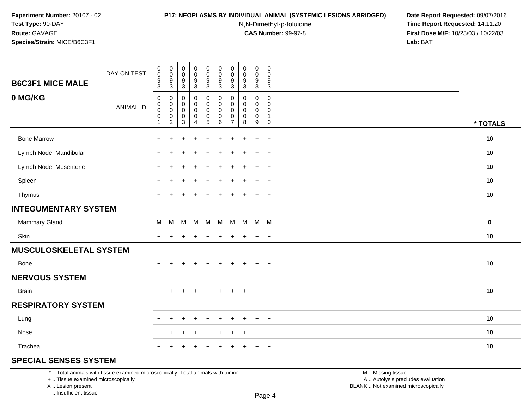#### **P17: NEOPLASMS BY INDIVIDUAL ANIMAL (SYSTEMIC LESIONS ABRIDGED) Date Report Requested:** 09/07/2016

N,N-Dimethyl-p-toluidine

 **Time Report Requested:** 14:11:20 **First Dose M/F:** 10/23/03 / 10/22/03<br>**Lab:** BAT **Lab:** BAT

| <b>B6C3F1 MICE MALE</b>     | DAY ON TEST      | $\pmb{0}$<br>$\pmb{0}$<br>$\frac{9}{3}$                          | $\pmb{0}$<br>$\mathbf 0$<br>$\frac{9}{3}$                                                    | $\pmb{0}$<br>$\mathsf{O}\xspace$<br>$\boldsymbol{9}$<br>$\mathbf{3}$ | $\mathsf{O}\xspace$<br>$\pmb{0}$<br>$\frac{9}{3}$ | $_{\rm 0}^{\rm 0}$<br>$\frac{9}{3}$                                  | $\pmb{0}$<br>$\pmb{0}$<br>$\frac{9}{3}$                 | $\pmb{0}$<br>0<br>9<br>3                            | $\pmb{0}$<br>$\pmb{0}$<br>$\frac{9}{3}$                  | $\pmb{0}$<br>$\pmb{0}$<br>$\boldsymbol{9}$<br>$\mathbf{3}$ | $\boldsymbol{0}$<br>$\mathbf 0$<br>9<br>$\mathbf{3}$ |           |
|-----------------------------|------------------|------------------------------------------------------------------|----------------------------------------------------------------------------------------------|----------------------------------------------------------------------|---------------------------------------------------|----------------------------------------------------------------------|---------------------------------------------------------|-----------------------------------------------------|----------------------------------------------------------|------------------------------------------------------------|------------------------------------------------------|-----------|
| 0 MG/KG                     | <b>ANIMAL ID</b> | $\,0\,$<br>$\pmb{0}$<br>$\mathbf 0$<br>$\pmb{0}$<br>$\mathbf{1}$ | $\boldsymbol{0}$<br>$\mathbf 0$<br>$\pmb{0}$<br>$\begin{smallmatrix} 0\\2 \end{smallmatrix}$ | 0<br>0<br>$\mathbf 0$<br>$\pmb{0}$<br>$\overline{3}$                 | 0<br>$\pmb{0}$<br>$\pmb{0}$<br>$\frac{0}{4}$      | $\pmb{0}$<br>$\ddot{\mathbf{0}}$<br>$\pmb{0}$<br>$\overline{0}$<br>5 | $\pmb{0}$<br>$\pmb{0}$<br>$\pmb{0}$<br>$\overline{0}$ 6 | 0<br>$\Omega$<br>$\mathbf 0$<br>0<br>$\overline{7}$ | 0<br>$\mathbf 0$<br>$\mathbf 0$<br>$\boldsymbol{0}$<br>8 | 0<br>0<br>$\mathbf 0$<br>$\pmb{0}$<br>9                    | $\mathbf 0$<br>$\Omega$<br>0<br>$\mathbf{1}$<br>0    | * TOTALS  |
| <b>Bone Marrow</b>          |                  | $\ddot{}$                                                        | +                                                                                            |                                                                      | ٠                                                 |                                                                      | $\ddot{}$                                               |                                                     |                                                          | $\ddot{}$                                                  | $\overline{+}$                                       | 10        |
| Lymph Node, Mandibular      |                  | $\ddot{}$                                                        |                                                                                              |                                                                      | +                                                 |                                                                      | ÷                                                       |                                                     |                                                          | $\ddot{}$                                                  | $+$                                                  | 10        |
| Lymph Node, Mesenteric      |                  | $\ddot{}$                                                        | $\ddot{}$                                                                                    |                                                                      | $\div$                                            |                                                                      | ÷                                                       |                                                     |                                                          | $\ddot{}$                                                  | $+$                                                  | 10        |
| Spleen                      |                  | $\ddot{}$                                                        |                                                                                              |                                                                      |                                                   |                                                                      |                                                         |                                                     |                                                          | $\ddot{}$                                                  | $\overline{+}$                                       | 10        |
| Thymus                      |                  | $+$                                                              |                                                                                              |                                                                      |                                                   |                                                                      | $\div$                                                  |                                                     |                                                          | $\ddot{}$                                                  | $+$                                                  | 10        |
| <b>INTEGUMENTARY SYSTEM</b> |                  |                                                                  |                                                                                              |                                                                      |                                                   |                                                                      |                                                         |                                                     |                                                          |                                                            |                                                      |           |
| Mammary Gland               |                  | M                                                                | M                                                                                            | M                                                                    | M                                                 | M                                                                    | M                                                       |                                                     | M M                                                      | M M                                                        |                                                      | $\pmb{0}$ |
| Skin                        |                  | $+$                                                              | $\pm$                                                                                        | ÷.                                                                   | $\ddot{}$                                         |                                                                      | $\div$                                                  | $\pm$                                               |                                                          | $\ddot{}$                                                  | $^{+}$                                               | 10        |
| MUSCULOSKELETAL SYSTEM      |                  |                                                                  |                                                                                              |                                                                      |                                                   |                                                                      |                                                         |                                                     |                                                          |                                                            |                                                      |           |
| Bone                        |                  | $+$                                                              | $+$                                                                                          | $\ddot{}$                                                            | $\ddot{}$                                         | $+$                                                                  | $+$                                                     | $+$                                                 | $+$                                                      | $+$                                                        | $+$                                                  | 10        |
| <b>NERVOUS SYSTEM</b>       |                  |                                                                  |                                                                                              |                                                                      |                                                   |                                                                      |                                                         |                                                     |                                                          |                                                            |                                                      |           |
| <b>Brain</b>                |                  | $+$                                                              | $\pm$                                                                                        | $\div$                                                               | $\ddot{}$                                         | $\ddot{}$                                                            | $\ddot{}$                                               | $+$                                                 | $+$                                                      | $+$                                                        | $+$                                                  | 10        |
| <b>RESPIRATORY SYSTEM</b>   |                  |                                                                  |                                                                                              |                                                                      |                                                   |                                                                      |                                                         |                                                     |                                                          |                                                            |                                                      |           |
| Lung                        |                  | $+$                                                              | $\div$                                                                                       | ÷.                                                                   | $\ddot{}$                                         |                                                                      | $\div$                                                  | ÷                                                   |                                                          | $\ddot{}$                                                  | $+$                                                  | 10        |
| Nose                        |                  | ÷                                                                |                                                                                              |                                                                      |                                                   |                                                                      |                                                         |                                                     |                                                          | $\ddot{}$                                                  | $\overline{+}$                                       | 10        |
| Trachea                     |                  | $\ddot{}$                                                        |                                                                                              |                                                                      |                                                   |                                                                      |                                                         |                                                     |                                                          | $\ddot{}$                                                  | $\overline{+}$                                       | 10        |
| COFOIAL CEMOFO CVOTEM       |                  |                                                                  |                                                                                              |                                                                      |                                                   |                                                                      |                                                         |                                                     |                                                          |                                                            |                                                      |           |

## **SPECIAL SENSES SYSTEM**

\* .. Total animals with tissue examined microscopically; Total animals with tumor

+ .. Tissue examined microscopically

X .. Lesion present

I .. Insufficient tissue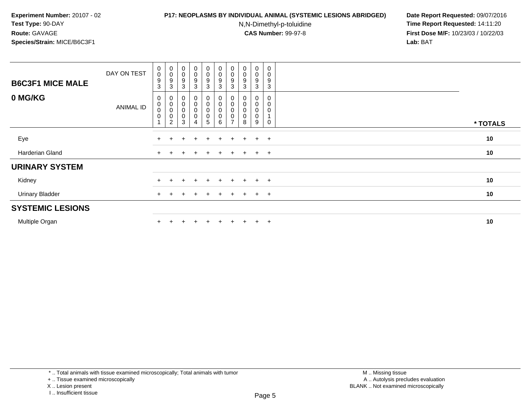### **P17: NEOPLASMS BY INDIVIDUAL ANIMAL (SYSTEMIC LESIONS ABRIDGED) Date Report Requested:** 09/07/2016

N,N-Dimethyl-p-toluidine

| <b>B6C3F1 MICE MALE</b> | DAY ON TEST | $\begin{smallmatrix} 0\\0 \end{smallmatrix}$<br>$\boldsymbol{9}$<br>3 | $_{\rm 0}^{\rm 0}$<br>9<br>3                                                       | $\begin{smallmatrix}0\\0\end{smallmatrix}$<br>9<br>3                             | $_0^0$<br>9<br>3                                    | $_{\rm 0}^{\rm 0}$<br>$\boldsymbol{9}$<br>3               | $\begin{smallmatrix} 0\\0 \end{smallmatrix}$<br>$\boldsymbol{9}$<br>$\mathbf{3}$ | $\begin{smallmatrix} 0\\0 \end{smallmatrix}$<br>9<br>3 | $\begin{smallmatrix}0\\0\end{smallmatrix}$<br>9<br>3 | $\begin{smallmatrix}0\0\0\end{smallmatrix}$<br>9<br>3 | $\pmb{0}$<br>$\mathbf 0$<br>9<br>3 |          |
|-------------------------|-------------|-----------------------------------------------------------------------|------------------------------------------------------------------------------------|----------------------------------------------------------------------------------|-----------------------------------------------------|-----------------------------------------------------------|----------------------------------------------------------------------------------|--------------------------------------------------------|------------------------------------------------------|-------------------------------------------------------|------------------------------------|----------|
| 0 MG/KG                 | ANIMAL ID   | 0<br>$\mathbf 0$<br>$\mathbf 0$<br>$\pmb{0}$                          | $\begin{matrix} 0 \\ 0 \\ 0 \end{matrix}$<br>$\mathsf{O}\xspace$<br>$\overline{2}$ | $\boldsymbol{0}$<br>$\begin{smallmatrix}0\\0\end{smallmatrix}$<br>$\pmb{0}$<br>3 | $\begin{matrix} 0 \\ 0 \\ 0 \end{matrix}$<br>0<br>4 | $\begin{matrix} 0 \ 0 \ 0 \end{matrix}$<br>$\pmb{0}$<br>5 | $\begin{smallmatrix}0\\0\\0\end{smallmatrix}$<br>$\pmb{0}$<br>6                  | 0<br>$_{\rm 0}^{\rm 0}$<br>0<br>$\overline{ }$         | $\pmb{0}$<br>$\mathbf 0$<br>8                        | 0<br>0<br>0<br>0<br>9                                 | 0<br>0<br>0<br>$\Omega$            | * TOTALS |
| Eye                     |             |                                                                       |                                                                                    | ÷                                                                                | $\ddot{}$                                           | $+$                                                       | $\pm$                                                                            | $\pm$                                                  | $+$                                                  | $+$                                                   | $+$                                | 10       |
| Harderian Gland         |             | $^+$                                                                  | $\pm$                                                                              |                                                                                  | $\ddot{}$                                           | $\pm$                                                     | $+$                                                                              | $+$                                                    | $+$                                                  | $+$ $+$                                               |                                    | 10       |
| <b>URINARY SYSTEM</b>   |             |                                                                       |                                                                                    |                                                                                  |                                                     |                                                           |                                                                                  |                                                        |                                                      |                                                       |                                    |          |
| Kidney                  |             |                                                                       |                                                                                    |                                                                                  |                                                     | $+$                                                       |                                                                                  | $\ddot{}$                                              | $+$                                                  | $+$                                                   | $+$                                | 10       |
| <b>Urinary Bladder</b>  |             | $+$                                                                   |                                                                                    | ÷                                                                                | $\pm$                                               | $+$                                                       | $+$                                                                              | $+$                                                    | $+$                                                  | $+$                                                   | $+$                                | 10       |
| <b>SYSTEMIC LESIONS</b> |             |                                                                       |                                                                                    |                                                                                  |                                                     |                                                           |                                                                                  |                                                        |                                                      |                                                       |                                    |          |
| Multiple Organ          |             |                                                                       |                                                                                    |                                                                                  |                                                     | $\pm$                                                     | $+$                                                                              | $+$                                                    | $+$                                                  | $+$                                                   | $+$                                | 10       |

I .. Insufficient tissue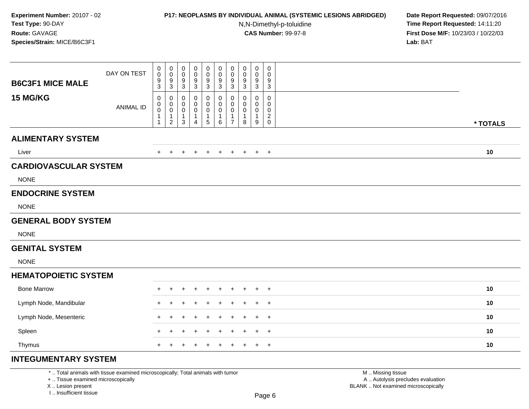## **P17: NEOPLASMS BY INDIVIDUAL ANIMAL (SYSTEMIC LESIONS ABRIDGED) Date Report Requested:** 09/07/2016

N,N-Dimethyl-p-toluidine

 **Time Report Requested:** 14:11:20 **First Dose M/F:** 10/23/03 / 10/22/03<br>**Lab:** BAT **Lab:** BAT

| <b>B6C3F1 MICE MALE</b>      | DAY ON TEST      | 0<br>$\pmb{0}$<br>$\boldsymbol{9}$<br>3             | $\mathbf 0$<br>$\mathbf 0$<br>$9\,$<br>3      | $\boldsymbol{0}$<br>$\boldsymbol{0}$<br>$\boldsymbol{9}$<br>$\mathbf{3}$ | 0<br>$\mathbf 0$<br>9<br>3       | 0<br>$\mathbf 0$<br>9<br>3         | $\boldsymbol{0}$<br>$\mathsf 0$<br>$\boldsymbol{9}$<br>3 | $\pmb{0}$<br>$\mathbf 0$<br>$\boldsymbol{9}$<br>3       | $\mathbf 0$<br>$\pmb{0}$<br>$\boldsymbol{9}$<br>3 | $\mathbf 0$<br>0<br>9<br>3                            | $\pmb{0}$<br>$\boldsymbol{0}$<br>$9\,$<br>$\mathbf{3}$    |          |  |
|------------------------------|------------------|-----------------------------------------------------|-----------------------------------------------|--------------------------------------------------------------------------|----------------------------------|------------------------------------|----------------------------------------------------------|---------------------------------------------------------|---------------------------------------------------|-------------------------------------------------------|-----------------------------------------------------------|----------|--|
| 15 MG/KG                     | <b>ANIMAL ID</b> | 0<br>0<br>$\pmb{0}$<br>$\mathbf{1}$<br>$\mathbf{1}$ | 0<br>0<br>0<br>$\mathbf{1}$<br>$\overline{2}$ | $\mathbf 0$<br>0<br>$\mathbf 0$<br>$\mathbf{1}$<br>$\mathbf{3}$          | 0<br>0<br>0<br>$\mathbf{1}$<br>4 | 0<br>0<br>0<br>1<br>$\overline{5}$ | 0<br>0<br>0<br>1<br>6                                    | 0<br>0<br>$\mathbf 0$<br>$\mathbf{1}$<br>$\overline{7}$ | 0<br>0<br>$\mathbf 0$<br>1<br>8                   | $\Omega$<br>0<br>0<br>$\mathbf 1$<br>$\boldsymbol{9}$ | $\mathbf 0$<br>$\mathbf 0$<br>$\mathbf 0$<br>$^2_{\rm 0}$ | * TOTALS |  |
| <b>ALIMENTARY SYSTEM</b>     |                  |                                                     |                                               |                                                                          |                                  |                                    |                                                          |                                                         |                                                   |                                                       |                                                           |          |  |
| Liver                        |                  | $\pm$                                               | $\pm$                                         | $\div$                                                                   | $\ddot{}$                        | $\pm$                              | $+$                                                      | $+$                                                     | $+$                                               | $+$                                                   | $+$                                                       | 10       |  |
| <b>CARDIOVASCULAR SYSTEM</b> |                  |                                                     |                                               |                                                                          |                                  |                                    |                                                          |                                                         |                                                   |                                                       |                                                           |          |  |
| <b>NONE</b>                  |                  |                                                     |                                               |                                                                          |                                  |                                    |                                                          |                                                         |                                                   |                                                       |                                                           |          |  |
| <b>ENDOCRINE SYSTEM</b>      |                  |                                                     |                                               |                                                                          |                                  |                                    |                                                          |                                                         |                                                   |                                                       |                                                           |          |  |
| <b>NONE</b>                  |                  |                                                     |                                               |                                                                          |                                  |                                    |                                                          |                                                         |                                                   |                                                       |                                                           |          |  |
| <b>GENERAL BODY SYSTEM</b>   |                  |                                                     |                                               |                                                                          |                                  |                                    |                                                          |                                                         |                                                   |                                                       |                                                           |          |  |
| <b>NONE</b>                  |                  |                                                     |                                               |                                                                          |                                  |                                    |                                                          |                                                         |                                                   |                                                       |                                                           |          |  |
| <b>GENITAL SYSTEM</b>        |                  |                                                     |                                               |                                                                          |                                  |                                    |                                                          |                                                         |                                                   |                                                       |                                                           |          |  |
| <b>NONE</b>                  |                  |                                                     |                                               |                                                                          |                                  |                                    |                                                          |                                                         |                                                   |                                                       |                                                           |          |  |
| <b>HEMATOPOIETIC SYSTEM</b>  |                  |                                                     |                                               |                                                                          |                                  |                                    |                                                          |                                                         |                                                   |                                                       |                                                           |          |  |
| <b>Bone Marrow</b>           |                  | $\div$                                              |                                               |                                                                          |                                  |                                    |                                                          |                                                         |                                                   |                                                       | $\overline{+}$                                            | 10       |  |
| Lymph Node, Mandibular       |                  |                                                     |                                               |                                                                          |                                  |                                    |                                                          |                                                         |                                                   |                                                       | $\overline{1}$                                            | 10       |  |
| Lymph Node, Mesenteric       |                  | $\ddot{}$                                           | ÷                                             |                                                                          |                                  |                                    |                                                          |                                                         | $\div$                                            | $+$                                                   | $^{+}$                                                    | 10       |  |
| Spleen                       |                  | +                                                   |                                               |                                                                          |                                  |                                    |                                                          |                                                         | ÷                                                 | $+$                                                   | $\overline{+}$                                            | 10       |  |
| Thymus                       |                  | $+$                                                 | $+$                                           | $+$                                                                      | $\ddot{}$                        | $\pm$                              | $+$                                                      | $+$                                                     | $+$                                               |                                                       | $+$ $+$                                                   | 10       |  |
| <b>INTEGUMENTARY SYSTEM</b>  |                  |                                                     |                                               |                                                                          |                                  |                                    |                                                          |                                                         |                                                   |                                                       |                                                           |          |  |

\* .. Total animals with tissue examined microscopically; Total animals with tumor

+ .. Tissue examined microscopically

X .. Lesion present

I .. Insufficient tissue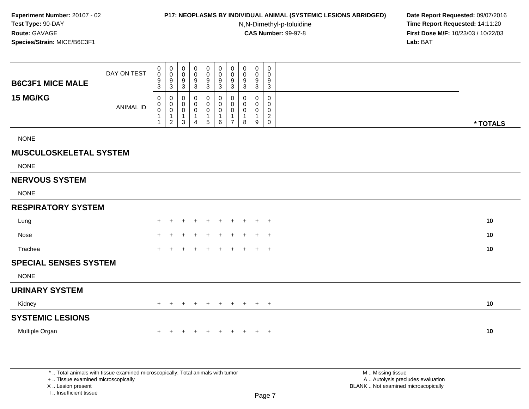### **P17: NEOPLASMS BY INDIVIDUAL ANIMAL (SYSTEMIC LESIONS ABRIDGED) Date Report Requested:** 09/07/2016

N,N-Dimethyl-p-toluidine

 **Time Report Requested:** 14:11:20 **First Dose M/F:** 10/23/03 / 10/22/03<br>**Lab:** BAT **Lab:** BAT

| <b>B6C3F1 MICE MALE</b>       | DAY ON TEST      | 0<br>$\pmb{0}$<br>$\frac{9}{3}$            | $\begin{smallmatrix}0\\0\end{smallmatrix}$<br>$\frac{9}{3}$                                   | 0<br>0<br>9<br>3                 | 0<br>$\mathbf 0$<br>9<br>$\mathbf{3}$                                       | 0<br>$\mathsf 0$<br>$9\,$<br>$\mathfrak{S}$                        | 0<br>$\pmb{0}$<br>$\boldsymbol{9}$<br>3                                    | $\mathbf 0$<br>$\pmb{0}$<br>$9\,$<br>$\overline{3}$     | 0<br>0<br>9<br>$\overline{3}$    | $\pmb{0}$<br>$\mathbf 0$<br>9<br>$\overline{3}$                | 0<br>0<br>9<br>$\sqrt{3}$                              |          |
|-------------------------------|------------------|--------------------------------------------|-----------------------------------------------------------------------------------------------|----------------------------------|-----------------------------------------------------------------------------|--------------------------------------------------------------------|----------------------------------------------------------------------------|---------------------------------------------------------|----------------------------------|----------------------------------------------------------------|--------------------------------------------------------|----------|
| 15 MG/KG                      | <b>ANIMAL ID</b> | 0<br>$\mathbf 0$<br>0<br>1<br>$\mathbf{1}$ | $\mathbf 0$<br>$\begin{smallmatrix} 0\\0 \end{smallmatrix}$<br>$\mathbf{1}$<br>$\overline{2}$ | 0<br>0<br>0<br>$\mathbf{1}$<br>3 | $\mathbf 0$<br>$\mathbf 0$<br>$\mathbf 0$<br>$\mathbf{1}$<br>$\overline{4}$ | 0<br>$\mathbf 0$<br>$\mathsf 0$<br>$\mathbf{1}$<br>$5\phantom{.0}$ | 0<br>$\mathsf{O}\xspace$<br>$\mathsf{O}\xspace$<br>$\mathbf{1}$<br>$\,6\,$ | 0<br>$\mathbf 0$<br>0<br>$\mathbf{1}$<br>$\overline{7}$ | 0<br>0<br>0<br>$\mathbf{1}$<br>8 | $\mathbf 0$<br>$\mathbf 0$<br>$\mathbf 0$<br>$\mathbf{1}$<br>9 | 0<br>$\mathbf 0$<br>0<br>$\overline{2}$<br>$\mathbf 0$ | * TOTALS |
| <b>NONE</b>                   |                  |                                            |                                                                                               |                                  |                                                                             |                                                                    |                                                                            |                                                         |                                  |                                                                |                                                        |          |
| <b>MUSCULOSKELETAL SYSTEM</b> |                  |                                            |                                                                                               |                                  |                                                                             |                                                                    |                                                                            |                                                         |                                  |                                                                |                                                        |          |
| <b>NONE</b>                   |                  |                                            |                                                                                               |                                  |                                                                             |                                                                    |                                                                            |                                                         |                                  |                                                                |                                                        |          |
| <b>NERVOUS SYSTEM</b>         |                  |                                            |                                                                                               |                                  |                                                                             |                                                                    |                                                                            |                                                         |                                  |                                                                |                                                        |          |
| <b>NONE</b>                   |                  |                                            |                                                                                               |                                  |                                                                             |                                                                    |                                                                            |                                                         |                                  |                                                                |                                                        |          |
| <b>RESPIRATORY SYSTEM</b>     |                  |                                            |                                                                                               |                                  |                                                                             |                                                                    |                                                                            |                                                         |                                  |                                                                |                                                        |          |
| Lung                          |                  | $+$                                        | $\pm$                                                                                         | $\div$                           | ÷                                                                           | $\ddot{}$                                                          | $\ddot{}$                                                                  | $\ddot{}$                                               | +                                | $\ddot{}$                                                      | $+$                                                    | 10       |
| Nose                          |                  |                                            |                                                                                               |                                  |                                                                             |                                                                    |                                                                            |                                                         |                                  |                                                                | $+$                                                    | 10       |
| Trachea                       |                  | $+$                                        | $\pm$                                                                                         | $\pm$                            | ÷                                                                           | $\ddot{}$                                                          | $\ddot{}$                                                                  | $\ddot{}$                                               | $\pm$                            | $+$                                                            | $+$                                                    | 10       |
| <b>SPECIAL SENSES SYSTEM</b>  |                  |                                            |                                                                                               |                                  |                                                                             |                                                                    |                                                                            |                                                         |                                  |                                                                |                                                        |          |
| <b>NONE</b>                   |                  |                                            |                                                                                               |                                  |                                                                             |                                                                    |                                                                            |                                                         |                                  |                                                                |                                                        |          |
| <b>URINARY SYSTEM</b>         |                  |                                            |                                                                                               |                                  |                                                                             |                                                                    |                                                                            |                                                         |                                  |                                                                |                                                        |          |
| Kidney                        |                  | $+$                                        | $\pm$                                                                                         | $\div$                           | ٠                                                                           | $\ddot{}$                                                          | $\ddot{}$                                                                  | $+$                                                     | $+$                              |                                                                | $+$ $+$                                                | 10       |
| <b>SYSTEMIC LESIONS</b>       |                  |                                            |                                                                                               |                                  |                                                                             |                                                                    |                                                                            |                                                         |                                  |                                                                |                                                        |          |
| Multiple Organ                |                  |                                            |                                                                                               |                                  |                                                                             |                                                                    |                                                                            | $\ddot{}$                                               | $\pm$                            | $\pm$                                                          | $+$                                                    | 10       |
|                               |                  |                                            |                                                                                               |                                  |                                                                             |                                                                    |                                                                            |                                                         |                                  |                                                                |                                                        |          |
|                               |                  |                                            |                                                                                               |                                  |                                                                             |                                                                    |                                                                            |                                                         |                                  |                                                                |                                                        |          |

\* .. Total animals with tissue examined microscopically; Total animals with tumor

+ .. Tissue examined microscopically

X .. Lesion present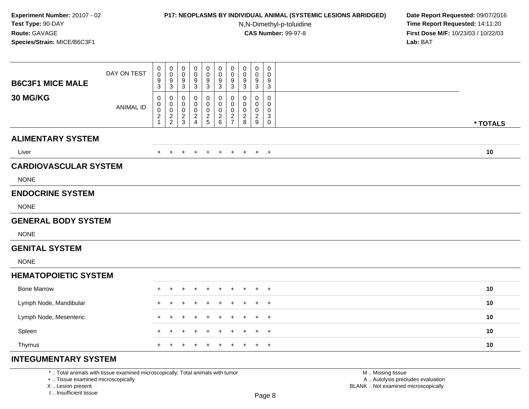### **P17: NEOPLASMS BY INDIVIDUAL ANIMAL (SYSTEMIC LESIONS ABRIDGED) Date Report Requested:** 09/07/2016

N,N-Dimethyl-p-toluidine

 **Time Report Requested:** 14:11:20 **First Dose M/F:** 10/23/03 / 10/22/03<br>**Lab:** BAT **Lab:** BAT

| <b>B6C3F1 MICE MALE</b>      | DAY ON TEST      | 0<br>$\pmb{0}$<br>$\boldsymbol{9}$<br>$\ensuremath{\mathsf{3}}$ | 0<br>$\mathsf{O}\xspace$<br>$\boldsymbol{9}$<br>$\sqrt{3}$ | $\mathbf 0$<br>$\mathbf 0$<br>9<br>$\mathbf{3}$               | 0<br>0<br>9<br>$\ensuremath{\mathsf{3}}$                  | 0<br>$\mathbf 0$<br>9<br>3   | 0<br>$\pmb{0}$<br>$\boldsymbol{9}$<br>$\sqrt{3}$ | $\mathbf 0$<br>$\mathbf 0$<br>$\boldsymbol{9}$<br>$\sqrt{3}$    | 0<br>$\pmb{0}$<br>9<br>$\sqrt{3}$        | 0<br>0<br>9<br>$\mathbf{3}$                                      | 0<br>$\mathbf 0$<br>9<br>$\mathbf{3}$                                   |          |  |
|------------------------------|------------------|-----------------------------------------------------------------|------------------------------------------------------------|---------------------------------------------------------------|-----------------------------------------------------------|------------------------------|--------------------------------------------------|-----------------------------------------------------------------|------------------------------------------|------------------------------------------------------------------|-------------------------------------------------------------------------|----------|--|
| 30 MG/KG                     | <b>ANIMAL ID</b> | 0<br>0<br>$\pmb{0}$<br>$\overline{c}$<br>1                      | 0<br>$\mathbf 0$<br>$\mathsf{O}\xspace$<br>$\frac{2}{2}$   | 0<br>$\mathbf 0$<br>$\mathbf 0$<br>$\sqrt{2}$<br>$\mathbf{3}$ | 0<br>0<br>$\mathbf 0$<br>$\overline{c}$<br>$\overline{4}$ | 0<br>0<br>0<br>$\frac{2}{5}$ | 0<br>0<br>0<br>$\frac{2}{6}$                     | 0<br>$\mathbf 0$<br>$\mathbf 0$<br>$\sqrt{2}$<br>$\overline{7}$ | 0<br>0<br>$\mathbf 0$<br>$\sqrt{2}$<br>8 | $\mathbf 0$<br>$\mathbf 0$<br>$\mathbf 0$<br>$\overline{2}$<br>9 | $\mathbf 0$<br>$\mathbf 0$<br>$\mathbf 0$<br>$\mathsf 3$<br>$\mathbf 0$ | * TOTALS |  |
| <b>ALIMENTARY SYSTEM</b>     |                  |                                                                 |                                                            |                                                               |                                                           |                              |                                                  |                                                                 |                                          |                                                                  |                                                                         |          |  |
| Liver                        |                  | $+$                                                             | $\pm$                                                      | $\div$                                                        | +                                                         | $\ddot{}$                    | $\overline{+}$                                   | $\ddot{}$                                                       | $+$                                      | $+$                                                              | $+$                                                                     | 10       |  |
| <b>CARDIOVASCULAR SYSTEM</b> |                  |                                                                 |                                                            |                                                               |                                                           |                              |                                                  |                                                                 |                                          |                                                                  |                                                                         |          |  |
| <b>NONE</b>                  |                  |                                                                 |                                                            |                                                               |                                                           |                              |                                                  |                                                                 |                                          |                                                                  |                                                                         |          |  |
| <b>ENDOCRINE SYSTEM</b>      |                  |                                                                 |                                                            |                                                               |                                                           |                              |                                                  |                                                                 |                                          |                                                                  |                                                                         |          |  |
| <b>NONE</b>                  |                  |                                                                 |                                                            |                                                               |                                                           |                              |                                                  |                                                                 |                                          |                                                                  |                                                                         |          |  |
| <b>GENERAL BODY SYSTEM</b>   |                  |                                                                 |                                                            |                                                               |                                                           |                              |                                                  |                                                                 |                                          |                                                                  |                                                                         |          |  |
| <b>NONE</b>                  |                  |                                                                 |                                                            |                                                               |                                                           |                              |                                                  |                                                                 |                                          |                                                                  |                                                                         |          |  |
| <b>GENITAL SYSTEM</b>        |                  |                                                                 |                                                            |                                                               |                                                           |                              |                                                  |                                                                 |                                          |                                                                  |                                                                         |          |  |
| <b>NONE</b>                  |                  |                                                                 |                                                            |                                                               |                                                           |                              |                                                  |                                                                 |                                          |                                                                  |                                                                         |          |  |
| <b>HEMATOPOIETIC SYSTEM</b>  |                  |                                                                 |                                                            |                                                               |                                                           |                              |                                                  |                                                                 |                                          |                                                                  |                                                                         |          |  |
| <b>Bone Marrow</b>           |                  | ٠                                                               |                                                            |                                                               |                                                           |                              |                                                  |                                                                 |                                          |                                                                  | $\ddot{}$                                                               | 10       |  |
| Lymph Node, Mandibular       |                  |                                                                 |                                                            |                                                               |                                                           |                              |                                                  |                                                                 |                                          |                                                                  | $\ddot{}$                                                               | 10       |  |
| Lymph Node, Mesenteric       |                  | $\ddot{}$                                                       |                                                            |                                                               |                                                           |                              |                                                  |                                                                 |                                          | $\div$                                                           | $+$                                                                     | 10       |  |
| Spleen                       |                  |                                                                 |                                                            |                                                               |                                                           |                              |                                                  |                                                                 |                                          | +                                                                | $\overline{+}$                                                          | 10       |  |
| Thymus                       |                  | $+$                                                             | $+$                                                        | $\ddot{}$                                                     | $+$                                                       | $\div$                       | $\overline{+}$                                   | $+$                                                             | $+$                                      | $+$                                                              | $+$                                                                     | 10       |  |
| <b>INTEGUMENTARY SYSTEM</b>  |                  |                                                                 |                                                            |                                                               |                                                           |                              |                                                  |                                                                 |                                          |                                                                  |                                                                         |          |  |

\* .. Total animals with tissue examined microscopically; Total animals with tumor

+ .. Tissue examined microscopically

X .. Lesion present

I .. Insufficient tissue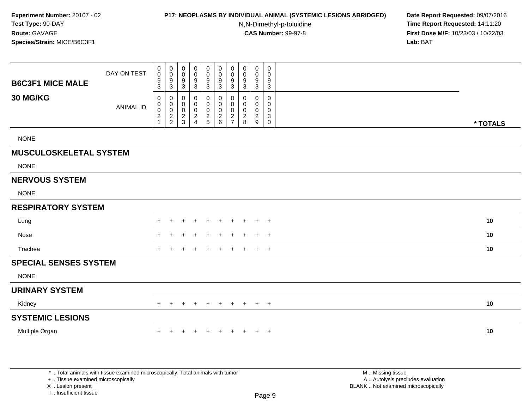### **P17: NEOPLASMS BY INDIVIDUAL ANIMAL (SYSTEMIC LESIONS ABRIDGED) Date Report Requested:** 09/07/2016

N,N-Dimethyl-p-toluidine

 **Time Report Requested:** 14:11:20 **First Dose M/F:** 10/23/03 / 10/22/03<br>**Lab:** BAT **Lab:** BAT

| <b>B6C3F1 MICE MALE</b>       | DAY ON TEST      | $\begin{smallmatrix}0\0\0\end{smallmatrix}$<br>$\frac{9}{3}$ | $\pmb{0}$<br>$\mathsf{O}$<br>$\frac{9}{3}$                 | $\mathbf 0$<br>$\mathbf 0$<br>9<br>$\mathbf{3}$                   | $\mathbf 0$<br>$\mathbf 0$<br>9<br>$\mathbf{3}$                           | $\pmb{0}$<br>0<br>9<br>$\mathbf{3}$          | $\pmb{0}$<br>0<br>$\boldsymbol{9}$<br>$\mathbf{3}$              | $\pmb{0}$<br>$\mathbf 0$<br>$\frac{9}{3}$                                 | $\mathbf 0$<br>$\mathbf 0$<br>9<br>$\mathbf{3}$                  | $\mathbf 0$<br>$\mathbf 0$<br>9<br>3                             | 0<br>$\mathbf 0$<br>9<br>3                                     |          |
|-------------------------------|------------------|--------------------------------------------------------------|------------------------------------------------------------|-------------------------------------------------------------------|---------------------------------------------------------------------------|----------------------------------------------|-----------------------------------------------------------------|---------------------------------------------------------------------------|------------------------------------------------------------------|------------------------------------------------------------------|----------------------------------------------------------------|----------|
| 30 MG/KG                      | <b>ANIMAL ID</b> | $\mathbf 0$<br>0<br>$\mathbf 0$<br>$\frac{2}{1}$             | $\mathbf 0$<br>$\mathbf 0$<br>$\mathbf 0$<br>$\frac{2}{2}$ | 0<br>$\mathbf 0$<br>$\mathbf 0$<br>$\overline{2}$<br>$\mathbf{3}$ | $\mathbf 0$<br>$\mathbf 0$<br>$\mathbf 0$<br>$\overline{\mathbf{c}}$<br>4 | 0<br>$\pmb{0}$<br>$\mathsf 0$<br>$rac{2}{5}$ | $\mathbf 0$<br>0<br>$\mathbf 0$<br>$\sqrt{2}$<br>$6\phantom{a}$ | $\mathbf 0$<br>$\mathbf 0$<br>$\mathbf 0$<br>$\sqrt{2}$<br>$\overline{7}$ | $\mathbf 0$<br>$\mathbf 0$<br>$\mathbf 0$<br>$\overline{2}$<br>8 | $\mathbf 0$<br>$\mathbf 0$<br>$\mathbf 0$<br>$\overline{2}$<br>9 | $\mathbf 0$<br>0<br>$\mathbf 0$<br>$\mathbf{3}$<br>$\mathbf 0$ | * TOTALS |
| <b>NONE</b>                   |                  |                                                              |                                                            |                                                                   |                                                                           |                                              |                                                                 |                                                                           |                                                                  |                                                                  |                                                                |          |
| <b>MUSCULOSKELETAL SYSTEM</b> |                  |                                                              |                                                            |                                                                   |                                                                           |                                              |                                                                 |                                                                           |                                                                  |                                                                  |                                                                |          |
| <b>NONE</b>                   |                  |                                                              |                                                            |                                                                   |                                                                           |                                              |                                                                 |                                                                           |                                                                  |                                                                  |                                                                |          |
| <b>NERVOUS SYSTEM</b>         |                  |                                                              |                                                            |                                                                   |                                                                           |                                              |                                                                 |                                                                           |                                                                  |                                                                  |                                                                |          |
| <b>NONE</b>                   |                  |                                                              |                                                            |                                                                   |                                                                           |                                              |                                                                 |                                                                           |                                                                  |                                                                  |                                                                |          |
| <b>RESPIRATORY SYSTEM</b>     |                  |                                                              |                                                            |                                                                   |                                                                           |                                              |                                                                 |                                                                           |                                                                  |                                                                  |                                                                |          |
| Lung                          |                  |                                                              |                                                            |                                                                   |                                                                           |                                              |                                                                 | ٠                                                                         |                                                                  | ÷                                                                | $+$                                                            | 10       |
| Nose                          |                  |                                                              |                                                            |                                                                   |                                                                           |                                              |                                                                 |                                                                           |                                                                  |                                                                  | $+$                                                            | 10       |
| Trachea                       |                  |                                                              |                                                            |                                                                   |                                                                           |                                              |                                                                 |                                                                           |                                                                  | $\ddot{}$                                                        | $+$                                                            | 10       |
| <b>SPECIAL SENSES SYSTEM</b>  |                  |                                                              |                                                            |                                                                   |                                                                           |                                              |                                                                 |                                                                           |                                                                  |                                                                  |                                                                |          |
| <b>NONE</b>                   |                  |                                                              |                                                            |                                                                   |                                                                           |                                              |                                                                 |                                                                           |                                                                  |                                                                  |                                                                |          |
| <b>URINARY SYSTEM</b>         |                  |                                                              |                                                            |                                                                   |                                                                           |                                              |                                                                 |                                                                           |                                                                  |                                                                  |                                                                |          |
| Kidney                        |                  | $+$                                                          | $+$                                                        | $+$                                                               | $\ddot{}$                                                                 | $+$                                          | $+$                                                             | $+$                                                                       | $+$                                                              |                                                                  | $+$ $+$                                                        | 10       |
| <b>SYSTEMIC LESIONS</b>       |                  |                                                              |                                                            |                                                                   |                                                                           |                                              |                                                                 |                                                                           |                                                                  |                                                                  |                                                                |          |
| Multiple Organ                |                  |                                                              |                                                            |                                                                   |                                                                           |                                              |                                                                 |                                                                           |                                                                  |                                                                  | $+$                                                            | 10       |
|                               |                  |                                                              |                                                            |                                                                   |                                                                           |                                              |                                                                 |                                                                           |                                                                  |                                                                  |                                                                |          |
|                               |                  |                                                              |                                                            |                                                                   |                                                                           |                                              |                                                                 |                                                                           |                                                                  |                                                                  |                                                                |          |

+ .. Tissue examined microscopically

X .. Lesion present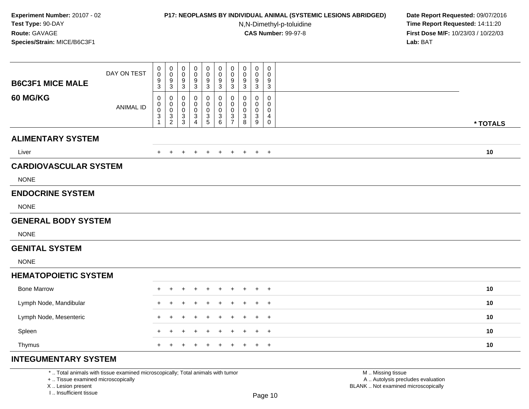## **P17: NEOPLASMS BY INDIVIDUAL ANIMAL (SYSTEMIC LESIONS ABRIDGED) Date Report Requested:** 09/07/2016

N,N-Dimethyl-p-toluidine

 **Time Report Requested:** 14:11:20 **First Dose M/F:** 10/23/03 / 10/22/03<br>**Lab:** BAT **Lab:** BAT

| <b>B6C3F1 MICE MALE</b>      | DAY ON TEST      | 0<br>$\pmb{0}$<br>$\boldsymbol{9}$<br>$\mathfrak{S}$ | 0<br>$\pmb{0}$<br>9<br>$\sqrt{3}$                      | $\mathbf 0$<br>$\mathbf 0$<br>9<br>$\mathbf{3}$  | 0<br>0<br>9<br>$\ensuremath{\mathsf{3}}$    | 0<br>$\mathbf 0$<br>9<br>3   | 0<br>$\pmb{0}$<br>$\boldsymbol{9}$<br>$\sqrt{3}$ | $\mathbf 0$<br>$\mathbf 0$<br>$9\,$<br>$\mathbf{3}$                            | $\boldsymbol{0}$<br>$\pmb{0}$<br>9<br>$\sqrt{3}$ | 0<br>0<br>9<br>$\mathbf{3}$                                     | 0<br>$\mathbf 0$<br>9<br>3                                    |          |
|------------------------------|------------------|------------------------------------------------------|--------------------------------------------------------|--------------------------------------------------|---------------------------------------------|------------------------------|--------------------------------------------------|--------------------------------------------------------------------------------|--------------------------------------------------|-----------------------------------------------------------------|---------------------------------------------------------------|----------|
| <b>60 MG/KG</b>              | <b>ANIMAL ID</b> | 0<br>0<br>$\pmb{0}$<br>$\ensuremath{\mathsf{3}}$     | 0<br>$\mathsf{O}\xspace$<br>$\pmb{0}$<br>$\frac{3}{2}$ | 0<br>$\mathbf 0$<br>$\mathbf 0$<br>$\frac{3}{3}$ | 0<br>0<br>0<br>$\sqrt{3}$<br>$\overline{4}$ | 0<br>0<br>0<br>$\frac{3}{5}$ | 0<br>$\pmb{0}$<br>$\pmb{0}$<br>$^3$ 6            | 0<br>$\mathbf 0$<br>$\mathbf 0$<br>$\ensuremath{\mathsf{3}}$<br>$\overline{7}$ | 0<br>$\mathbf 0$<br>$\pmb{0}$<br>3<br>8          | $\mathbf{0}$<br>$\mathbf 0$<br>$\mathbf 0$<br>$\mathbf{3}$<br>9 | $\mathbf 0$<br>$\mathbf 0$<br>$\mathbf 0$<br>4<br>$\mathbf 0$ | * TOTALS |
| <b>ALIMENTARY SYSTEM</b>     |                  |                                                      |                                                        |                                                  |                                             |                              |                                                  |                                                                                |                                                  |                                                                 |                                                               |          |
| Liver                        |                  | $\pm$                                                | $\pm$                                                  |                                                  | ÷                                           | $\ddot{}$                    | $\overline{+}$                                   | $+$                                                                            | $+$                                              | $+$                                                             | $+$                                                           | 10       |
| <b>CARDIOVASCULAR SYSTEM</b> |                  |                                                      |                                                        |                                                  |                                             |                              |                                                  |                                                                                |                                                  |                                                                 |                                                               |          |
| <b>NONE</b>                  |                  |                                                      |                                                        |                                                  |                                             |                              |                                                  |                                                                                |                                                  |                                                                 |                                                               |          |
| <b>ENDOCRINE SYSTEM</b>      |                  |                                                      |                                                        |                                                  |                                             |                              |                                                  |                                                                                |                                                  |                                                                 |                                                               |          |
| <b>NONE</b>                  |                  |                                                      |                                                        |                                                  |                                             |                              |                                                  |                                                                                |                                                  |                                                                 |                                                               |          |
| <b>GENERAL BODY SYSTEM</b>   |                  |                                                      |                                                        |                                                  |                                             |                              |                                                  |                                                                                |                                                  |                                                                 |                                                               |          |
| <b>NONE</b>                  |                  |                                                      |                                                        |                                                  |                                             |                              |                                                  |                                                                                |                                                  |                                                                 |                                                               |          |
| <b>GENITAL SYSTEM</b>        |                  |                                                      |                                                        |                                                  |                                             |                              |                                                  |                                                                                |                                                  |                                                                 |                                                               |          |
| <b>NONE</b>                  |                  |                                                      |                                                        |                                                  |                                             |                              |                                                  |                                                                                |                                                  |                                                                 |                                                               |          |
| <b>HEMATOPOIETIC SYSTEM</b>  |                  |                                                      |                                                        |                                                  |                                             |                              |                                                  |                                                                                |                                                  |                                                                 |                                                               |          |
| <b>Bone Marrow</b>           |                  | $\pm$                                                |                                                        |                                                  |                                             |                              |                                                  |                                                                                |                                                  |                                                                 | $\overline{+}$                                                | 10       |
| Lymph Node, Mandibular       |                  |                                                      |                                                        |                                                  |                                             |                              |                                                  |                                                                                |                                                  |                                                                 | $\overline{ }$                                                | 10       |
| Lymph Node, Mesenteric       |                  | $\ddot{}$                                            |                                                        |                                                  |                                             |                              |                                                  |                                                                                |                                                  | $\pm$                                                           | $^{+}$                                                        | 10       |
| Spleen                       |                  | $\ddot{}$                                            | $\div$                                                 |                                                  |                                             |                              |                                                  |                                                                                |                                                  | +                                                               | $\overline{+}$                                                | 10       |
| Thymus                       |                  | $+$                                                  | $\ddot{}$                                              | $\ddot{}$                                        | +                                           | $\ddot{}$                    | $\ddot{}$                                        | $+$                                                                            | $^{+}$                                           | $+$                                                             | $+$                                                           | 10       |
| <b>INTEGUMENTARY SYSTEM</b>  |                  |                                                      |                                                        |                                                  |                                             |                              |                                                  |                                                                                |                                                  |                                                                 |                                                               |          |

\* .. Total animals with tissue examined microscopically; Total animals with tumor

+ .. Tissue examined microscopically

X .. Lesion present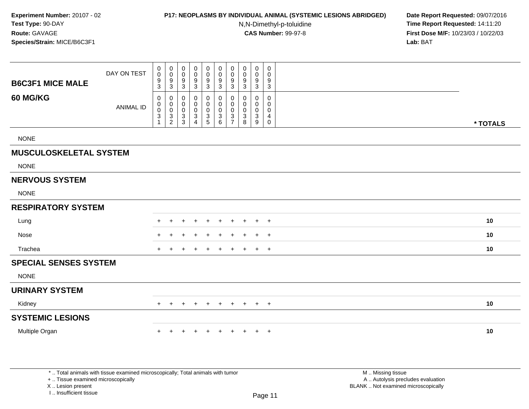#### **P17: NEOPLASMS BY INDIVIDUAL ANIMAL (SYSTEMIC LESIONS ABRIDGED) Date Report Requested:** 09/07/2016

N,N-Dimethyl-p-toluidine

 **Time Report Requested:** 14:11:20 **First Dose M/F:** 10/23/03 / 10/22/03<br>**Lab:** BAT **Lab:** BAT

| <b>B6C3F1 MICE MALE</b>       | DAY ON TEST      | $\begin{smallmatrix}0\0\0\end{smallmatrix}$<br>$\frac{9}{3}$      | $_{\rm 0}^{\rm 0}$<br>$\frac{9}{3}$                                          | 0<br>$\mathbf 0$<br>9<br>3                         | 0<br>0<br>9<br>3                   | 0<br>0<br>9<br>$\overline{3}$               | $\pmb{0}$<br>$\mathbf 0$<br>9<br>3         | $\pmb{0}$<br>$\mathbf 0$<br>$\frac{9}{3}$                          | 0<br>0<br>$\frac{9}{3}$                   | $\mathbf 0$<br>$\mathbf 0$<br>9<br>3 | 0<br>0<br>9<br>3                          |          |
|-------------------------------|------------------|-------------------------------------------------------------------|------------------------------------------------------------------------------|----------------------------------------------------|------------------------------------|---------------------------------------------|--------------------------------------------|--------------------------------------------------------------------|-------------------------------------------|--------------------------------------|-------------------------------------------|----------|
| 60 MG/KG                      | <b>ANIMAL ID</b> | $\mathbf 0$<br>0<br>$\mathbf 0$<br>$\ensuremath{\mathsf{3}}$<br>1 | 0<br>$\pmb{0}$<br>$\mathbf 0$<br>$\ensuremath{\mathsf{3}}$<br>$\overline{2}$ | 0<br>$\mathbf 0$<br>$\mathbf 0$<br>$\sqrt{3}$<br>3 | 0<br>0<br>0<br>3<br>$\overline{4}$ | 0<br>0<br>$\boldsymbol{0}$<br>$\frac{3}{5}$ | 0<br>$\mathbf 0$<br>0<br>$\mathbf{3}$<br>6 | 0<br>0<br>$\pmb{0}$<br>$\ensuremath{\mathsf{3}}$<br>$\overline{7}$ | $\mathbf 0$<br>0<br>$\mathbf 0$<br>3<br>8 | 0<br>0<br>$\mathbf 0$<br>3<br>9      | 0<br>$\mathbf 0$<br>$\mathbf 0$<br>4<br>0 | * TOTALS |
| <b>NONE</b>                   |                  |                                                                   |                                                                              |                                                    |                                    |                                             |                                            |                                                                    |                                           |                                      |                                           |          |
| <b>MUSCULOSKELETAL SYSTEM</b> |                  |                                                                   |                                                                              |                                                    |                                    |                                             |                                            |                                                                    |                                           |                                      |                                           |          |
| <b>NONE</b>                   |                  |                                                                   |                                                                              |                                                    |                                    |                                             |                                            |                                                                    |                                           |                                      |                                           |          |
| <b>NERVOUS SYSTEM</b>         |                  |                                                                   |                                                                              |                                                    |                                    |                                             |                                            |                                                                    |                                           |                                      |                                           |          |
| <b>NONE</b>                   |                  |                                                                   |                                                                              |                                                    |                                    |                                             |                                            |                                                                    |                                           |                                      |                                           |          |
| <b>RESPIRATORY SYSTEM</b>     |                  |                                                                   |                                                                              |                                                    |                                    |                                             |                                            |                                                                    |                                           |                                      |                                           |          |
| Lung                          |                  |                                                                   |                                                                              |                                                    |                                    | $\overline{ }$                              | $\pm$                                      | $\pm$                                                              | ٠                                         | ÷                                    | $+$                                       | 10       |
| Nose                          |                  |                                                                   |                                                                              |                                                    |                                    |                                             |                                            |                                                                    |                                           | ÷                                    | $+$                                       | 10       |
| Trachea                       |                  |                                                                   |                                                                              |                                                    |                                    |                                             |                                            | +                                                                  |                                           | ÷                                    | $+$                                       | 10       |
| <b>SPECIAL SENSES SYSTEM</b>  |                  |                                                                   |                                                                              |                                                    |                                    |                                             |                                            |                                                                    |                                           |                                      |                                           |          |
| <b>NONE</b>                   |                  |                                                                   |                                                                              |                                                    |                                    |                                             |                                            |                                                                    |                                           |                                      |                                           |          |
| <b>URINARY SYSTEM</b>         |                  |                                                                   |                                                                              |                                                    |                                    |                                             |                                            |                                                                    |                                           |                                      |                                           |          |
| Kidney                        |                  | $+$                                                               | $+$                                                                          | $\pm$                                              | $\ddot{}$                          | $\pm$                                       | $+$                                        | $+$                                                                | $+$                                       | $+$ $+$                              |                                           | 10       |
| <b>SYSTEMIC LESIONS</b>       |                  |                                                                   |                                                                              |                                                    |                                    |                                             |                                            |                                                                    |                                           |                                      |                                           |          |
| Multiple Organ                |                  |                                                                   |                                                                              |                                                    |                                    |                                             | $\div$                                     | ÷                                                                  |                                           | $\pm$                                | $+$                                       | 10       |
|                               |                  |                                                                   |                                                                              |                                                    |                                    |                                             |                                            |                                                                    |                                           |                                      |                                           |          |
|                               |                  |                                                                   |                                                                              |                                                    |                                    |                                             |                                            |                                                                    |                                           |                                      |                                           |          |

\* .. Total animals with tissue examined microscopically; Total animals with tumor

+ .. Tissue examined microscopically

X .. Lesion present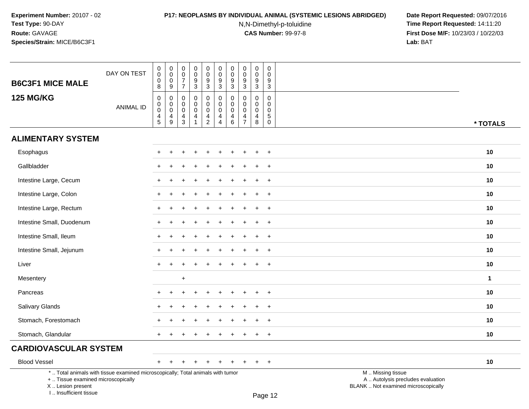# **P17: NEOPLASMS BY INDIVIDUAL ANIMAL (SYSTEMIC LESIONS ABRIDGED) Date Report Requested:** 09/07/2016

N,N-Dimethyl-p-toluidine

| <b>B6C3F1 MICE MALE</b>                                                                                                                                             | DAY ON TEST      | 0<br>$\pmb{0}$<br>$\mathsf 0$<br>8             | 0<br>$\mathbf 0$<br>$\boldsymbol{0}$<br>9                                          | 0<br>$\pmb{0}$<br>$\overline{7}$<br>$\overline{7}$ | 0<br>$\mathbf 0$<br>9<br>$\sqrt{3}$                 | 0<br>$\mathbf 0$<br>$\frac{9}{3}$                | 0<br>$\pmb{0}$<br>$\frac{9}{3}$                     | $\boldsymbol{0}$<br>$\pmb{0}$<br>$\frac{9}{3}$                               | 0<br>$\pmb{0}$<br>9<br>3                                         | 0<br>$\mathbf 0$<br>9<br>$\sqrt{3}$                 | 0<br>$\pmb{0}$<br>9<br>$\sqrt{3}$                   |                                                                                               |              |
|---------------------------------------------------------------------------------------------------------------------------------------------------------------------|------------------|------------------------------------------------|------------------------------------------------------------------------------------|----------------------------------------------------|-----------------------------------------------------|--------------------------------------------------|-----------------------------------------------------|------------------------------------------------------------------------------|------------------------------------------------------------------|-----------------------------------------------------|-----------------------------------------------------|-----------------------------------------------------------------------------------------------|--------------|
| <b>125 MG/KG</b>                                                                                                                                                    | <b>ANIMAL ID</b> | 0<br>$\pmb{0}$<br>$\mathsf 0$<br>$\frac{4}{5}$ | $\mathbf 0$<br>$\mathbf 0$<br>$\mathbf 0$<br>$\begin{array}{c} 4 \\ 9 \end{array}$ | 0<br>$\mathbf 0$<br>0<br>4<br>$\mathfrak{S}$       | $\mathbf 0$<br>$\mathbf 0$<br>$\mathbf 0$<br>4<br>1 | 0<br>$\mathbf 0$<br>$\mathbf 0$<br>$\frac{4}{2}$ | $\mathbf 0$<br>$\mathbf 0$<br>$\mathbf 0$<br>4<br>4 | $\pmb{0}$<br>$\pmb{0}$<br>$\pmb{0}$<br>$\begin{array}{c} 4 \\ 6 \end{array}$ | $\mathbf 0$<br>$\mathbf 0$<br>$\mathbf 0$<br>4<br>$\overline{7}$ | $\mathbf 0$<br>$\mathbf 0$<br>$\mathbf 0$<br>4<br>8 | 0<br>$\mathbf 0$<br>$\mathbf 0$<br>$\,$ 5 $\,$<br>0 |                                                                                               | * TOTALS     |
| <b>ALIMENTARY SYSTEM</b>                                                                                                                                            |                  |                                                |                                                                                    |                                                    |                                                     |                                                  |                                                     |                                                                              |                                                                  |                                                     |                                                     |                                                                                               |              |
| Esophagus                                                                                                                                                           |                  | ÷                                              |                                                                                    |                                                    |                                                     |                                                  |                                                     |                                                                              |                                                                  |                                                     | $+$                                                 |                                                                                               | 10           |
| Gallbladder                                                                                                                                                         |                  |                                                |                                                                                    |                                                    |                                                     |                                                  |                                                     |                                                                              |                                                                  | $\div$                                              | $+$                                                 |                                                                                               | 10           |
| Intestine Large, Cecum                                                                                                                                              |                  |                                                |                                                                                    |                                                    |                                                     |                                                  |                                                     |                                                                              |                                                                  |                                                     | $\overline{+}$                                      |                                                                                               | 10           |
| Intestine Large, Colon                                                                                                                                              |                  |                                                |                                                                                    |                                                    |                                                     |                                                  |                                                     |                                                                              |                                                                  |                                                     | $\ddot{}$                                           |                                                                                               | 10           |
| Intestine Large, Rectum                                                                                                                                             |                  |                                                |                                                                                    |                                                    |                                                     |                                                  |                                                     |                                                                              |                                                                  |                                                     | $\ddot{}$                                           |                                                                                               | 10           |
| Intestine Small, Duodenum                                                                                                                                           |                  | +                                              |                                                                                    |                                                    |                                                     |                                                  |                                                     |                                                                              |                                                                  |                                                     | $^{+}$                                              |                                                                                               | 10           |
| Intestine Small, Ileum                                                                                                                                              |                  | $+$                                            |                                                                                    |                                                    |                                                     |                                                  |                                                     |                                                                              |                                                                  | ÷                                                   | $^{+}$                                              |                                                                                               | 10           |
| Intestine Small, Jejunum                                                                                                                                            |                  |                                                |                                                                                    |                                                    |                                                     |                                                  |                                                     |                                                                              |                                                                  |                                                     | $\ddot{}$                                           |                                                                                               | 10           |
| Liver                                                                                                                                                               |                  |                                                |                                                                                    |                                                    |                                                     |                                                  |                                                     |                                                                              |                                                                  |                                                     | $\ddot{}$                                           |                                                                                               | 10           |
| Mesentery                                                                                                                                                           |                  |                                                |                                                                                    | $\ddot{}$                                          |                                                     |                                                  |                                                     |                                                                              |                                                                  |                                                     |                                                     |                                                                                               | $\mathbf{1}$ |
| Pancreas                                                                                                                                                            |                  |                                                |                                                                                    |                                                    |                                                     |                                                  |                                                     |                                                                              |                                                                  |                                                     | $+$                                                 |                                                                                               | 10           |
| Salivary Glands                                                                                                                                                     |                  |                                                |                                                                                    |                                                    |                                                     |                                                  |                                                     |                                                                              |                                                                  | ÷                                                   | $^{+}$                                              |                                                                                               | 10           |
| Stomach, Forestomach                                                                                                                                                |                  |                                                |                                                                                    |                                                    |                                                     |                                                  |                                                     |                                                                              |                                                                  |                                                     | $\ddot{}$                                           |                                                                                               | 10           |
| Stomach, Glandular                                                                                                                                                  |                  |                                                |                                                                                    |                                                    |                                                     |                                                  |                                                     |                                                                              |                                                                  | $\ddot{}$                                           | $+$                                                 |                                                                                               | 10           |
| <b>CARDIOVASCULAR SYSTEM</b>                                                                                                                                        |                  |                                                |                                                                                    |                                                    |                                                     |                                                  |                                                     |                                                                              |                                                                  |                                                     |                                                     |                                                                                               |              |
| <b>Blood Vessel</b>                                                                                                                                                 |                  | $+$                                            | $\overline{+}$                                                                     |                                                    |                                                     |                                                  |                                                     |                                                                              |                                                                  |                                                     | $+$                                                 |                                                                                               | 10           |
| *  Total animals with tissue examined microscopically; Total animals with tumor<br>+  Tissue examined microscopically<br>X  Lesion present<br>I Insufficient tissue |                  |                                                |                                                                                    |                                                    |                                                     |                                                  |                                                     |                                                                              |                                                                  |                                                     | $D220$ 12                                           | M  Missing tissue<br>A  Autolysis precludes evaluation<br>BLANK  Not examined microscopically |              |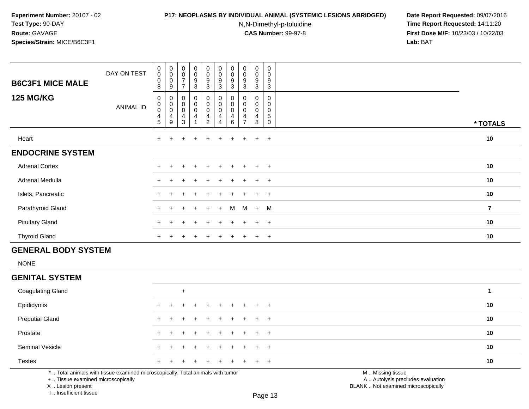#### **P17: NEOPLASMS BY INDIVIDUAL ANIMAL (SYSTEMIC LESIONS ABRIDGED) Date Report Requested:** 09/07/2016

N,N-Dimethyl-p-toluidine

 **Time Report Requested:** 14:11:20 **First Dose M/F:** 10/23/03 / 10/22/03<br>**Lab:** BAT **Lab:** BAT

| <b>B6C3F1 MICE MALE</b> | DAY ON TEST | $\mathbf 0$<br>$\pmb{0}$<br>$\pmb{0}$<br>8 | $\begin{matrix}0\\0\\0\end{matrix}$<br>9                                   | $\begin{array}{c} 0 \\ 0 \\ 7 \end{array}$<br>$\overline{ }$      | $\begin{smallmatrix}0\0\0\9\end{smallmatrix}$<br>$\mathbf{3}$ | $\begin{matrix} 0 \\ 0 \\ 9 \\ 3 \end{matrix}$                           | $\begin{smallmatrix}0\\0\end{smallmatrix}$<br>9<br>3 | $\pmb{0}$<br>$\pmb{0}$<br>$\boldsymbol{9}$<br>3 | $\begin{smallmatrix}0\0\0\end{smallmatrix}$<br>$\boldsymbol{9}$<br>3 | $\pmb{0}$<br>0<br>9<br>3 | 0<br>$\mathbf 0$<br>$\boldsymbol{9}$<br>$\mathbf{3}$           |          |
|-------------------------|-------------|--------------------------------------------|----------------------------------------------------------------------------|-------------------------------------------------------------------|---------------------------------------------------------------|--------------------------------------------------------------------------|------------------------------------------------------|-------------------------------------------------|----------------------------------------------------------------------|--------------------------|----------------------------------------------------------------|----------|
| <b>125 MG/KG</b>        | ANIMAL ID   | 0<br>$\pmb{0}$<br>$\pmb{0}$<br>4<br>5      | $\boldsymbol{0}$<br>$\begin{smallmatrix} 0\\0 \end{smallmatrix}$<br>4<br>9 | $\pmb{0}$<br>$_{\rm 0}^{\rm 0}$<br>$\overline{4}$<br>$\mathbf{3}$ | 0<br>0<br>0<br>4                                              | $\pmb{0}$<br>$_{\rm 0}^{\rm 0}$<br>$\begin{array}{c} 4 \\ 2 \end{array}$ | 0<br>$\pmb{0}$<br>$\pmb{0}$<br>$\overline{4}$<br>4   | $\pmb{0}$<br>$\boldsymbol{0}$<br>4<br>6         | 0<br>0<br>$\pmb{0}$<br>4<br>$\overline{ }$                           | 0<br>0<br>0<br>4<br>8    | $\mathbf 0$<br>0<br>$\pmb{0}$<br>$\overline{5}$<br>$\mathbf 0$ | * TOTALS |
| Heart                   |             | $\ddot{}$                                  |                                                                            | $\pm$                                                             | $\pm$                                                         | $+$                                                                      | $\pm$                                                | $+$                                             | $+$                                                                  | $+$                      | $+$                                                            | 10       |
| <b>ENDOCRINE SYSTEM</b> |             |                                            |                                                                            |                                                                   |                                                               |                                                                          |                                                      |                                                 |                                                                      |                          |                                                                |          |
| <b>Adrenal Cortex</b>   |             | $\ddot{}$                                  |                                                                            |                                                                   |                                                               |                                                                          |                                                      |                                                 | $\div$                                                               | $+$                      | $+$                                                            | 10       |
| Adrenal Medulla         |             | $\ddot{}$                                  |                                                                            | $\pm$                                                             | $\pm$                                                         | $\ddot{}$                                                                | $\pm$                                                | $+$                                             | $+$                                                                  | $+$                      | $+$                                                            | 10       |
| Islets, Pancreatic      |             | $\ddot{}$                                  |                                                                            | $\pm$                                                             | $+$                                                           | $+$                                                                      | $\pm$                                                | $+$                                             | $+$                                                                  | $+$                      | $+$                                                            | 10       |
| Parathyroid Gland       |             | $+$                                        |                                                                            | $+$                                                               | $+$                                                           | $+$                                                                      | $+$                                                  | M                                               | M                                                                    | + M                      |                                                                | 7        |
| <b>Pituitary Gland</b>  |             | $\ddot{}$                                  |                                                                            | $\div$                                                            | $+$                                                           | $+$                                                                      | $\ddot{}$                                            | $\div$                                          | $\pm$                                                                | $+$                      | $+$                                                            | 10       |
| <b>Thyroid Gland</b>    |             | $\ddot{}$                                  |                                                                            |                                                                   |                                                               |                                                                          |                                                      |                                                 |                                                                      | $\pm$                    | $+$                                                            | 10       |

# **GENERAL BODY SYSTEM**

NONE

### **GENITAL SYSTEM**

| <b>Coagulating Gland</b> | $\pm$               |    |
|--------------------------|---------------------|----|
| Epididymis               | + + + + + + + + + + | 10 |
| <b>Preputial Gland</b>   | + + + + + + + + + + | 10 |
| Prostate                 | + + + + + + + + + + | 10 |
| <b>Seminal Vesicle</b>   | + + + + + + + + + + | 10 |
| <b>Testes</b>            | + + + + + + + + + + | 10 |

\* .. Total animals with tissue examined microscopically; Total animals with tumor

+ .. Tissue examined microscopically

X .. Lesion present

I .. Insufficient tissue

M .. Missing tissue

y the contract of the contract of the contract of the contract of the contract of  $\mathsf A$  . Autolysis precludes evaluation

Lesion present BLANK .. Not examined microscopically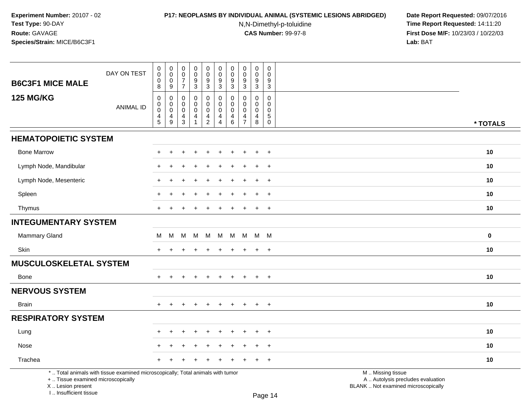# **P17: NEOPLASMS BY INDIVIDUAL ANIMAL (SYSTEMIC LESIONS ABRIDGED) Date Report Requested:** 09/07/2016

N,N-Dimethyl-p-toluidine

 **Time Report Requested:** 14:11:20 **First Dose M/F:** 10/23/03 / 10/22/03<br>**Lab:** BAT **Lab:** BAT

| <b>B6C3F1 MICE MALE</b>                                 | DAY ON TEST                                                                     | $\pmb{0}$<br>$\pmb{0}$<br>0<br>8                           | $\pmb{0}$<br>$\boldsymbol{0}$<br>$\mathbf 0$<br>9 | $\pmb{0}$<br>$\pmb{0}$<br>$\overline{7}$<br>$\overline{7}$ | $\pmb{0}$<br>$\pmb{0}$<br>9<br>$\mathbf{3}$ | $\pmb{0}$<br>$\mathsf{O}\xspace$<br>$\boldsymbol{9}$<br>$\mathbf{3}$ | $\pmb{0}$<br>$\mathbf 0$<br>9<br>$\mathbf{3}$                                 | $\pmb{0}$<br>$\mathbf 0$<br>9<br>3                  | $\pmb{0}$<br>0<br>9<br>$\mathbf{3}$                              | $\pmb{0}$<br>$\mathbf 0$<br>9<br>3                               | $\pmb{0}$<br>$\mathbf 0$<br>9<br>3                           |                                                                                               |             |
|---------------------------------------------------------|---------------------------------------------------------------------------------|------------------------------------------------------------|---------------------------------------------------|------------------------------------------------------------|---------------------------------------------|----------------------------------------------------------------------|-------------------------------------------------------------------------------|-----------------------------------------------------|------------------------------------------------------------------|------------------------------------------------------------------|--------------------------------------------------------------|-----------------------------------------------------------------------------------------------|-------------|
| <b>125 MG/KG</b>                                        | <b>ANIMAL ID</b>                                                                | $\mathsf 0$<br>$\mathbf 0$<br>$\pmb{0}$<br>4<br>$\sqrt{5}$ | 0<br>$\mathbf 0$<br>$\pmb{0}$<br>4<br>9           | $\mathbf 0$<br>0<br>$\mathbf 0$<br>4<br>3                  | 0<br>0<br>$\pmb{0}$<br>$\overline{4}$       | 0<br>$\mathbf 0$<br>$\pmb{0}$<br>4<br>$\overline{2}$                 | $\mathbf 0$<br>$\mathbf 0$<br>$\mathbf 0$<br>$\overline{4}$<br>$\overline{4}$ | $\mathbf 0$<br>$\mathbf 0$<br>$\mathbf 0$<br>4<br>6 | $\mathbf 0$<br>$\mathbf 0$<br>$\mathbf 0$<br>4<br>$\overline{7}$ | $\mathbf 0$<br>$\mathbf 0$<br>$\mathbf 0$<br>$\overline{4}$<br>8 | $\mathbf 0$<br>0<br>$\mathbf 0$<br>$\sqrt{5}$<br>$\mathbf 0$ |                                                                                               | * TOTALS    |
| <b>HEMATOPOIETIC SYSTEM</b>                             |                                                                                 |                                                            |                                                   |                                                            |                                             |                                                                      |                                                                               |                                                     |                                                                  |                                                                  |                                                              |                                                                                               |             |
| <b>Bone Marrow</b>                                      |                                                                                 |                                                            |                                                   |                                                            |                                             |                                                                      |                                                                               |                                                     |                                                                  |                                                                  | $\overline{+}$                                               |                                                                                               | 10          |
| Lymph Node, Mandibular                                  |                                                                                 |                                                            |                                                   |                                                            |                                             |                                                                      |                                                                               |                                                     |                                                                  |                                                                  | $\ddot{}$                                                    |                                                                                               | 10          |
| Lymph Node, Mesenteric                                  |                                                                                 |                                                            |                                                   |                                                            |                                             |                                                                      |                                                                               |                                                     |                                                                  | $\ddot{}$                                                        | $+$                                                          |                                                                                               | 10          |
| Spleen                                                  |                                                                                 |                                                            |                                                   |                                                            |                                             |                                                                      |                                                                               |                                                     |                                                                  |                                                                  | $\ddot{}$                                                    |                                                                                               | 10          |
| Thymus                                                  |                                                                                 |                                                            |                                                   |                                                            |                                             |                                                                      |                                                                               |                                                     |                                                                  | $\ddot{}$                                                        | $\ddot{}$                                                    |                                                                                               | 10          |
| <b>INTEGUMENTARY SYSTEM</b>                             |                                                                                 |                                                            |                                                   |                                                            |                                             |                                                                      |                                                                               |                                                     |                                                                  |                                                                  |                                                              |                                                                                               |             |
| <b>Mammary Gland</b>                                    |                                                                                 | м                                                          | M                                                 | M                                                          | M                                           | M                                                                    | M                                                                             |                                                     | M M M                                                            |                                                                  | <b>M</b>                                                     |                                                                                               | $\mathbf 0$ |
| Skin                                                    |                                                                                 | $+$                                                        | ٠                                                 |                                                            |                                             |                                                                      |                                                                               |                                                     |                                                                  | $\ddot{}$                                                        | $+$                                                          |                                                                                               | 10          |
| <b>MUSCULOSKELETAL SYSTEM</b>                           |                                                                                 |                                                            |                                                   |                                                            |                                             |                                                                      |                                                                               |                                                     |                                                                  |                                                                  |                                                              |                                                                                               |             |
| Bone                                                    |                                                                                 |                                                            |                                                   |                                                            |                                             |                                                                      |                                                                               |                                                     |                                                                  | $\ddot{}$                                                        | $+$                                                          |                                                                                               | 10          |
| <b>NERVOUS SYSTEM</b>                                   |                                                                                 |                                                            |                                                   |                                                            |                                             |                                                                      |                                                                               |                                                     |                                                                  |                                                                  |                                                              |                                                                                               |             |
| <b>Brain</b>                                            |                                                                                 | $+$                                                        | $+$                                               | $\pm$                                                      | $+$                                         | $+$                                                                  | $+$                                                                           | $\pm$                                               | $\pm$                                                            | $+$                                                              | $+$                                                          |                                                                                               | 10          |
| <b>RESPIRATORY SYSTEM</b>                               |                                                                                 |                                                            |                                                   |                                                            |                                             |                                                                      |                                                                               |                                                     |                                                                  |                                                                  |                                                              |                                                                                               |             |
| Lung                                                    |                                                                                 | +                                                          | $\ddot{}$                                         |                                                            | $\ddot{}$                                   | $\ddot{}$                                                            | $\ddot{}$                                                                     | $\div$                                              |                                                                  | $\ddot{}$                                                        | $\ddot{}$                                                    |                                                                                               | 10          |
| Nose                                                    |                                                                                 |                                                            |                                                   |                                                            |                                             |                                                                      |                                                                               |                                                     |                                                                  | $\div$                                                           | $\overline{+}$                                               |                                                                                               | 10          |
| Trachea                                                 |                                                                                 |                                                            |                                                   |                                                            |                                             |                                                                      |                                                                               |                                                     |                                                                  |                                                                  | $\overline{+}$                                               |                                                                                               | 10          |
| +  Tissue examined microscopically<br>X  Lesion present | *  Total animals with tissue examined microscopically; Total animals with tumor |                                                            |                                                   |                                                            |                                             |                                                                      |                                                                               |                                                     |                                                                  |                                                                  |                                                              | M  Missing tissue<br>A  Autolysis precludes evaluation<br>BLANK  Not examined microscopically |             |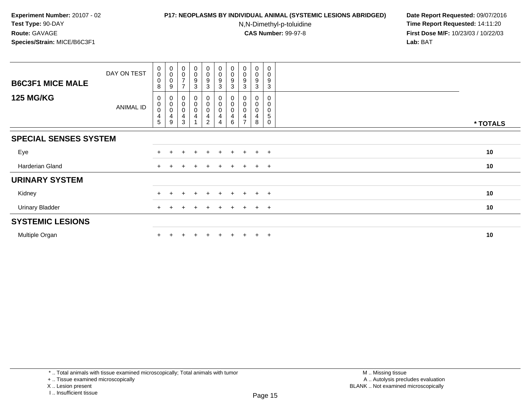### **P17: NEOPLASMS BY INDIVIDUAL ANIMAL (SYSTEMIC LESIONS ABRIDGED) Date Report Requested:** 09/07/2016

N,N-Dimethyl-p-toluidine

 **Time Report Requested:** 14:11:20 **First Dose M/F:** 10/23/03 / 10/22/03<br>**Lab:** BAT **Lab:** BAT

| <b>B6C3F1 MICE MALE</b>      | DAY ON TEST | $_{\rm 0}^{\rm 0}$<br>0<br>8                       | $\begin{smallmatrix}0\\0\\0\end{smallmatrix}$<br>9                | $_{\rm 0}^{\rm 0}$<br>$\overline{7}$                                            | $\begin{smallmatrix}0\0\0\end{smallmatrix}$<br>9<br>3 | $\pmb{0}$<br>$\mathbf 0$<br>$\boldsymbol{9}$<br>3 | $\begin{smallmatrix} 0\\0 \end{smallmatrix}$<br>$\mathsf g$<br>3 | $\mathbf 0$<br>0<br>9<br>3 | $\begin{smallmatrix}0\0\0\9\end{smallmatrix}$<br>3 | $\pmb{0}$<br>$\mathbf 0$<br>9<br>3 | $\pmb{0}$<br>$\mathbf 0$<br>9<br>3 |          |
|------------------------------|-------------|----------------------------------------------------|-------------------------------------------------------------------|---------------------------------------------------------------------------------|-------------------------------------------------------|---------------------------------------------------|------------------------------------------------------------------|----------------------------|----------------------------------------------------|------------------------------------|------------------------------------|----------|
| <b>125 MG/KG</b>             | ANIMAL ID   | 0<br>$\pmb{0}$<br>$\pmb{0}$<br>$\overline{4}$<br>5 | $\mathbf 0$<br>$_{\rm 0}^{\rm 0}$<br>$\overline{\mathbf{4}}$<br>9 | 0<br>$\begin{smallmatrix}0\\0\end{smallmatrix}$<br>$\overline{\mathbf{4}}$<br>3 | 0<br>0<br>0<br>4                                      | $\pmb{0}$<br>$\pmb{0}$<br>4<br>$\overline{c}$     | 0<br>$\pmb{0}$<br>$\pmb{0}$<br>4<br>4                            | 0<br>0<br>6                | 0<br>$\pmb{0}$<br>$\pmb{0}$<br>4                   | 0<br>0<br>0<br>4<br>8              | 0<br>0<br>0<br>5<br>$\mathbf 0$    | * TOTALS |
| <b>SPECIAL SENSES SYSTEM</b> |             |                                                    |                                                                   |                                                                                 |                                                       |                                                   |                                                                  |                            |                                                    |                                    |                                    |          |
| Eye                          |             | $\ddot{}$                                          |                                                                   |                                                                                 | $\ddot{}$                                             |                                                   |                                                                  |                            |                                                    | $\ddot{}$                          | $+$                                | 10       |
| Harderian Gland              |             | $+$                                                |                                                                   | $\div$                                                                          | $\pm$                                                 |                                                   | $+$                                                              | $+$                        | $+$                                                | $+$                                | $+$                                | 10       |
| <b>URINARY SYSTEM</b>        |             |                                                    |                                                                   |                                                                                 |                                                       |                                                   |                                                                  |                            |                                                    |                                    |                                    |          |
| Kidney                       |             |                                                    |                                                                   |                                                                                 | $\ddot{}$                                             |                                                   |                                                                  | $+$                        |                                                    | $+$                                | $+$                                | 10       |
| Urinary Bladder              |             |                                                    |                                                                   |                                                                                 | $^+$                                                  | $+$                                               | $+$                                                              | $+$                        | $+$                                                | $+$                                | $+$                                | 10       |
| <b>SYSTEMIC LESIONS</b>      |             |                                                    |                                                                   |                                                                                 |                                                       |                                                   |                                                                  |                            |                                                    |                                    |                                    |          |
| Multiple Organ               |             |                                                    |                                                                   |                                                                                 | $\ddot{}$                                             |                                                   | $+$                                                              | $\pm$                      |                                                    | $+$                                | $+$                                | 10       |

\* .. Total animals with tissue examined microscopically; Total animals with tumor

+ .. Tissue examined microscopically

X .. Lesion present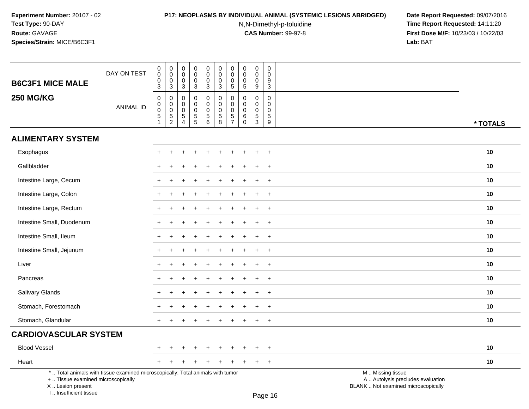I .. Insufficient tissue

# **P17: NEOPLASMS BY INDIVIDUAL ANIMAL (SYSTEMIC LESIONS ABRIDGED) Date Report Requested:** 09/07/2016

N,N-Dimethyl-p-toluidine

| <b>B6C3F1 MICE MALE</b>                                                                                                                    | DAY ON TEST      | $_{\rm 0}^{\rm 0}$<br>$\pmb{0}$<br>$\overline{3}$                        | $\begin{smallmatrix} 0\\0 \end{smallmatrix}$<br>$\mathbf 0$<br>$\overline{3}$                         | $\pmb{0}$<br>$\mathbf 0$<br>0<br>3                                | $_{\rm 0}^{\rm 0}$<br>$\mathbf 0$<br>$\overline{3}$                | $\pmb{0}$<br>$\pmb{0}$<br>0<br>3                                              | $\pmb{0}$<br>$\mathbf 0$<br>$\mathbf 0$<br>$\overline{3}$  | $\pmb{0}$<br>$\pmb{0}$<br>0<br>$\overline{5}$ | $\pmb{0}$<br>$\mathbf 0$<br>0<br>$\overline{5}$            | $\pmb{0}$<br>$\ddot{\mathbf{0}}$<br>$\mathsf{O}\xspace$<br>9           | $\pmb{0}$<br>$\mathbf{0}$<br>9<br>$\overline{3}$                        |                                                                                               |          |
|--------------------------------------------------------------------------------------------------------------------------------------------|------------------|--------------------------------------------------------------------------|-------------------------------------------------------------------------------------------------------|-------------------------------------------------------------------|--------------------------------------------------------------------|-------------------------------------------------------------------------------|------------------------------------------------------------|-----------------------------------------------|------------------------------------------------------------|------------------------------------------------------------------------|-------------------------------------------------------------------------|-----------------------------------------------------------------------------------------------|----------|
| <b>250 MG/KG</b>                                                                                                                           | <b>ANIMAL ID</b> | $\pmb{0}$<br>$\begin{bmatrix} 0 \\ 0 \\ 5 \end{bmatrix}$<br>$\mathbf{1}$ | $\mathsf{O}\xspace$<br>$\mathsf{O}\xspace$<br>$\mathsf{O}\xspace$<br>$\overline{5}$<br>$\overline{2}$ | 0<br>$\mathbf{0}$<br>$\mathbf 0$<br>$\,$ 5 $\,$<br>$\overline{4}$ | $\mathbf 0$<br>$\mathsf{O}\xspace$<br>$\mathbf 0$<br>$\frac{5}{5}$ | $\mathbf 0$<br>$\mathbf 0$<br>$\mathbf 0$<br>$\overline{5}$<br>$6\phantom{a}$ | $\pmb{0}$<br>$\mathbf 0$<br>$\mathbf 0$<br>$\sqrt{5}$<br>8 | 0<br>$\mathbf 0$<br>0<br>5<br>$\overline{7}$  | $\mathbf 0$<br>$\Omega$<br>$\mathbf 0$<br>6<br>$\mathbf 0$ | 0<br>$\Omega$<br>$\mathsf{O}\xspace$<br>$\overline{5}$<br>$\mathbf{3}$ | $\mathbf 0$<br>$\mathbf{0}$<br>$\mathbf 0$<br>$\sqrt{5}$<br>$\mathsf g$ |                                                                                               | * TOTALS |
| <b>ALIMENTARY SYSTEM</b>                                                                                                                   |                  |                                                                          |                                                                                                       |                                                                   |                                                                    |                                                                               |                                                            |                                               |                                                            |                                                                        |                                                                         |                                                                                               |          |
| Esophagus                                                                                                                                  |                  |                                                                          |                                                                                                       |                                                                   |                                                                    |                                                                               |                                                            |                                               |                                                            |                                                                        | $\overline{+}$                                                          |                                                                                               | 10       |
| Gallbladder                                                                                                                                |                  |                                                                          |                                                                                                       |                                                                   |                                                                    |                                                                               |                                                            |                                               |                                                            | $\div$                                                                 | $+$                                                                     |                                                                                               | 10       |
| Intestine Large, Cecum                                                                                                                     |                  |                                                                          |                                                                                                       |                                                                   |                                                                    |                                                                               |                                                            |                                               |                                                            | $\ddot{}$                                                              | $+$                                                                     |                                                                                               | 10       |
| Intestine Large, Colon                                                                                                                     |                  |                                                                          |                                                                                                       |                                                                   |                                                                    |                                                                               |                                                            |                                               |                                                            |                                                                        | $\overline{1}$                                                          |                                                                                               | 10       |
| Intestine Large, Rectum                                                                                                                    |                  |                                                                          |                                                                                                       |                                                                   |                                                                    |                                                                               |                                                            |                                               |                                                            |                                                                        | $\overline{1}$                                                          |                                                                                               | 10       |
| Intestine Small, Duodenum                                                                                                                  |                  |                                                                          |                                                                                                       |                                                                   |                                                                    |                                                                               |                                                            |                                               |                                                            | ÷                                                                      | $\ddot{}$                                                               |                                                                                               | 10       |
| Intestine Small, Ileum                                                                                                                     |                  |                                                                          |                                                                                                       |                                                                   |                                                                    |                                                                               |                                                            |                                               |                                                            |                                                                        | $+$                                                                     |                                                                                               | 10       |
| Intestine Small, Jejunum                                                                                                                   |                  |                                                                          |                                                                                                       |                                                                   |                                                                    |                                                                               |                                                            |                                               |                                                            | $\div$                                                                 | $+$                                                                     |                                                                                               | 10       |
| Liver                                                                                                                                      |                  |                                                                          |                                                                                                       |                                                                   |                                                                    |                                                                               |                                                            |                                               |                                                            |                                                                        | $\overline{1}$                                                          |                                                                                               | 10       |
| Pancreas                                                                                                                                   |                  |                                                                          |                                                                                                       |                                                                   |                                                                    |                                                                               |                                                            |                                               |                                                            |                                                                        | $\ddot{}$                                                               |                                                                                               | 10       |
| Salivary Glands                                                                                                                            |                  |                                                                          |                                                                                                       |                                                                   |                                                                    |                                                                               |                                                            |                                               |                                                            | $\ddot{}$                                                              | $+$                                                                     |                                                                                               | 10       |
| Stomach, Forestomach                                                                                                                       |                  |                                                                          |                                                                                                       |                                                                   |                                                                    |                                                                               |                                                            |                                               |                                                            |                                                                        | $+$                                                                     |                                                                                               | 10       |
| Stomach, Glandular                                                                                                                         |                  |                                                                          |                                                                                                       |                                                                   |                                                                    |                                                                               |                                                            |                                               |                                                            | $\ddot{}$                                                              | $+$                                                                     |                                                                                               | 10       |
| <b>CARDIOVASCULAR SYSTEM</b>                                                                                                               |                  |                                                                          |                                                                                                       |                                                                   |                                                                    |                                                                               |                                                            |                                               |                                                            |                                                                        |                                                                         |                                                                                               |          |
| <b>Blood Vessel</b>                                                                                                                        |                  |                                                                          |                                                                                                       |                                                                   |                                                                    |                                                                               |                                                            |                                               |                                                            |                                                                        | $\overline{1}$                                                          |                                                                                               | 10       |
| Heart                                                                                                                                      |                  |                                                                          |                                                                                                       |                                                                   |                                                                    |                                                                               |                                                            |                                               |                                                            |                                                                        | $\ddot{}$                                                               |                                                                                               | 10       |
| *  Total animals with tissue examined microscopically; Total animals with tumor<br>+  Tissue examined microscopically<br>X  Lesion present |                  |                                                                          |                                                                                                       |                                                                   |                                                                    |                                                                               |                                                            |                                               |                                                            |                                                                        |                                                                         | M  Missing tissue<br>A  Autolysis precludes evaluation<br>BLANK  Not examined microscopically |          |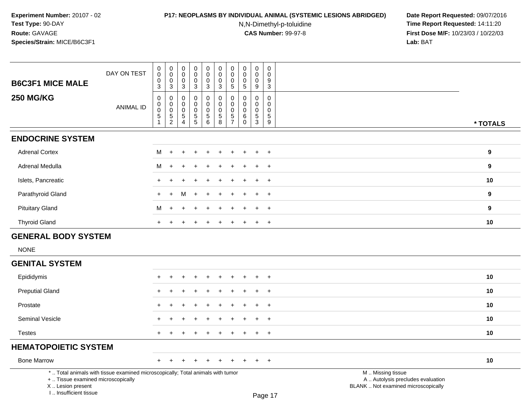#### **P17: NEOPLASMS BY INDIVIDUAL ANIMAL (SYSTEMIC LESIONS ABRIDGED) Date Report Requested:** 09/07/2016

N,N-Dimethyl-p-toluidine

 **Time Report Requested:** 14:11:20 **First Dose M/F:** 10/23/03 / 10/22/03<br>**Lab:** BAT **Lab:** BAT

| <b>B6C3F1 MICE MALE</b>    | DAY ON TEST      | $_{\rm 0}^{\rm 0}$<br>$\mathbf 0$<br>3                                      | $\begin{smallmatrix}0\0\0\end{smallmatrix}$<br>$\pmb{0}$<br>$\overline{3}$ | $\pmb{0}$<br>$\mathbf 0$<br>0<br>3 | $\pmb{0}$<br>$\pmb{0}$<br>$\pmb{0}$<br>$\mathbf{3}$                          | $_{\rm 0}^{\rm 0}$<br>$\frac{0}{3}$                            | $\begin{smallmatrix} 0\\0 \end{smallmatrix}$<br>$\frac{0}{3}$ | $\begin{smallmatrix} 0\\0 \end{smallmatrix}$<br>$\mathbf 0$<br>$\overline{5}$ | 0<br>$\pmb{0}$<br>$\mathbf 0$<br>5     | $\pmb{0}$<br>$\pmb{0}$<br>$\pmb{0}$<br>$\boldsymbol{9}$ | 0<br>$\mathbf 0$<br>9<br>$\mathbf{3}$    |                  |
|----------------------------|------------------|-----------------------------------------------------------------------------|----------------------------------------------------------------------------|------------------------------------|------------------------------------------------------------------------------|----------------------------------------------------------------|---------------------------------------------------------------|-------------------------------------------------------------------------------|----------------------------------------|---------------------------------------------------------|------------------------------------------|------------------|
| <b>250 MG/KG</b>           | <b>ANIMAL ID</b> | $\pmb{0}$<br>$\begin{smallmatrix}0\\0\end{smallmatrix}$<br>$\mathbf 5$<br>1 | $\pmb{0}$<br>$\overline{0}$<br>0<br>$\,$ 5 $\,$<br>$\overline{c}$          | 0<br>$\mathbf 0$<br>0<br>5<br>4    | $\pmb{0}$<br>$\pmb{0}$<br>$\pmb{0}$<br>$\begin{array}{c} 5 \\ 5 \end{array}$ | $\begin{smallmatrix}0\\0\\0\end{smallmatrix}$<br>$\frac{5}{6}$ | $_{\rm 0}^{\rm 0}$<br>$\boldsymbol{0}$<br>$\frac{5}{8}$       | $\mathbf 0$<br>$\mathbf 0$<br>$\mathbf 0$<br>$\frac{5}{7}$                    | 0<br>0<br>$\mathbf 0$<br>6<br>$\Omega$ | $\pmb{0}$<br>$\pmb{0}$<br>$\pmb{0}$<br>$\frac{5}{3}$    | 0<br>0<br>$\mathbf 0$<br>$\sqrt{5}$<br>9 | * TOTALS         |
| <b>ENDOCRINE SYSTEM</b>    |                  |                                                                             |                                                                            |                                    |                                                                              |                                                                |                                                               |                                                                               |                                        |                                                         |                                          |                  |
| <b>Adrenal Cortex</b>      |                  | M                                                                           | $+$                                                                        | $\ddot{}$                          | $\pm$                                                                        | $\ddot{}$                                                      | $+$                                                           | $+$                                                                           | $\ddot{}$                              | $+$                                                     | $+$                                      | $\boldsymbol{9}$ |
| Adrenal Medulla            |                  | M                                                                           | $\div$                                                                     | ÷                                  |                                                                              | ÷                                                              | ÷.                                                            |                                                                               |                                        |                                                         | $+$                                      | 9                |
| Islets, Pancreatic         |                  | $\ddot{}$                                                                   |                                                                            |                                    |                                                                              |                                                                | $\ddot{}$                                                     | +                                                                             | ÷                                      |                                                         | $+$                                      | 10               |
| Parathyroid Gland          |                  | $+$                                                                         | $+$                                                                        | M                                  | $\ddot{}$                                                                    | $\ddot{}$                                                      | $+$                                                           | $\ddot{}$                                                                     | $\ddot{}$                              |                                                         | $+$                                      | $\boldsymbol{9}$ |
| <b>Pituitary Gland</b>     |                  | M                                                                           | $\ddot{}$                                                                  | $\ddot{}$                          |                                                                              |                                                                | $\ddot{}$                                                     |                                                                               |                                        |                                                         | $\overline{+}$                           | $\boldsymbol{9}$ |
| <b>Thyroid Gland</b>       |                  | $+$                                                                         | $\ddot{}$                                                                  | $\ddot{}$                          |                                                                              |                                                                | $+$                                                           | $\ddot{}$                                                                     | $\ddot{}$                              | $+$                                                     | $+$                                      | 10               |
| <b>GENERAL BODY SYSTEM</b> |                  |                                                                             |                                                                            |                                    |                                                                              |                                                                |                                                               |                                                                               |                                        |                                                         |                                          |                  |
| <b>NONE</b>                |                  |                                                                             |                                                                            |                                    |                                                                              |                                                                |                                                               |                                                                               |                                        |                                                         |                                          |                  |
| <b>GENITAL SYSTEM</b>      |                  |                                                                             |                                                                            |                                    |                                                                              |                                                                |                                                               |                                                                               |                                        |                                                         |                                          |                  |
| Epididymis                 |                  | ÷                                                                           |                                                                            |                                    |                                                                              | $\overline{ }$                                                 | $\ddot{}$                                                     |                                                                               | ÷                                      |                                                         | $+$                                      | 10               |
| <b>Preputial Gland</b>     |                  | $\ddot{}$                                                                   |                                                                            | ÷                                  |                                                                              |                                                                |                                                               |                                                                               |                                        |                                                         | $+$                                      | 10               |
| Prostate                   |                  | $\ddot{}$                                                                   |                                                                            |                                    |                                                                              |                                                                |                                                               |                                                                               |                                        |                                                         | $+$                                      | 10               |
| Seminal Vesicle            |                  | $+$                                                                         |                                                                            | $\div$                             |                                                                              |                                                                |                                                               |                                                                               |                                        |                                                         | $+$                                      | 10               |
| <b>Testes</b>              |                  | $\pm$                                                                       |                                                                            |                                    |                                                                              |                                                                |                                                               |                                                                               |                                        |                                                         | $+$                                      | 10               |

# **HEMATOPOIETIC SYSTEM**

Bone Marrow

<sup>+</sup> <sup>+</sup> <sup>+</sup> <sup>+</sup> <sup>+</sup> <sup>+</sup> <sup>+</sup> <sup>+</sup> <sup>+</sup> <sup>+</sup> **<sup>10</sup>**

\* .. Total animals with tissue examined microscopically; Total animals with tumor

+ .. Tissue examined microscopically

X .. Lesion present

I .. Insufficient tissue

M .. Missing tissue

y the contract of the contract of the contract of the contract of the contract of  $\mathsf A$  . Autolysis precludes evaluation

Lesion present BLANK .. Not examined microscopically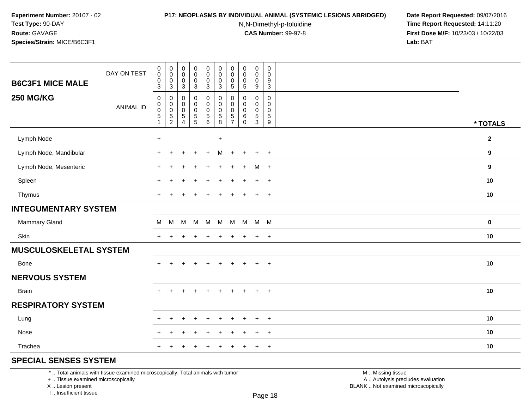#### **P17: NEOPLASMS BY INDIVIDUAL ANIMAL (SYSTEMIC LESIONS ABRIDGED) Date Report Requested:** 09/07/2016

N,N-Dimethyl-p-toluidine

 **Time Report Requested:** 14:11:20 **First Dose M/F:** 10/23/03 / 10/22/03<br>**Lab:** BAT **Lab:** BAT

| <b>B6C3F1 MICE MALE</b>     | DAY ON TEST      | $\mathbf 0$<br>$\mathbf 0$<br>$\pmb{0}$<br>$\mathfrak{S}$             | $_{\rm 0}^{\rm 0}$<br>$\mathbf 0$<br>$\overline{3}$                  | $\pmb{0}$<br>$\mathsf{O}\xspace$<br>$\pmb{0}$<br>$\mathbf{3}$   | $\pmb{0}$<br>$\mathbf 0$<br>$\boldsymbol{0}$<br>3    | $\begin{smallmatrix} 0\\0 \end{smallmatrix}$<br>$\frac{0}{3}$ | $\mathsf 0$<br>$\mathsf{O}\xspace$<br>$\mathsf 0$<br>$\mathbf{3}$ | $\pmb{0}$<br>0<br>$\pmb{0}$<br>$\sqrt{5}$                            | $_{\rm 0}^{\rm 0}$<br>$\mathsf 0$<br>$\overline{5}$                      | $\pmb{0}$<br>$\pmb{0}$<br>$\pmb{0}$<br>$\boldsymbol{9}$ | $\pmb{0}$<br>$\mathbf 0$<br>9<br>3                  |                  |
|-----------------------------|------------------|-----------------------------------------------------------------------|----------------------------------------------------------------------|-----------------------------------------------------------------|------------------------------------------------------|---------------------------------------------------------------|-------------------------------------------------------------------|----------------------------------------------------------------------|--------------------------------------------------------------------------|---------------------------------------------------------|-----------------------------------------------------|------------------|
| <b>250 MG/KG</b>            | <b>ANIMAL ID</b> | $\pmb{0}$<br>$\pmb{0}$<br>$\pmb{0}$<br>$\overline{5}$<br>$\mathbf{1}$ | $\pmb{0}$<br>$\pmb{0}$<br>$\begin{array}{c} 0 \\ 5 \\ 2 \end{array}$ | $\mathsf 0$<br>0<br>$\mathbf 0$<br>$\sqrt{5}$<br>$\overline{4}$ | 0<br>0<br>$\begin{array}{c} 0 \\ 5 \\ 5 \end{array}$ | $\pmb{0}$                                                     | $\pmb{0}$<br>$\pmb{0}$<br>$\pmb{0}$<br>$\frac{5}{8}$              | $\Omega$<br>$\Omega$<br>$\mathbf 0$<br>$\,$ 5 $\,$<br>$\overline{7}$ | $\mathbf 0$<br>$\mathbf 0$<br>$\mathbf 0$<br>$6\phantom{1}6$<br>$\Omega$ | 0<br>0<br>$\mathbf 0$<br>$\sqrt{5}$<br>3                | $\mathbf 0$<br>$\mathbf 0$<br>$\mathbf 0$<br>5<br>9 | * TOTALS         |
| Lymph Node                  |                  | $+$                                                                   |                                                                      |                                                                 |                                                      |                                                               | $+$                                                               |                                                                      |                                                                          |                                                         |                                                     | $\mathbf{2}$     |
| Lymph Node, Mandibular      |                  | $\ddot{}$                                                             |                                                                      |                                                                 | $+$                                                  | $+$                                                           | M                                                                 | $+$                                                                  | $+$                                                                      | $+$                                                     | $+$                                                 | $\boldsymbol{9}$ |
| Lymph Node, Mesenteric      |                  | $\pm$                                                                 |                                                                      |                                                                 |                                                      |                                                               |                                                                   |                                                                      | $\ddot{}$                                                                | M +                                                     |                                                     | $\boldsymbol{9}$ |
| Spleen                      |                  | $\pm$                                                                 |                                                                      |                                                                 |                                                      |                                                               |                                                                   |                                                                      |                                                                          | $\ddot{}$                                               | $+$                                                 | 10               |
| Thymus                      |                  | $+$                                                                   | $\overline{+}$                                                       | $\overline{+}$                                                  | $\ddot{}$                                            | $\ddot{}$                                                     | $+$                                                               | $\ddot{}$                                                            | $\overline{+}$                                                           | $+$                                                     | $+$                                                 | 10               |
| <b>INTEGUMENTARY SYSTEM</b> |                  |                                                                       |                                                                      |                                                                 |                                                      |                                                               |                                                                   |                                                                      |                                                                          |                                                         |                                                     |                  |
| Mammary Gland               |                  | M                                                                     | M                                                                    | M                                                               | M                                                    | M                                                             | M                                                                 |                                                                      | M M M M                                                                  |                                                         |                                                     | $\mathbf 0$      |
| Skin                        |                  | $+$                                                                   | $\ddot{}$                                                            |                                                                 | ÷                                                    |                                                               | $\div$                                                            | ÷.                                                                   |                                                                          | $\ddot{}$                                               | $+$                                                 | 10               |
| MUSCULOSKELETAL SYSTEM      |                  |                                                                       |                                                                      |                                                                 |                                                      |                                                               |                                                                   |                                                                      |                                                                          |                                                         |                                                     |                  |
| <b>Bone</b>                 |                  | $+$                                                                   | $+$                                                                  | $\ddot{}$                                                       | $\ddot{}$                                            | $+$                                                           | $+$                                                               | $+$                                                                  | $+$                                                                      | $+$                                                     | $+$                                                 | 10               |
| <b>NERVOUS SYSTEM</b>       |                  |                                                                       |                                                                      |                                                                 |                                                      |                                                               |                                                                   |                                                                      |                                                                          |                                                         |                                                     |                  |
| <b>Brain</b>                |                  | $+$                                                                   | $\ddot{}$                                                            | $\ddot{}$                                                       | $\ddot{}$                                            | $\ddot{}$                                                     | $\ddot{}$                                                         | $+$                                                                  | $+$                                                                      | $+$                                                     | $+$                                                 | 10               |
| <b>RESPIRATORY SYSTEM</b>   |                  |                                                                       |                                                                      |                                                                 |                                                      |                                                               |                                                                   |                                                                      |                                                                          |                                                         |                                                     |                  |
| Lung                        |                  | $\ddot{}$                                                             | $+$                                                                  | $\div$                                                          | $\ddot{}$                                            |                                                               | $\div$                                                            | ÷                                                                    |                                                                          | $+$                                                     | $+$                                                 | 10               |
| Nose                        |                  | $\ddot{}$                                                             |                                                                      |                                                                 |                                                      |                                                               |                                                                   |                                                                      |                                                                          | $\ddot{}$                                               | $\ddot{}$                                           | 10               |
| Trachea                     |                  | $\ddot{}$                                                             |                                                                      |                                                                 |                                                      |                                                               |                                                                   |                                                                      |                                                                          | $\ddot{}$                                               | $+$                                                 | 10               |
| COECULE CENCEC CVCTEM       |                  |                                                                       |                                                                      |                                                                 |                                                      |                                                               |                                                                   |                                                                      |                                                                          |                                                         |                                                     |                  |

## **SPECIAL SENSES SYSTEM**

\* .. Total animals with tissue examined microscopically; Total animals with tumor

+ .. Tissue examined microscopically

X .. Lesion present

I .. Insufficient tissue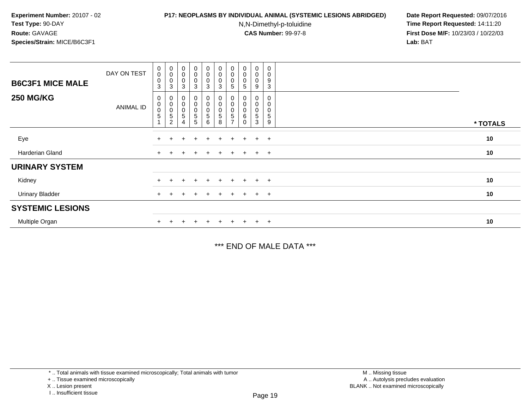### **P17: NEOPLASMS BY INDIVIDUAL ANIMAL (SYSTEMIC LESIONS ABRIDGED) Date Report Requested:** 09/07/2016

N,N-Dimethyl-p-toluidine

 **Time Report Requested:** 14:11:20 **First Dose M/F:** 10/23/03 / 10/22/03<br>**Lab:** BAT **Lab:** BAT

| <b>B6C3F1 MICE MALE</b> | DAY ON TEST | $\begin{smallmatrix}0\0\0\end{smallmatrix}$<br>0<br>3 | $\begin{smallmatrix}0\\0\end{smallmatrix}$<br>$\mathbf 0$<br>3            | $\begin{smallmatrix} 0\\0 \end{smallmatrix}$<br>$\pmb{0}$<br>3 | $\begin{smallmatrix}0\0\0\end{smallmatrix}$<br>0<br>$\mathbf{3}$ | $_{\rm 0}^{\rm 0}$<br>$\boldsymbol{0}$<br>3  | $\begin{smallmatrix} 0\\0 \end{smallmatrix}$<br>0<br>3 | $\begin{smallmatrix} 0\\0 \end{smallmatrix}$<br>$\mathbf 0$<br>5 | $\begin{smallmatrix} 0\\0 \end{smallmatrix}$<br>$\pmb{0}$<br>5 | $_{\rm 0}^{\rm 0}$<br>0<br>9 | $\mathbf 0$<br>$\pmb{0}$<br>9<br>3 |          |
|-------------------------|-------------|-------------------------------------------------------|---------------------------------------------------------------------------|----------------------------------------------------------------|------------------------------------------------------------------|----------------------------------------------|--------------------------------------------------------|------------------------------------------------------------------|----------------------------------------------------------------|------------------------------|------------------------------------|----------|
| <b>250 MG/KG</b>        | ANIMAL ID   | 0<br>$_{\rm 0}^{\rm 0}$<br>5                          | 0<br>$\pmb{0}$<br>$\begin{array}{c} 0 \\ 5 \end{array}$<br>$\overline{2}$ | $\pmb{0}$<br>$_{\rm 0}^{\rm 0}$<br>$\mathbf 5$<br>4            | 0<br>$_0^0$<br>$\frac{5}{5}$                                     | 0<br>$\pmb{0}$<br>$\boldsymbol{0}$<br>5<br>6 | 0<br>0<br>$\mathbf 0$<br>5<br>8                        | 0<br>0<br>$\sqrt{5}$                                             | 0<br>0<br>$\pmb{0}$<br>6<br>$\Omega$                           | 0<br>0<br>0<br>5<br>3        | 0<br>0<br>$\pmb{0}$<br>5<br>9      | * TOTALS |
| Eye                     |             | $\ddot{}$                                             |                                                                           |                                                                | $\ddot{}$                                                        | $\ddot{}$                                    | $\ddot{}$                                              | $+$                                                              |                                                                | $+$                          | $+$                                | 10       |
| Harderian Gland         |             | $\ddot{}$                                             |                                                                           |                                                                | $\ddot{}$                                                        |                                              |                                                        | $\pm$                                                            |                                                                | $+$                          | $+$                                | $10$     |
| <b>URINARY SYSTEM</b>   |             |                                                       |                                                                           |                                                                |                                                                  |                                              |                                                        |                                                                  |                                                                |                              |                                    |          |
| Kidney                  |             | $\ddot{}$                                             | ÷.                                                                        |                                                                | $\pm$                                                            | $\ddot{}$                                    |                                                        | $\pm$                                                            | $\div$                                                         | $\pm$                        | $+$                                | 10       |
| <b>Urinary Bladder</b>  |             | $+$                                                   |                                                                           |                                                                | $\ddot{}$                                                        | $+$                                          |                                                        | $+$                                                              | $+$                                                            | $+$                          | $+$                                | 10       |
| <b>SYSTEMIC LESIONS</b> |             |                                                       |                                                                           |                                                                |                                                                  |                                              |                                                        |                                                                  |                                                                |                              |                                    |          |
| Multiple Organ          |             |                                                       |                                                                           |                                                                | $\pm$                                                            | $\pm$                                        |                                                        | $+$                                                              | $+$                                                            | $+$                          | $+$                                | 10       |

\*\*\* END OF MALE DATA \*\*\*

\* .. Total animals with tissue examined microscopically; Total animals with tumor

+ .. Tissue examined microscopically

X .. Lesion present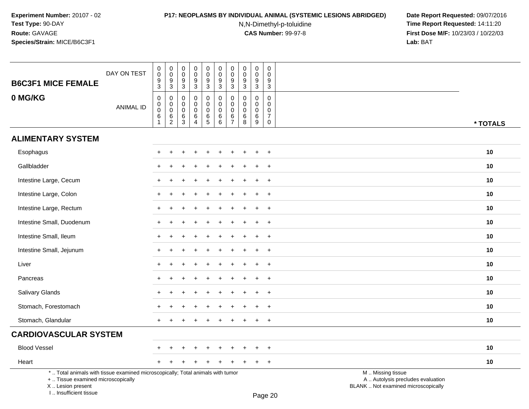# **P17: NEOPLASMS BY INDIVIDUAL ANIMAL (SYSTEMIC LESIONS ABRIDGED) Date Report Requested:** 09/07/2016

N,N-Dimethyl-p-toluidine

| <b>B6C3F1 MICE FEMALE</b>                                                                                                                                           | DAY ON TEST      | $\pmb{0}$<br>$\ddot{\mathbf{0}}$<br>$\frac{9}{3}$                            | $_{\rm 0}^{\rm 0}$<br>$\frac{9}{3}$            | $\mathbf 0$<br>$\mathbf 0$<br>$\frac{9}{3}$ | $\pmb{0}$<br>$\mathbf 0$<br>$\frac{9}{3}$                              | $\mathbf 0$<br>$\mathbf 0$<br>$\boldsymbol{9}$ | $\pmb{0}$<br>$\overline{0}$<br>$\frac{9}{3}$        | $\pmb{0}$<br>$\mathbf 0$<br>$\frac{9}{3}$        | $\pmb{0}$<br>$\mathbf 0$<br>$\frac{9}{3}$ | $\pmb{0}$<br>$\mathbf 0$<br>9                       | 0<br>$\mathbf 0$<br>9                                             |                                                                                               |          |
|---------------------------------------------------------------------------------------------------------------------------------------------------------------------|------------------|------------------------------------------------------------------------------|------------------------------------------------|---------------------------------------------|------------------------------------------------------------------------|------------------------------------------------|-----------------------------------------------------|--------------------------------------------------|-------------------------------------------|-----------------------------------------------------|-------------------------------------------------------------------|-----------------------------------------------------------------------------------------------|----------|
|                                                                                                                                                                     |                  |                                                                              |                                                |                                             |                                                                        | 3                                              |                                                     |                                                  |                                           | $\mathbf{3}$                                        | $\mathbf{3}$                                                      |                                                                                               |          |
| 0 MG/KG                                                                                                                                                             | <b>ANIMAL ID</b> | $\pmb{0}$<br>$\pmb{0}$<br>$\pmb{0}$<br>$\begin{array}{c} 6 \\ 1 \end{array}$ | 0<br>$\pmb{0}$<br>$\mathsf 0$<br>$\frac{6}{2}$ | $\mathbf 0$<br>0<br>$\mathbf 0$<br>$^6_3$   | $\mathbf 0$<br>$\mathbf 0$<br>$\mathbf 0$<br>$\,6\,$<br>$\overline{4}$ | 0<br>$\mathbf 0$<br>$\mathbf 0$<br>$^6$ 5      | $\mathbf 0$<br>$\mathbf 0$<br>$\mathbf 0$<br>$^6_6$ | $\mathbf 0$<br>0<br>$\mathbf 0$<br>$\frac{6}{7}$ | $\mathbf 0$<br>0<br>0<br>6<br>8           | $\mathbf 0$<br>$\mathbf 0$<br>$\mathbf 0$<br>6<br>9 | $\mathbf 0$<br>$\mathbf{0}$<br>0<br>$\overline{7}$<br>$\mathbf 0$ |                                                                                               | * TOTALS |
| <b>ALIMENTARY SYSTEM</b>                                                                                                                                            |                  |                                                                              |                                                |                                             |                                                                        |                                                |                                                     |                                                  |                                           |                                                     |                                                                   |                                                                                               |          |
| Esophagus                                                                                                                                                           |                  |                                                                              |                                                |                                             |                                                                        |                                                |                                                     |                                                  |                                           |                                                     | $+$                                                               |                                                                                               | 10       |
| Gallbladder                                                                                                                                                         |                  |                                                                              |                                                |                                             |                                                                        |                                                |                                                     |                                                  |                                           |                                                     | $\ddot{}$                                                         |                                                                                               | 10       |
| Intestine Large, Cecum                                                                                                                                              |                  |                                                                              |                                                |                                             |                                                                        |                                                |                                                     |                                                  |                                           |                                                     | $\overline{+}$                                                    |                                                                                               | 10       |
| Intestine Large, Colon                                                                                                                                              |                  |                                                                              |                                                |                                             |                                                                        |                                                |                                                     |                                                  |                                           |                                                     | $\overline{+}$                                                    |                                                                                               | 10       |
| Intestine Large, Rectum                                                                                                                                             |                  | $\ddot{}$                                                                    |                                                |                                             |                                                                        |                                                |                                                     |                                                  |                                           |                                                     | $+$                                                               |                                                                                               | 10       |
| Intestine Small, Duodenum                                                                                                                                           |                  | $\pm$                                                                        | ٠                                              |                                             |                                                                        |                                                |                                                     |                                                  |                                           | $\div$                                              | $+$                                                               |                                                                                               | 10       |
| Intestine Small, Ileum                                                                                                                                              |                  |                                                                              |                                                |                                             |                                                                        |                                                |                                                     |                                                  |                                           |                                                     | $+$                                                               |                                                                                               | 10       |
| Intestine Small, Jejunum                                                                                                                                            |                  |                                                                              |                                                |                                             |                                                                        |                                                |                                                     |                                                  |                                           |                                                     | $\ddot{}$                                                         |                                                                                               | 10       |
| Liver                                                                                                                                                               |                  |                                                                              |                                                |                                             |                                                                        |                                                |                                                     |                                                  |                                           |                                                     | $\ddot{}$                                                         |                                                                                               | 10       |
| Pancreas                                                                                                                                                            |                  |                                                                              |                                                |                                             |                                                                        |                                                |                                                     |                                                  |                                           |                                                     | $+$                                                               |                                                                                               | 10       |
| Salivary Glands                                                                                                                                                     |                  |                                                                              |                                                |                                             |                                                                        |                                                |                                                     |                                                  |                                           |                                                     | $+$                                                               |                                                                                               | 10       |
| Stomach, Forestomach                                                                                                                                                |                  |                                                                              |                                                |                                             |                                                                        |                                                |                                                     |                                                  |                                           | $\div$                                              | $+$                                                               |                                                                                               | 10       |
| Stomach, Glandular                                                                                                                                                  |                  | $\ddot{}$                                                                    |                                                |                                             |                                                                        |                                                |                                                     |                                                  |                                           |                                                     | $+$                                                               |                                                                                               | 10       |
| <b>CARDIOVASCULAR SYSTEM</b>                                                                                                                                        |                  |                                                                              |                                                |                                             |                                                                        |                                                |                                                     |                                                  |                                           |                                                     |                                                                   |                                                                                               |          |
| <b>Blood Vessel</b>                                                                                                                                                 |                  |                                                                              |                                                |                                             |                                                                        |                                                |                                                     |                                                  |                                           |                                                     | $\ddot{}$                                                         |                                                                                               | 10       |
| Heart                                                                                                                                                               |                  | $+$                                                                          |                                                |                                             |                                                                        |                                                |                                                     |                                                  |                                           | $\pm$                                               | $+$                                                               |                                                                                               | 10       |
| *  Total animals with tissue examined microscopically; Total animals with tumor<br>+  Tissue examined microscopically<br>X  Lesion present<br>I Insufficient tissue |                  |                                                                              |                                                |                                             |                                                                        |                                                |                                                     |                                                  |                                           |                                                     | $D_{200}$ 20                                                      | M  Missing tissue<br>A  Autolysis precludes evaluation<br>BLANK  Not examined microscopically |          |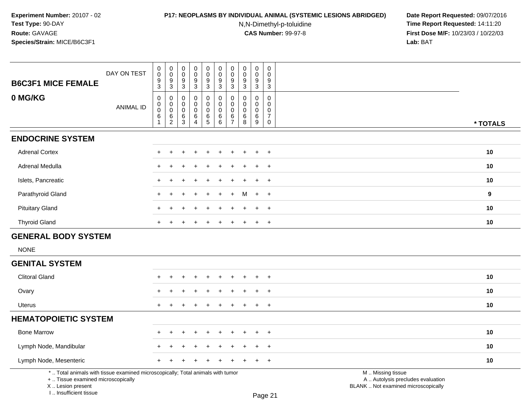# **P17: NEOPLASMS BY INDIVIDUAL ANIMAL (SYSTEMIC LESIONS ABRIDGED) Date Report Requested:** 09/07/2016

N,N-Dimethyl-p-toluidine

| DAY ON TEST<br><b>B6C3F1 MICE FEMALE</b>                                                                                                                            | 0<br>$\pmb{0}$<br>9<br>$\overline{3}$           | 0<br>$\overline{0}$<br>$\frac{9}{3}$                               | 0<br>$\mathsf 0$<br>9<br>3                              | 0<br>$\ddot{\mathbf{0}}$<br>$\frac{9}{3}$                        | $\begin{matrix} 0 \\ 0 \end{matrix}$<br>9<br>3          | 0<br>$\ddot{\mathbf{0}}$<br>$\frac{9}{3}$ | $\begin{matrix} 0 \\ 0 \end{matrix}$<br>$\boldsymbol{9}$<br>$\overline{3}$ | 0<br>$\pmb{0}$<br>9<br>3                         | 0<br>$\mathbf 0$<br>9<br>$\mathbf{3}$                 | 0<br>$\mathsf 0$<br>9<br>3                                             |                                                                                               |          |
|---------------------------------------------------------------------------------------------------------------------------------------------------------------------|-------------------------------------------------|--------------------------------------------------------------------|---------------------------------------------------------|------------------------------------------------------------------|---------------------------------------------------------|-------------------------------------------|----------------------------------------------------------------------------|--------------------------------------------------|-------------------------------------------------------|------------------------------------------------------------------------|-----------------------------------------------------------------------------------------------|----------|
| 0 MG/KG<br><b>ANIMAL ID</b>                                                                                                                                         | $\pmb{0}$<br>$\mathbf 0$<br>$\pmb{0}$<br>6<br>1 | $\,0\,$<br>$\mathbf 0$<br>$\mathbf 0$<br>$\,6\,$<br>$\overline{2}$ | 0<br>$\mathbf 0$<br>$\mathbf 0$<br>$6\phantom{1}6$<br>3 | $\mathbf 0$<br>$\mathbf 0$<br>$\mathbf 0$<br>6<br>$\overline{4}$ | $\mathsf 0$<br>0<br>$\mathbf 0$<br>6<br>$5\phantom{.0}$ | 0<br>0<br>$\mathbf 0$<br>6<br>6           | $\pmb{0}$<br>$\mathbf 0$<br>$\mathbf 0$<br>$\,6\,$<br>$\overline{7}$       | $\mathbf 0$<br>$\Omega$<br>$\mathbf 0$<br>6<br>8 | $\mathbf 0$<br>$\mathbf 0$<br>$\mathbf 0$<br>6<br>$9$ | $\pmb{0}$<br>$\mathbf 0$<br>$\mathbf 0$<br>$\overline{7}$<br>$\pmb{0}$ |                                                                                               | * TOTALS |
| <b>ENDOCRINE SYSTEM</b>                                                                                                                                             |                                                 |                                                                    |                                                         |                                                                  |                                                         |                                           |                                                                            |                                                  |                                                       |                                                                        |                                                                                               |          |
| <b>Adrenal Cortex</b>                                                                                                                                               |                                                 |                                                                    |                                                         |                                                                  |                                                         |                                           |                                                                            |                                                  |                                                       | $\ddot{}$                                                              |                                                                                               | 10       |
| <b>Adrenal Medulla</b>                                                                                                                                              | $\pm$                                           |                                                                    |                                                         |                                                                  |                                                         |                                           |                                                                            |                                                  |                                                       | $^{+}$                                                                 |                                                                                               | 10       |
| Islets, Pancreatic                                                                                                                                                  | $+$                                             |                                                                    |                                                         |                                                                  |                                                         |                                           |                                                                            |                                                  |                                                       | $+$                                                                    |                                                                                               | 10       |
| Parathyroid Gland                                                                                                                                                   | $+$                                             |                                                                    |                                                         |                                                                  | ÷                                                       | +                                         | $\ddot{}$                                                                  | м                                                | $+$                                                   | $+$                                                                    |                                                                                               | 9        |
| <b>Pituitary Gland</b>                                                                                                                                              |                                                 |                                                                    |                                                         |                                                                  |                                                         |                                           |                                                                            |                                                  |                                                       | $\overline{ }$                                                         |                                                                                               | 10       |
| <b>Thyroid Gland</b>                                                                                                                                                |                                                 |                                                                    |                                                         |                                                                  |                                                         |                                           |                                                                            |                                                  |                                                       | $+$                                                                    |                                                                                               | 10       |
| <b>GENERAL BODY SYSTEM</b>                                                                                                                                          |                                                 |                                                                    |                                                         |                                                                  |                                                         |                                           |                                                                            |                                                  |                                                       |                                                                        |                                                                                               |          |
| <b>NONE</b>                                                                                                                                                         |                                                 |                                                                    |                                                         |                                                                  |                                                         |                                           |                                                                            |                                                  |                                                       |                                                                        |                                                                                               |          |
| <b>GENITAL SYSTEM</b>                                                                                                                                               |                                                 |                                                                    |                                                         |                                                                  |                                                         |                                           |                                                                            |                                                  |                                                       |                                                                        |                                                                                               |          |
| <b>Clitoral Gland</b>                                                                                                                                               |                                                 |                                                                    |                                                         |                                                                  |                                                         |                                           |                                                                            |                                                  |                                                       | $+$                                                                    |                                                                                               | 10       |
| Ovary                                                                                                                                                               |                                                 |                                                                    |                                                         |                                                                  |                                                         |                                           |                                                                            |                                                  |                                                       | $^{+}$                                                                 |                                                                                               | 10       |
| <b>Uterus</b>                                                                                                                                                       | $+$                                             |                                                                    |                                                         |                                                                  |                                                         |                                           |                                                                            | ÷                                                | +                                                     | $+$                                                                    |                                                                                               | 10       |
| <b>HEMATOPOIETIC SYSTEM</b>                                                                                                                                         |                                                 |                                                                    |                                                         |                                                                  |                                                         |                                           |                                                                            |                                                  |                                                       |                                                                        |                                                                                               |          |
| <b>Bone Marrow</b>                                                                                                                                                  |                                                 |                                                                    |                                                         |                                                                  |                                                         |                                           |                                                                            |                                                  |                                                       | $\overline{1}$                                                         |                                                                                               | 10       |
| Lymph Node, Mandibular                                                                                                                                              |                                                 |                                                                    |                                                         |                                                                  |                                                         |                                           |                                                                            |                                                  |                                                       | $\ddot{}$                                                              |                                                                                               | 10       |
| Lymph Node, Mesenteric                                                                                                                                              |                                                 |                                                                    |                                                         |                                                                  |                                                         |                                           |                                                                            |                                                  |                                                       | $\div$                                                                 |                                                                                               | 10       |
| *  Total animals with tissue examined microscopically; Total animals with tumor<br>+  Tissue examined microscopically<br>X  Lesion present<br>I Insufficient tissue |                                                 |                                                                    |                                                         |                                                                  |                                                         |                                           |                                                                            |                                                  |                                                       | Page 21                                                                | M  Missing tissue<br>A  Autolysis precludes evaluation<br>BLANK  Not examined microscopically |          |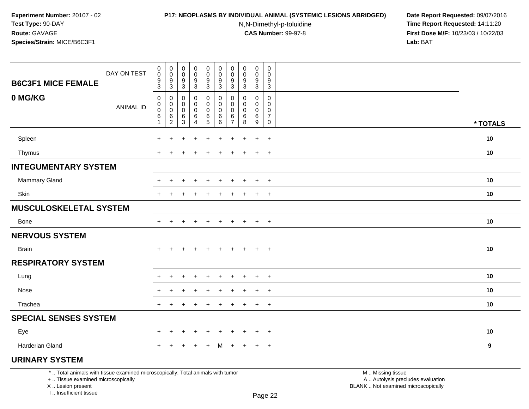#### **P17: NEOPLASMS BY INDIVIDUAL ANIMAL (SYSTEMIC LESIONS ABRIDGED) Date Report Requested:** 09/07/2016

N,N-Dimethyl-p-toluidine

 **Time Report Requested:** 14:11:20 **First Dose M/F:** 10/23/03 / 10/22/03<br>**Lab:** BAT **Lab:** BAT

| <b>B6C3F1 MICE FEMALE</b>                                                       | DAY ON TEST      | $_{\rm 0}^{\rm 0}$<br>$\boldsymbol{9}$<br>$\mathfrak{S}$ | $\mathbf 0$<br>$\pmb{0}$<br>9<br>3 | 0<br>0<br>9<br>$\mathbf{3}$ | $\begin{smallmatrix} 0\\0 \end{smallmatrix}$<br>9<br>$\sqrt{3}$ | $\pmb{0}$<br>$\pmb{0}$<br>$\boldsymbol{9}$<br>3 | 0<br>$\pmb{0}$<br>9<br>$\mathbf{3}$   | 0<br>0<br>9<br>3                          | $\pmb{0}$<br>$\pmb{0}$<br>9<br>$\mathfrak{Z}$ | 0<br>0<br>9<br>3                | $\pmb{0}$<br>0<br>9<br>$\mathbf{3}$          |                   |          |
|---------------------------------------------------------------------------------|------------------|----------------------------------------------------------|------------------------------------|-----------------------------|-----------------------------------------------------------------|-------------------------------------------------|---------------------------------------|-------------------------------------------|-----------------------------------------------|---------------------------------|----------------------------------------------|-------------------|----------|
| 0 MG/KG                                                                         | <b>ANIMAL ID</b> | $\pmb{0}$<br>0<br>$\pmb{0}$<br>6<br>$\mathbf{1}$         | 0<br>0<br>0<br>$^6_2$              | 0<br>0<br>0<br>$^6_3$       | $\mathbf 0$<br>0<br>0<br>$\,6\,$<br>$\overline{4}$              | 0<br>0<br>$\pmb{0}$<br>$^6$ 5                   | $\mathbf 0$<br>0<br>0<br>$\,6\,$<br>6 | 0<br>$\Omega$<br>0<br>6<br>$\overline{7}$ | 0<br>0<br>0<br>6<br>8                         | $\mathbf 0$<br>0<br>0<br>$^6_9$ | 0<br>0<br>0<br>$\overline{7}$<br>$\mathbf 0$ |                   | * TOTALS |
| Spleen                                                                          |                  | +                                                        | $\ddot{}$                          | $\ddot{}$                   | $\ddot{}$                                                       | $+$                                             | $+$                                   | $\ddot{}$                                 | $\pm$                                         | $+$                             | $+$                                          |                   | 10       |
| Thymus                                                                          |                  |                                                          |                                    |                             |                                                                 |                                                 |                                       |                                           |                                               | $\ddot{}$                       | $+$                                          |                   | 10       |
| <b>INTEGUMENTARY SYSTEM</b>                                                     |                  |                                                          |                                    |                             |                                                                 |                                                 |                                       |                                           |                                               |                                 |                                              |                   |          |
| Mammary Gland                                                                   |                  |                                                          | ÷                                  | +                           | $\div$                                                          | $\ddot{}$                                       | $\div$                                | ÷                                         |                                               | $\overline{+}$                  | $+$                                          |                   | 10       |
| Skin                                                                            |                  |                                                          | $\ddot{}$                          |                             |                                                                 | ÷                                               |                                       | ÷                                         |                                               | $\overline{+}$                  | $+$                                          |                   | 10       |
| <b>MUSCULOSKELETAL SYSTEM</b>                                                   |                  |                                                          |                                    |                             |                                                                 |                                                 |                                       |                                           |                                               |                                 |                                              |                   |          |
| Bone                                                                            |                  | $+$                                                      |                                    |                             |                                                                 | ÷                                               |                                       |                                           |                                               | $\ddot{}$                       | $+$                                          |                   | 10       |
| <b>NERVOUS SYSTEM</b>                                                           |                  |                                                          |                                    |                             |                                                                 |                                                 |                                       |                                           |                                               |                                 |                                              |                   |          |
| <b>Brain</b>                                                                    |                  | $+$                                                      | $\overline{+}$                     | $\ddot{}$                   | $\ddot{}$                                                       | $+$                                             | $+$                                   | $+$                                       | $+$                                           | $+$                             | $+$                                          |                   | 10       |
| <b>RESPIRATORY SYSTEM</b>                                                       |                  |                                                          |                                    |                             |                                                                 |                                                 |                                       |                                           |                                               |                                 |                                              |                   |          |
| Lung                                                                            |                  |                                                          | ÷                                  |                             |                                                                 |                                                 |                                       |                                           |                                               | $\div$                          | $\overline{+}$                               |                   | 10       |
| Nose                                                                            |                  |                                                          |                                    |                             |                                                                 |                                                 |                                       |                                           |                                               | $\ddot{}$                       | $+$                                          |                   | 10       |
| Trachea                                                                         |                  |                                                          | $\ddot{}$                          |                             | $\overline{1}$                                                  | $\div$                                          | $\ddot{}$                             | $\ddot{}$                                 |                                               | $+$                             | $+$                                          |                   | 10       |
| <b>SPECIAL SENSES SYSTEM</b>                                                    |                  |                                                          |                                    |                             |                                                                 |                                                 |                                       |                                           |                                               |                                 |                                              |                   |          |
| Eye                                                                             |                  |                                                          | $\div$                             | ÷                           | $\div$                                                          | $\div$                                          |                                       |                                           |                                               | $\overline{+}$                  | $+$                                          |                   | 10       |
| Harderian Gland                                                                 |                  | $+$                                                      | $\ddot{}$                          | ÷                           | $\overline{1}$                                                  | $+$                                             | M                                     | $+$                                       | $\ddot{}$                                     | $+$                             | $+$                                          |                   | 9        |
| <b>URINARY SYSTEM</b>                                                           |                  |                                                          |                                    |                             |                                                                 |                                                 |                                       |                                           |                                               |                                 |                                              |                   |          |
| *  Total animals with tissue examined microscopically; Total animals with tumor |                  |                                                          |                                    |                             |                                                                 |                                                 |                                       |                                           |                                               |                                 |                                              | M  Missing tissue |          |

+ .. Tissue examined microscopically

X .. Lesion present

I .. Insufficient tissue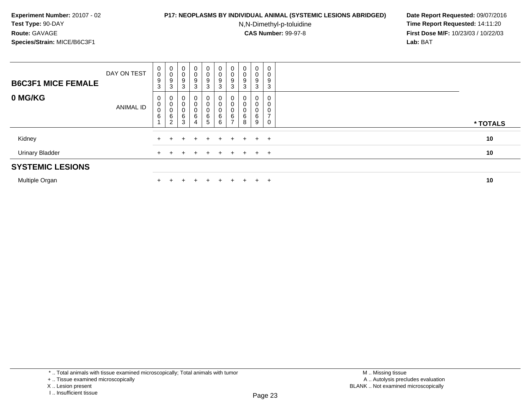### **P17: NEOPLASMS BY INDIVIDUAL ANIMAL (SYSTEMIC LESIONS ABRIDGED) Date Report Requested:** 09/07/2016

N,N-Dimethyl-p-toluidine

 **Time Report Requested:** 14:11:20 **First Dose M/F:** 10/23/03 / 10/22/03<br>**Lab:** BAT **Lab:** BAT

| <b>B6C3F1 MICE FEMALE</b> | DAY ON TEST | 0<br>$\pmb{0}$<br>9<br>3       | $\mathbf 0$<br>0<br>9<br>3 | 0<br>$\overline{0}$<br>9<br>3 | $\mathbf 0$<br>0<br>9<br>3 | 0<br>0<br>9<br>3      | $\overline{0}$<br>$_{9}^{\rm 0}$<br>$\mathbf{3}$  | 0<br>0<br>9<br>3                           | 0<br>$\boldsymbol{0}$<br>9<br>3 | $\mathbf{0}$<br>0<br>9<br>3 | 0<br>0<br>9<br>3 |          |  |
|---------------------------|-------------|--------------------------------|----------------------------|-------------------------------|----------------------------|-----------------------|---------------------------------------------------|--------------------------------------------|---------------------------------|-----------------------------|------------------|----------|--|
| 0 MG/KG                   | ANIMAL ID   | 0<br>0<br>$\mathbf 0$<br>$\,6$ | 0<br>0<br>0<br>6<br>2      | 6<br>3                        | 0<br>0<br>0<br>6<br>4      | 0<br>0<br>0<br>6<br>5 | 0<br>$\mathbf 0$<br>$\pmb{0}$<br>$\,6\,$<br>$\,6$ | 0<br>$\pmb{0}$<br>0<br>6<br>$\overline{ }$ | 6<br>8                          | 0<br>0<br>0<br>6<br>9       | 0<br>0<br>0<br>0 | * TOTALS |  |
| Kidney                    |             |                                |                            |                               | $+$                        | $+$                   |                                                   | $+$ $+$                                    |                                 | $+$ $+$ $+$                 |                  | 10       |  |
| <b>Urinary Bladder</b>    |             |                                |                            |                               |                            | $\pm$                 |                                                   | $+$                                        | $+$                             |                             | $+$ $+$          | 10       |  |
| <b>SYSTEMIC LESIONS</b>   |             |                                |                            |                               |                            |                       |                                                   |                                            |                                 |                             |                  |          |  |
|                           |             |                                |                            |                               |                            |                       |                                                   |                                            |                                 |                             |                  |          |  |

Multiple Organn  $+$ 

<sup>+</sup> <sup>+</sup> <sup>+</sup> <sup>+</sup> <sup>+</sup> <sup>+</sup> <sup>+</sup> <sup>+</sup> <sup>+</sup> **<sup>10</sup>**

<sup>\* ..</sup> Total animals with tissue examined microscopically; Total animals with tumor

<sup>+ ..</sup> Tissue examined microscopically

X .. Lesion present

I .. Insufficient tissue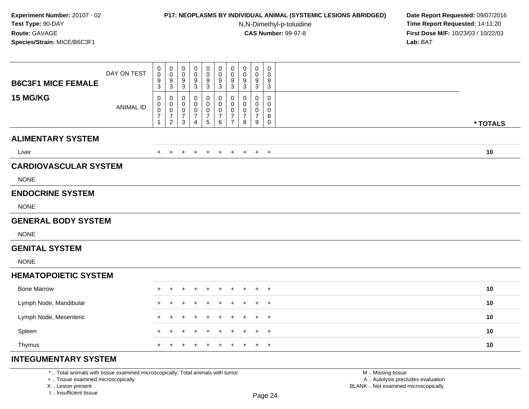## **P17: NEOPLASMS BY INDIVIDUAL ANIMAL (SYSTEMIC LESIONS ABRIDGED) Date Report Requested:** 09/07/2016

N,N-Dimethyl-p-toluidine

 **Time Report Requested:** 14:11:20 **First Dose M/F:** 10/23/03 / 10/22/03<br>**Lab:** BAT **Lab:** BAT

| <b>B6C3F1 MICE FEMALE</b>    | DAY ON TEST      | $_{\rm 0}^{\rm 0}$<br>$\frac{9}{3}$                           | $\pmb{0}$<br>$\mathbf 0$<br>$\frac{9}{3}$                             | 0<br>$\pmb{0}$<br>$\frac{9}{3}$                               | 0<br>0<br>9<br>$\sqrt{3}$            | 0<br>$\mathbf 0$<br>9<br>$\sqrt{3}$           | 0<br>$\pmb{0}$<br>9<br>$\overline{3}$        | 0<br>$\pmb{0}$<br>9<br>$\mathbf{3}$                         | $\pmb{0}$<br>$\pmb{0}$<br>9<br>$\overline{3}$ | $\mathbf 0$<br>0<br>9<br>$\overline{3}$ | $\pmb{0}$<br>$\pmb{0}$<br>9<br>$\overline{3}$                       |          |  |
|------------------------------|------------------|---------------------------------------------------------------|-----------------------------------------------------------------------|---------------------------------------------------------------|--------------------------------------|-----------------------------------------------|----------------------------------------------|-------------------------------------------------------------|-----------------------------------------------|-----------------------------------------|---------------------------------------------------------------------|----------|--|
| 15 MG/KG                     | <b>ANIMAL ID</b> | 0<br>$\pmb{0}$<br>$\pmb{0}$<br>$\overline{7}$<br>$\mathbf{1}$ | 0<br>$\mathbf 0$<br>$\mathbf 0$<br>$\boldsymbol{7}$<br>$\overline{2}$ | 0<br>$\boldsymbol{0}$<br>$\mathbf 0$<br>$\boldsymbol{7}$<br>3 | 0<br>0<br>0<br>$\boldsymbol{7}$<br>4 | 0<br>0<br>0<br>$\boldsymbol{7}$<br>$\sqrt{5}$ | 0<br>$\mathsf 0$<br>0<br>$\overline{7}$<br>6 | 0<br>$\mathbf 0$<br>0<br>$\boldsymbol{7}$<br>$\overline{7}$ | 0<br>$\mathbf 0$<br>0<br>$\overline{7}$<br>8  | 0<br>0<br>0<br>$\overline{7}$<br>9      | $\mathbf 0$<br>$\mathbf 0$<br>$\mathbf 0$<br>$\bf 8$<br>$\mathsf 0$ | * TOTALS |  |
| <b>ALIMENTARY SYSTEM</b>     |                  |                                                               |                                                                       |                                                               |                                      |                                               |                                              |                                                             |                                               |                                         |                                                                     |          |  |
| Liver                        |                  | $\pm$                                                         | $\overline{+}$                                                        | $\ddot{}$                                                     | $\ddot{}$                            | $\ddot{}$                                     | $+$                                          | $+$                                                         | $+$                                           | $+$                                     | $+$                                                                 | 10       |  |
| <b>CARDIOVASCULAR SYSTEM</b> |                  |                                                               |                                                                       |                                                               |                                      |                                               |                                              |                                                             |                                               |                                         |                                                                     |          |  |
| <b>NONE</b>                  |                  |                                                               |                                                                       |                                                               |                                      |                                               |                                              |                                                             |                                               |                                         |                                                                     |          |  |
| <b>ENDOCRINE SYSTEM</b>      |                  |                                                               |                                                                       |                                                               |                                      |                                               |                                              |                                                             |                                               |                                         |                                                                     |          |  |
| <b>NONE</b>                  |                  |                                                               |                                                                       |                                                               |                                      |                                               |                                              |                                                             |                                               |                                         |                                                                     |          |  |
| <b>GENERAL BODY SYSTEM</b>   |                  |                                                               |                                                                       |                                                               |                                      |                                               |                                              |                                                             |                                               |                                         |                                                                     |          |  |
| <b>NONE</b>                  |                  |                                                               |                                                                       |                                                               |                                      |                                               |                                              |                                                             |                                               |                                         |                                                                     |          |  |
| <b>GENITAL SYSTEM</b>        |                  |                                                               |                                                                       |                                                               |                                      |                                               |                                              |                                                             |                                               |                                         |                                                                     |          |  |
| <b>NONE</b>                  |                  |                                                               |                                                                       |                                                               |                                      |                                               |                                              |                                                             |                                               |                                         |                                                                     |          |  |
| <b>HEMATOPOIETIC SYSTEM</b>  |                  |                                                               |                                                                       |                                                               |                                      |                                               |                                              |                                                             |                                               |                                         |                                                                     |          |  |
| <b>Bone Marrow</b>           |                  | $\ddot{}$                                                     | $\div$                                                                |                                                               |                                      |                                               |                                              |                                                             |                                               | +                                       | $\overline{1}$                                                      | 10       |  |
| Lymph Node, Mandibular       |                  |                                                               |                                                                       |                                                               |                                      |                                               |                                              |                                                             |                                               |                                         | $\overline{+}$                                                      | 10       |  |
| Lymph Node, Mesenteric       |                  | $\pm$                                                         | $\div$                                                                |                                                               |                                      |                                               |                                              |                                                             | $\ddot{}$                                     | $+$                                     | $+$                                                                 | 10       |  |
| Spleen                       |                  | $\ddot{}$                                                     | $\ddot{}$                                                             |                                                               |                                      |                                               |                                              |                                                             | ÷                                             | $+$                                     | $^{+}$                                                              | 10       |  |
| Thymus                       |                  | $+$                                                           | $\ddot{}$                                                             | $\ddot{}$                                                     | $\ddot{}$                            | $\pm$                                         | $\overline{+}$                               | $\ddot{}$                                                   | $+$                                           | $+$                                     | $+$                                                                 | 10       |  |
| <b>INTEGUMENTARY SYSTEM</b>  |                  |                                                               |                                                                       |                                                               |                                      |                                               |                                              |                                                             |                                               |                                         |                                                                     |          |  |

\* .. Total animals with tissue examined microscopically; Total animals with tumor

+ .. Tissue examined microscopically

X .. Lesion present

I .. Insufficient tissue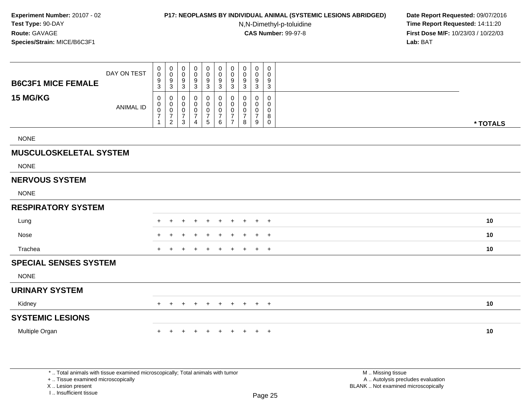#### **P17: NEOPLASMS BY INDIVIDUAL ANIMAL (SYSTEMIC LESIONS ABRIDGED) Date Report Requested:** 09/07/2016

N,N-Dimethyl-p-toluidine

 **Time Report Requested:** 14:11:20 **First Dose M/F:** 10/23/03 / 10/22/03<br>**Lab:** BAT **Lab:** BAT

| <b>B6C3F1 MICE FEMALE</b>     | DAY ON TEST      | $\mathbf 0$<br>0<br>$\frac{9}{3}$                           | $\begin{matrix} 0 \\ 0 \\ 9 \\ 3 \end{matrix}$                   | 0<br>0<br>9<br>3                   | 0<br>$\mathbf 0$<br>9<br>$\mathbf{3}$                             | 0<br>$\mathbf 0$<br>9<br>$\mathbf{3}$                                | $\mathbf 0$<br>$\ddot{\mathbf{0}}$<br>$\boldsymbol{9}$<br>3            | $\begin{smallmatrix} 0\\0 \end{smallmatrix}$<br>9<br>3              | 0<br>0<br>9<br>$\mathbf{3}$ | $\begin{smallmatrix} 0\\0 \end{smallmatrix}$<br>$\overline{9}$<br>$\mathbf 3$ | 0<br>0<br>9<br>$\mathbf 3$      |          |
|-------------------------------|------------------|-------------------------------------------------------------|------------------------------------------------------------------|------------------------------------|-------------------------------------------------------------------|----------------------------------------------------------------------|------------------------------------------------------------------------|---------------------------------------------------------------------|-----------------------------|-------------------------------------------------------------------------------|---------------------------------|----------|
| 15 MG/KG                      | <b>ANIMAL ID</b> | $\mathbf 0$<br>$\mathbf 0$<br>$\frac{0}{7}$<br>$\mathbf{1}$ | 0<br>$\begin{matrix} 0 \\ 0 \\ 7 \end{matrix}$<br>$\overline{2}$ | 0<br>0<br>0<br>$\overline{7}$<br>3 | 0<br>$\mathbf 0$<br>$\pmb{0}$<br>$\overline{7}$<br>$\overline{4}$ | 0<br>$\mathbf 0$<br>$\mathbf 0$<br>$\overline{7}$<br>$5\phantom{.0}$ | 0<br>$\mathsf{O}\xspace$<br>$\mathsf{O}\xspace$<br>$\overline{7}$<br>6 | 0<br>$\mathbf 0$<br>$\mathbf 0$<br>$\overline{7}$<br>$\overline{7}$ | 0<br>0<br>0<br>7<br>8       | $\mathbf 0$<br>$\mathbf 0$<br>$\pmb{0}$<br>$\overline{7}$<br>9                | 0<br>0<br>0<br>8<br>$\mathbf 0$ | * TOTALS |
| <b>NONE</b>                   |                  |                                                             |                                                                  |                                    |                                                                   |                                                                      |                                                                        |                                                                     |                             |                                                                               |                                 |          |
| <b>MUSCULOSKELETAL SYSTEM</b> |                  |                                                             |                                                                  |                                    |                                                                   |                                                                      |                                                                        |                                                                     |                             |                                                                               |                                 |          |
| <b>NONE</b>                   |                  |                                                             |                                                                  |                                    |                                                                   |                                                                      |                                                                        |                                                                     |                             |                                                                               |                                 |          |
| <b>NERVOUS SYSTEM</b>         |                  |                                                             |                                                                  |                                    |                                                                   |                                                                      |                                                                        |                                                                     |                             |                                                                               |                                 |          |
| <b>NONE</b>                   |                  |                                                             |                                                                  |                                    |                                                                   |                                                                      |                                                                        |                                                                     |                             |                                                                               |                                 |          |
| <b>RESPIRATORY SYSTEM</b>     |                  |                                                             |                                                                  |                                    |                                                                   |                                                                      |                                                                        |                                                                     |                             |                                                                               |                                 |          |
| Lung                          |                  |                                                             |                                                                  |                                    |                                                                   | ÷                                                                    |                                                                        | $\div$                                                              | $\pm$                       | $\div$                                                                        | $+$                             | 10       |
| Nose                          |                  | ÷.                                                          |                                                                  |                                    |                                                                   | ÷                                                                    | $\ddot{}$                                                              | $\pm$                                                               | $\pm$                       | $\pm$                                                                         | $+$                             | 10       |
| Trachea                       |                  | $\pm$                                                       |                                                                  |                                    |                                                                   |                                                                      |                                                                        | $\ddot{}$                                                           | $\pm$                       | $\ddot{}$                                                                     | $+$                             | 10       |
| <b>SPECIAL SENSES SYSTEM</b>  |                  |                                                             |                                                                  |                                    |                                                                   |                                                                      |                                                                        |                                                                     |                             |                                                                               |                                 |          |
| <b>NONE</b>                   |                  |                                                             |                                                                  |                                    |                                                                   |                                                                      |                                                                        |                                                                     |                             |                                                                               |                                 |          |
| <b>URINARY SYSTEM</b>         |                  |                                                             |                                                                  |                                    |                                                                   |                                                                      |                                                                        |                                                                     |                             |                                                                               |                                 |          |
| Kidney                        |                  |                                                             | $\overline{ }$                                                   | $\div$                             | $\div$                                                            | $\ddot{}$                                                            | $\ddot{}$                                                              | $\ddot{}$                                                           | $\ddot{}$                   | $+$                                                                           | $+$                             | 10       |
| <b>SYSTEMIC LESIONS</b>       |                  |                                                             |                                                                  |                                    |                                                                   |                                                                      |                                                                        |                                                                     |                             |                                                                               |                                 |          |
| Multiple Organ                |                  | ÷.                                                          |                                                                  | ÷.                                 | $\div$                                                            | $\ddot{}$                                                            | $\ddot{}$                                                              | $\pm$                                                               | $+$                         | $\pm$                                                                         | $+$                             | 10       |
|                               |                  |                                                             |                                                                  |                                    |                                                                   |                                                                      |                                                                        |                                                                     |                             |                                                                               |                                 |          |
|                               |                  |                                                             |                                                                  |                                    |                                                                   |                                                                      |                                                                        |                                                                     |                             |                                                                               |                                 |          |

\* .. Total animals with tissue examined microscopically; Total animals with tumor

+ .. Tissue examined microscopically

X .. Lesion present

I .. Insufficient tissue

M .. Missing tissue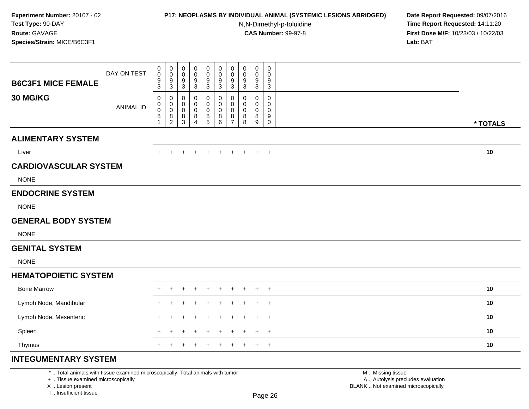## **P17: NEOPLASMS BY INDIVIDUAL ANIMAL (SYSTEMIC LESIONS ABRIDGED) Date Report Requested:** 09/07/2016

N,N-Dimethyl-p-toluidine

 **Time Report Requested:** 14:11:20 **First Dose M/F:** 10/23/03 / 10/22/03<br>**Lab:** BAT **Lab:** BAT

| <b>B6C3F1 MICE FEMALE</b>    | DAY ON TEST      | $\,0\,$<br>$\,0\,$<br>$\frac{9}{3}$ | $\pmb{0}$<br>$\mathsf{O}\xspace$<br>$\frac{9}{3}$                       | $\mathbf 0$<br>$\mathbf 0$<br>$\frac{9}{3}$      | 0<br>0<br>9<br>$\overline{3}$      | 0<br>$\mathbf 0$<br>9<br>3      | $\pmb{0}$<br>$\pmb{0}$<br>$\frac{9}{3}$ | $\pmb{0}$<br>$\mathbf 0$<br>9<br>$\mathbf{3}$ | $\pmb{0}$<br>$\pmb{0}$<br>$\frac{9}{3}$ | $\mathbf 0$<br>0<br>9<br>$\mathbf{3}$          | $\mathbf 0$<br>$\mathbf 0$<br>9<br>3                |          |
|------------------------------|------------------|-------------------------------------|-------------------------------------------------------------------------|--------------------------------------------------|------------------------------------|---------------------------------|-----------------------------------------|-----------------------------------------------|-----------------------------------------|------------------------------------------------|-----------------------------------------------------|----------|
| 30 MG/KG                     | <b>ANIMAL ID</b> | 0<br>0<br>$\mathbf 0$<br>8          | 0<br>0<br>$\mathbf 0$<br>$\begin{smallmatrix} 8 \\ 2 \end{smallmatrix}$ | 0<br>$\mathbf 0$<br>$\mathbf 0$<br>$\frac{8}{3}$ | 0<br>0<br>0<br>8<br>$\overline{4}$ | 0<br>$\mathbf 0$<br>0<br>8<br>5 | 0<br>0<br>0<br>$^8_6$                   | 0<br>$\mathbf 0$<br>0<br>$\frac{8}{7}$        | 0<br>0<br>$\pmb{0}$<br>$_{8}^8$         | 0<br>$\mathbf 0$<br>0<br>8<br>$\boldsymbol{9}$ | 0<br>$\mathbf 0$<br>$\mathbf 0$<br>9<br>$\mathbf 0$ | * TOTALS |
| <b>ALIMENTARY SYSTEM</b>     |                  |                                     |                                                                         |                                                  |                                    |                                 |                                         |                                               |                                         |                                                |                                                     |          |
| Liver                        |                  | $+$                                 | $\pm$                                                                   | $\ddot{}$                                        | ÷                                  | $\div$                          | $\overline{+}$                          | $\ddot{}$                                     | $+$                                     | $+$                                            | $+$                                                 | 10       |
| <b>CARDIOVASCULAR SYSTEM</b> |                  |                                     |                                                                         |                                                  |                                    |                                 |                                         |                                               |                                         |                                                |                                                     |          |
| <b>NONE</b>                  |                  |                                     |                                                                         |                                                  |                                    |                                 |                                         |                                               |                                         |                                                |                                                     |          |
| <b>ENDOCRINE SYSTEM</b>      |                  |                                     |                                                                         |                                                  |                                    |                                 |                                         |                                               |                                         |                                                |                                                     |          |
| <b>NONE</b>                  |                  |                                     |                                                                         |                                                  |                                    |                                 |                                         |                                               |                                         |                                                |                                                     |          |
| <b>GENERAL BODY SYSTEM</b>   |                  |                                     |                                                                         |                                                  |                                    |                                 |                                         |                                               |                                         |                                                |                                                     |          |
| <b>NONE</b>                  |                  |                                     |                                                                         |                                                  |                                    |                                 |                                         |                                               |                                         |                                                |                                                     |          |
| <b>GENITAL SYSTEM</b>        |                  |                                     |                                                                         |                                                  |                                    |                                 |                                         |                                               |                                         |                                                |                                                     |          |
| <b>NONE</b>                  |                  |                                     |                                                                         |                                                  |                                    |                                 |                                         |                                               |                                         |                                                |                                                     |          |
| <b>HEMATOPOIETIC SYSTEM</b>  |                  |                                     |                                                                         |                                                  |                                    |                                 |                                         |                                               |                                         |                                                |                                                     |          |
| <b>Bone Marrow</b>           |                  | $\pm$                               | $\ddot{}$                                                               |                                                  |                                    |                                 | ÷                                       | $\pm$                                         | $\pm$                                   | +                                              | $^{+}$                                              | 10       |
| Lymph Node, Mandibular       |                  |                                     |                                                                         |                                                  |                                    |                                 |                                         |                                               |                                         |                                                | $\overline{+}$                                      | 10       |
| Lymph Node, Mesenteric       |                  | $\pm$                               |                                                                         |                                                  |                                    |                                 |                                         |                                               |                                         | +                                              | $+$                                                 | 10       |
| Spleen                       |                  | $\ddot{}$                           | $\ddot{}$                                                               | $\ddot{}$                                        | +                                  |                                 |                                         |                                               | $\ddot{}$                               | +                                              | $\ddot{}$                                           | 10       |
| Thymus                       |                  | $\ddot{}$                           | $\div$                                                                  |                                                  |                                    |                                 | $\ddot{}$                               | $\ddot{}$                                     | $\ddot{}$                               | $+$                                            | $+$                                                 | 10       |
| <b>INTEGUMENTARY SYSTEM</b>  |                  |                                     |                                                                         |                                                  |                                    |                                 |                                         |                                               |                                         |                                                |                                                     |          |

#### \* .. Total animals with tissue examined microscopically; Total animals with tumor

+ .. Tissue examined microscopically

X .. Lesion present

I .. Insufficient tissue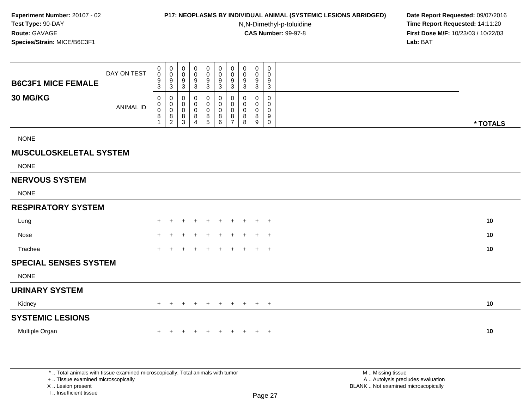#### **P17: NEOPLASMS BY INDIVIDUAL ANIMAL (SYSTEMIC LESIONS ABRIDGED) Date Report Requested:** 09/07/2016

N,N-Dimethyl-p-toluidine

 **Time Report Requested:** 14:11:20 **First Dose M/F:** 10/23/03 / 10/22/03<br>**Lab:** BAT **Lab:** BAT

| <b>B6C3F1 MICE FEMALE</b>     | DAY ON TEST      | $\mathbf 0$<br>$\ddot{\mathbf{0}}$<br>$\frac{9}{3}$  | 0<br>$\overline{0}$<br>$\frac{9}{3}$                    | $\mathbf 0$<br>$\boldsymbol{0}$<br>$9\,$<br>$\mathbf{3}$ | 0<br>$\mathbf 0$<br>9<br>3                   | 0<br>$\mathbf 0$<br>9<br>$\mathbf{3}$ | $\pmb{0}$<br>$\mathsf{O}\xspace$<br>$9\,$<br>$\mathbf{3}$ | $\pmb{0}$<br>$\pmb{0}$<br>9<br>$\sqrt{3}$          | 0<br>$\mathbf 0$<br>9<br>3      | $\mathbf 0$<br>$\mathbf 0$<br>9<br>$\mathbf{3}$ | 0<br>$\mathbf 0$<br>9<br>$\mathbf{3}$ |          |
|-------------------------------|------------------|------------------------------------------------------|---------------------------------------------------------|----------------------------------------------------------|----------------------------------------------|---------------------------------------|-----------------------------------------------------------|----------------------------------------------------|---------------------------------|-------------------------------------------------|---------------------------------------|----------|
| 30 MG/KG                      | <b>ANIMAL ID</b> | 0<br>$\mathbf 0$<br>$\mathbf 0$<br>8<br>$\mathbf{1}$ | 0<br>$\pmb{0}$<br>$\overline{0}$<br>8<br>$\overline{2}$ | 0<br>$\mathbf 0$<br>$\mathbf 0$<br>8<br>$\mathbf{3}$     | 0<br>$\mathbf 0$<br>0<br>8<br>$\overline{4}$ | 0<br>$\mathbf 0$<br>0<br>8<br>5       | 0<br>$\mathsf{O}\xspace$<br>0<br>8<br>6                   | 0<br>$\pmb{0}$<br>$\pmb{0}$<br>8<br>$\overline{7}$ | $\mathbf 0$<br>0<br>0<br>8<br>8 | $\mathbf 0$<br>$\mathbf 0$<br>0<br>8<br>9       | 0<br>0<br>0<br>9<br>$\mathbf 0$       | * TOTALS |
| <b>NONE</b>                   |                  |                                                      |                                                         |                                                          |                                              |                                       |                                                           |                                                    |                                 |                                                 |                                       |          |
| <b>MUSCULOSKELETAL SYSTEM</b> |                  |                                                      |                                                         |                                                          |                                              |                                       |                                                           |                                                    |                                 |                                                 |                                       |          |
| <b>NONE</b>                   |                  |                                                      |                                                         |                                                          |                                              |                                       |                                                           |                                                    |                                 |                                                 |                                       |          |
| <b>NERVOUS SYSTEM</b>         |                  |                                                      |                                                         |                                                          |                                              |                                       |                                                           |                                                    |                                 |                                                 |                                       |          |
| <b>NONE</b>                   |                  |                                                      |                                                         |                                                          |                                              |                                       |                                                           |                                                    |                                 |                                                 |                                       |          |
| <b>RESPIRATORY SYSTEM</b>     |                  |                                                      |                                                         |                                                          |                                              |                                       |                                                           |                                                    |                                 |                                                 |                                       |          |
| Lung                          |                  |                                                      |                                                         |                                                          |                                              |                                       |                                                           |                                                    |                                 | $\pm$                                           | $+$                                   | 10       |
| Nose                          |                  |                                                      |                                                         |                                                          |                                              |                                       |                                                           | ÷                                                  | ٠                               | $\pm$                                           | $+$                                   | 10       |
| Trachea                       |                  | $+$                                                  |                                                         |                                                          |                                              | $\pm$                                 | $\ddot{}$                                                 | $\ddot{}$                                          | $\pm$                           | $+$                                             | $+$                                   | 10       |
| <b>SPECIAL SENSES SYSTEM</b>  |                  |                                                      |                                                         |                                                          |                                              |                                       |                                                           |                                                    |                                 |                                                 |                                       |          |
| <b>NONE</b>                   |                  |                                                      |                                                         |                                                          |                                              |                                       |                                                           |                                                    |                                 |                                                 |                                       |          |
| <b>URINARY SYSTEM</b>         |                  |                                                      |                                                         |                                                          |                                              |                                       |                                                           |                                                    |                                 |                                                 |                                       |          |
| Kidney                        |                  | $+$                                                  | $\pm$                                                   | $\div$                                                   | ÷                                            | $\ddot{}$                             | $+$                                                       | $+$                                                | $+$                             |                                                 | $+$ $+$                               | 10       |
| <b>SYSTEMIC LESIONS</b>       |                  |                                                      |                                                         |                                                          |                                              |                                       |                                                           |                                                    |                                 |                                                 |                                       |          |
| Multiple Organ                |                  |                                                      |                                                         |                                                          |                                              |                                       | ÷                                                         | $\div$                                             |                                 | $\pm$                                           | $+$                                   | 10       |
|                               |                  |                                                      |                                                         |                                                          |                                              |                                       |                                                           |                                                    |                                 |                                                 |                                       |          |
|                               |                  |                                                      |                                                         |                                                          |                                              |                                       |                                                           |                                                    |                                 |                                                 |                                       |          |

\* .. Total animals with tissue examined microscopically; Total animals with tumor

+ .. Tissue examined microscopically

X .. Lesion present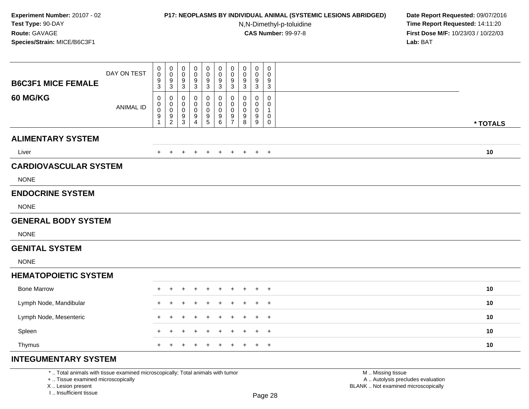## **P17: NEOPLASMS BY INDIVIDUAL ANIMAL (SYSTEMIC LESIONS ABRIDGED) Date Report Requested:** 09/07/2016

N,N-Dimethyl-p-toluidine

 **Time Report Requested:** 14:11:20 **First Dose M/F:** 10/23/03 / 10/22/03<br>**Lab:** BAT **Lab:** BAT

| <b>B6C3F1 MICE FEMALE</b>    | DAY ON TEST      | $\pmb{0}$<br>$\pmb{0}$<br>$\frac{9}{3}$                | $\mathbf 0$<br>$\mathbf 0$<br>$\frac{9}{3}$              | $\pmb{0}$<br>$\pmb{0}$<br>$\frac{9}{3}$               | 0<br>0<br>9<br>$\sqrt{3}$ | 0<br>$\mathbf 0$<br>9<br>$\sqrt{3}$      | 0<br>$\pmb{0}$<br>9<br>$\overline{3}$              | $\pmb{0}$<br>$\mathsf{O}\xspace$<br>9<br>$\mathbf{3}$ | $\mathbf 0$<br>$\pmb{0}$<br>$\frac{9}{3}$              | 0<br>0<br>9<br>$\mathbf{3}$          | $\pmb{0}$<br>$\mathbf 0$<br>$9\,$<br>$\mathsf 3$                              |          |
|------------------------------|------------------|--------------------------------------------------------|----------------------------------------------------------|-------------------------------------------------------|---------------------------|------------------------------------------|----------------------------------------------------|-------------------------------------------------------|--------------------------------------------------------|--------------------------------------|-------------------------------------------------------------------------------|----------|
| 60 MG/KG                     | <b>ANIMAL ID</b> | 0<br>$\pmb{0}$<br>$\mathbf 0$<br>$\boldsymbol{9}$<br>1 | 0<br>$\mathbf 0$<br>$\ddot{\mathbf{0}}$<br>$\frac{9}{2}$ | 0<br>$\boldsymbol{0}$<br>$\mathbf 0$<br>$\frac{9}{3}$ | 0<br>0<br>0<br>9<br>4     | 0<br>$\mathbf 0$<br>0<br>9<br>$\sqrt{5}$ | 0<br>$\mathbf 0$<br>0<br>$\boldsymbol{9}$<br>$\,6$ | 0<br>0<br>$\pmb{0}$<br>$\frac{9}{7}$                  | 0<br>$\mathbf 0$<br>$\mathbf 0$<br>9<br>$\overline{8}$ | 0<br>0<br>0<br>9<br>$\boldsymbol{9}$ | $\pmb{0}$<br>$\mathbf 0$<br>$\overline{1}$<br>$\boldsymbol{0}$<br>$\mathbf 0$ | * TOTALS |
| <b>ALIMENTARY SYSTEM</b>     |                  |                                                        |                                                          |                                                       |                           |                                          |                                                    |                                                       |                                                        |                                      |                                                                               |          |
| Liver                        |                  | $\ddot{}$                                              | $\pm$                                                    | $\ddot{}$                                             | $\ddot{}$                 | $\ddot{}$                                | $+$                                                | $+$                                                   | $+$                                                    | $+$                                  | $+$                                                                           | 10       |
| <b>CARDIOVASCULAR SYSTEM</b> |                  |                                                        |                                                          |                                                       |                           |                                          |                                                    |                                                       |                                                        |                                      |                                                                               |          |
| <b>NONE</b>                  |                  |                                                        |                                                          |                                                       |                           |                                          |                                                    |                                                       |                                                        |                                      |                                                                               |          |
| <b>ENDOCRINE SYSTEM</b>      |                  |                                                        |                                                          |                                                       |                           |                                          |                                                    |                                                       |                                                        |                                      |                                                                               |          |
| <b>NONE</b>                  |                  |                                                        |                                                          |                                                       |                           |                                          |                                                    |                                                       |                                                        |                                      |                                                                               |          |
| <b>GENERAL BODY SYSTEM</b>   |                  |                                                        |                                                          |                                                       |                           |                                          |                                                    |                                                       |                                                        |                                      |                                                                               |          |
| <b>NONE</b>                  |                  |                                                        |                                                          |                                                       |                           |                                          |                                                    |                                                       |                                                        |                                      |                                                                               |          |
| <b>GENITAL SYSTEM</b>        |                  |                                                        |                                                          |                                                       |                           |                                          |                                                    |                                                       |                                                        |                                      |                                                                               |          |
| <b>NONE</b>                  |                  |                                                        |                                                          |                                                       |                           |                                          |                                                    |                                                       |                                                        |                                      |                                                                               |          |
| <b>HEMATOPOIETIC SYSTEM</b>  |                  |                                                        |                                                          |                                                       |                           |                                          |                                                    |                                                       |                                                        |                                      |                                                                               |          |
| <b>Bone Marrow</b>           |                  |                                                        |                                                          |                                                       |                           |                                          |                                                    |                                                       |                                                        |                                      | $^{+}$                                                                        | 10       |
| Lymph Node, Mandibular       |                  | +                                                      |                                                          |                                                       |                           |                                          |                                                    |                                                       |                                                        | $+$                                  | $^{+}$                                                                        | 10       |
| Lymph Node, Mesenteric       |                  | $\ddot{}$                                              | $\div$                                                   |                                                       |                           |                                          | ٠                                                  |                                                       | $\ddot{}$                                              | $+$                                  | $+$                                                                           | 10       |
| Spleen                       |                  | $\div$                                                 | ÷                                                        |                                                       |                           |                                          |                                                    |                                                       |                                                        | +                                    | $^{+}$                                                                        | 10       |
| Thymus                       |                  | $\ddot{}$                                              |                                                          |                                                       |                           |                                          |                                                    |                                                       | $\ddot{}$                                              | $+$                                  | $\overline{+}$                                                                | 10       |
| <b>INTEGUMENTARY SYSTEM</b>  |                  |                                                        |                                                          |                                                       |                           |                                          |                                                    |                                                       |                                                        |                                      |                                                                               |          |

\* .. Total animals with tissue examined microscopically; Total animals with tumor

+ .. Tissue examined microscopically

X .. Lesion present

I .. Insufficient tissue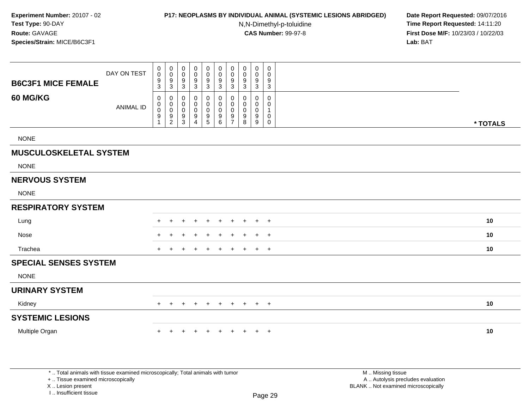#### **P17: NEOPLASMS BY INDIVIDUAL ANIMAL (SYSTEMIC LESIONS ABRIDGED) Date Report Requested:** 09/07/2016

N,N-Dimethyl-p-toluidine

 **Time Report Requested:** 14:11:20 **First Dose M/F:** 10/23/03 / 10/22/03<br>**Lab:** BAT **Lab:** BAT

| <b>B6C3F1 MICE FEMALE</b>     | DAY ON TEST      | $\begin{smallmatrix}0\0\0\end{smallmatrix}$<br>$\frac{9}{3}$        | $\mathbf 0$<br>$\overline{0}$<br>$\frac{9}{3}$                 | 0<br>$\mathbf 0$<br>$9\,$<br>3                | 0<br>$\mathbf 0$<br>9<br>3                     | 0<br>$\mathbf 0$<br>$\boldsymbol{9}$<br>$\mathbf{3}$                          | 0<br>$\mathbf 0$<br>$\boldsymbol{9}$<br>$\sqrt{3}$               | $\pmb{0}$<br>$\pmb{0}$<br>$\boldsymbol{9}$<br>$\ensuremath{\mathsf{3}}$ | 0<br>0<br>9<br>$\mathbf{3}$     | $\mathbf 0$<br>$\mathbf 0$<br>9<br>$\mathbf{3}$     | 0<br>$\mathbf 0$<br>9<br>$\sqrt{3}$        |          |
|-------------------------------|------------------|---------------------------------------------------------------------|----------------------------------------------------------------|-----------------------------------------------|------------------------------------------------|-------------------------------------------------------------------------------|------------------------------------------------------------------|-------------------------------------------------------------------------|---------------------------------|-----------------------------------------------------|--------------------------------------------|----------|
| 60 MG/KG                      | <b>ANIMAL ID</b> | $\mathbf 0$<br>$\mathbf 0$<br>$\ddot{\mathbf{0}}$<br>$\overline{9}$ | $\mathbf 0$<br>$\begin{array}{c} 0 \\ 0 \\ 9 \\ 2 \end{array}$ | 0<br>$\mathbf 0$<br>$\mathbf 0$<br>$9\,$<br>3 | 0<br>0<br>$\mathbf 0$<br>$\boldsymbol{9}$<br>4 | $\boldsymbol{0}$<br>0<br>$\mathbf 0$<br>$\begin{array}{c} 9 \\ 5 \end{array}$ | $\pmb{0}$<br>$\mathbf 0$<br>$\mathbf 0$<br>$\boldsymbol{9}$<br>6 | $\mathbf 0$<br>$\pmb{0}$<br>$\pmb{0}$<br>9<br>$\overline{7}$            | $\mathbf 0$<br>0<br>0<br>9<br>8 | $\mathbf 0$<br>$\mathbf 0$<br>$\mathbf 0$<br>9<br>9 | 0<br>0<br>$\mathbf{1}$<br>0<br>$\mathbf 0$ | * TOTALS |
| <b>NONE</b>                   |                  |                                                                     |                                                                |                                               |                                                |                                                                               |                                                                  |                                                                         |                                 |                                                     |                                            |          |
| <b>MUSCULOSKELETAL SYSTEM</b> |                  |                                                                     |                                                                |                                               |                                                |                                                                               |                                                                  |                                                                         |                                 |                                                     |                                            |          |
| <b>NONE</b>                   |                  |                                                                     |                                                                |                                               |                                                |                                                                               |                                                                  |                                                                         |                                 |                                                     |                                            |          |
| <b>NERVOUS SYSTEM</b>         |                  |                                                                     |                                                                |                                               |                                                |                                                                               |                                                                  |                                                                         |                                 |                                                     |                                            |          |
| <b>NONE</b>                   |                  |                                                                     |                                                                |                                               |                                                |                                                                               |                                                                  |                                                                         |                                 |                                                     |                                            |          |
| <b>RESPIRATORY SYSTEM</b>     |                  |                                                                     |                                                                |                                               |                                                |                                                                               |                                                                  |                                                                         |                                 |                                                     |                                            |          |
| Lung                          |                  |                                                                     |                                                                | ÷                                             |                                                | $\ddot{}$                                                                     | $\ddot{}$                                                        | $\ddot{}$                                                               | $\pm$                           | $\pm$                                               | $+$                                        | 10       |
| Nose                          |                  |                                                                     |                                                                |                                               |                                                |                                                                               |                                                                  |                                                                         |                                 | ÷                                                   | $^{+}$                                     | 10       |
| Trachea                       |                  |                                                                     |                                                                |                                               |                                                | $\overline{ }$                                                                | $\ddot{}$                                                        | $\ddot{}$                                                               | ÷                               | $\pm$                                               | $+$                                        | 10       |
| <b>SPECIAL SENSES SYSTEM</b>  |                  |                                                                     |                                                                |                                               |                                                |                                                                               |                                                                  |                                                                         |                                 |                                                     |                                            |          |
| <b>NONE</b>                   |                  |                                                                     |                                                                |                                               |                                                |                                                                               |                                                                  |                                                                         |                                 |                                                     |                                            |          |
| <b>URINARY SYSTEM</b>         |                  |                                                                     |                                                                |                                               |                                                |                                                                               |                                                                  |                                                                         |                                 |                                                     |                                            |          |
| Kidney                        |                  | $+$                                                                 | $\pm$                                                          | $\ddot{}$                                     | $\ddot{}$                                      | $\ddot{}$                                                                     | $\ddot{}$                                                        | $\ddot{}$                                                               | $+$                             | $+$                                                 | $+$                                        | 10       |
| <b>SYSTEMIC LESIONS</b>       |                  |                                                                     |                                                                |                                               |                                                |                                                                               |                                                                  |                                                                         |                                 |                                                     |                                            |          |
| Multiple Organ                |                  | $+$                                                                 | $\ddot{}$                                                      | $\ddot{}$                                     | $\ddot{}$                                      | $\ddot{}$                                                                     | $+$                                                              | $\ddot{}$                                                               | $+$                             | $+$                                                 | $+$                                        | 10       |
|                               |                  |                                                                     |                                                                |                                               |                                                |                                                                               |                                                                  |                                                                         |                                 |                                                     |                                            |          |
|                               |                  |                                                                     |                                                                |                                               |                                                |                                                                               |                                                                  |                                                                         |                                 |                                                     |                                            |          |

\* .. Total animals with tissue examined microscopically; Total animals with tumor

+ .. Tissue examined microscopically

X .. Lesion present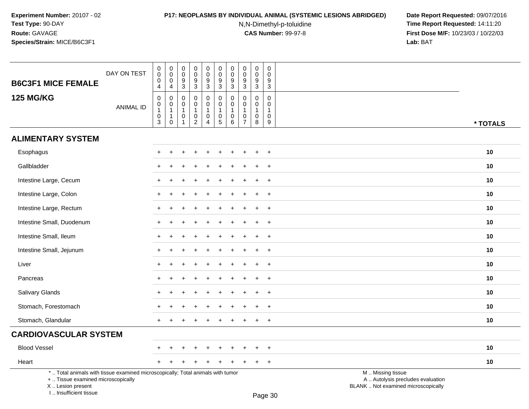I .. Insufficient tissue

# **P17: NEOPLASMS BY INDIVIDUAL ANIMAL (SYSTEMIC LESIONS ABRIDGED) Date Report Requested:** 09/07/2016

N,N-Dimethyl-p-toluidine

| <b>B6C3F1 MICE FEMALE</b>                                                                                                                  | DAY ON TEST      | 0<br>0<br>0<br>4                                   | $\,0\,$<br>$\mathbf 0$<br>0<br>$\overline{4}$                             | $\,0\,$<br>$\mathbf 0$<br>$\frac{9}{3}$                                                | $\pmb{0}$<br>$\mathbf 0$<br>$\frac{9}{3}$                                                          | $\boldsymbol{0}$<br>$\mathbf 0$<br>$\frac{9}{3}$                          | $\pmb{0}$<br>$\mathbf 0$<br>$\frac{9}{3}$                                           | $\pmb{0}$<br>$\mathbf 0$<br>9<br>$\overline{3}$ | $\pmb{0}$<br>$\mathbf 0$<br>$\frac{9}{3}$                        | $\pmb{0}$<br>$\pmb{0}$<br>$\frac{9}{3}$                                      | $\pmb{0}$<br>$\mathbf 0$<br>9<br>$\overline{3}$                |                                                                                               |          |
|--------------------------------------------------------------------------------------------------------------------------------------------|------------------|----------------------------------------------------|---------------------------------------------------------------------------|----------------------------------------------------------------------------------------|----------------------------------------------------------------------------------------------------|---------------------------------------------------------------------------|-------------------------------------------------------------------------------------|-------------------------------------------------|------------------------------------------------------------------|------------------------------------------------------------------------------|----------------------------------------------------------------|-----------------------------------------------------------------------------------------------|----------|
| <b>125 MG/KG</b>                                                                                                                           | <b>ANIMAL ID</b> | $\mathsf 0$<br>0<br>$\mathbf{1}$<br>$\pmb{0}$<br>3 | $\mathbf 0$<br>$\mathbf 0$<br>$\mathbf{1}$<br>$\mathbf{1}$<br>$\mathbf 0$ | $\mathsf{O}\xspace$<br>$\mathbf 0$<br>$\mathbf{1}$<br>$\boldsymbol{0}$<br>$\mathbf{1}$ | $\mathsf 0$<br>$\mathsf{O}\xspace$<br>$\mathbf{1}$<br>$\begin{smallmatrix} 0\\2 \end{smallmatrix}$ | $\mathbf 0$<br>$\mathbf 0$<br>$\mathbf{1}$<br>$\pmb{0}$<br>$\overline{4}$ | $\pmb{0}$<br>$\mathbf 0$<br>$\overline{1}$<br>$\begin{array}{c} 0 \\ 5 \end{array}$ | 0<br>$\mathbf 0$<br>0<br>6                      | $\mathbf 0$<br>$\mathbf 0$<br>1<br>$\mathbf 0$<br>$\overline{7}$ | $\pmb{0}$<br>$\mathsf{O}\xspace$<br>$\mathbf{1}$<br>$\mathsf{O}\xspace$<br>8 | $\mathbf 0$<br>$\mathbf 0$<br>$\mathbf{1}$<br>$\mathbf 0$<br>9 |                                                                                               | * TOTALS |
| <b>ALIMENTARY SYSTEM</b>                                                                                                                   |                  |                                                    |                                                                           |                                                                                        |                                                                                                    |                                                                           |                                                                                     |                                                 |                                                                  |                                                                              |                                                                |                                                                                               |          |
| Esophagus                                                                                                                                  |                  |                                                    |                                                                           |                                                                                        |                                                                                                    |                                                                           |                                                                                     |                                                 |                                                                  |                                                                              | $\ddot{}$                                                      |                                                                                               | 10       |
| Gallbladder                                                                                                                                |                  |                                                    |                                                                           |                                                                                        |                                                                                                    |                                                                           |                                                                                     |                                                 |                                                                  |                                                                              | $\overline{1}$                                                 |                                                                                               | 10       |
| Intestine Large, Cecum                                                                                                                     |                  |                                                    |                                                                           |                                                                                        |                                                                                                    |                                                                           |                                                                                     |                                                 |                                                                  | $\ddot{}$                                                                    | $+$                                                            |                                                                                               | 10       |
| Intestine Large, Colon                                                                                                                     |                  |                                                    |                                                                           |                                                                                        |                                                                                                    |                                                                           |                                                                                     |                                                 |                                                                  |                                                                              | $\ddot{}$                                                      |                                                                                               | 10       |
| Intestine Large, Rectum                                                                                                                    |                  |                                                    |                                                                           |                                                                                        |                                                                                                    |                                                                           |                                                                                     |                                                 |                                                                  |                                                                              | $\overline{+}$                                                 |                                                                                               | 10       |
| Intestine Small, Duodenum                                                                                                                  |                  |                                                    |                                                                           |                                                                                        |                                                                                                    |                                                                           |                                                                                     |                                                 |                                                                  |                                                                              | $\ddot{}$                                                      |                                                                                               | 10       |
| Intestine Small, Ileum                                                                                                                     |                  |                                                    |                                                                           |                                                                                        |                                                                                                    |                                                                           |                                                                                     |                                                 |                                                                  |                                                                              | $^{+}$                                                         |                                                                                               | 10       |
| Intestine Small, Jejunum                                                                                                                   |                  |                                                    |                                                                           |                                                                                        |                                                                                                    |                                                                           |                                                                                     |                                                 |                                                                  | $\ddot{}$                                                                    | $+$                                                            |                                                                                               | 10       |
| Liver                                                                                                                                      |                  |                                                    |                                                                           |                                                                                        |                                                                                                    |                                                                           |                                                                                     |                                                 |                                                                  |                                                                              | $\div$                                                         |                                                                                               | 10       |
| Pancreas                                                                                                                                   |                  |                                                    |                                                                           |                                                                                        |                                                                                                    |                                                                           |                                                                                     |                                                 |                                                                  |                                                                              | $\overline{1}$                                                 |                                                                                               | 10       |
| <b>Salivary Glands</b>                                                                                                                     |                  |                                                    |                                                                           |                                                                                        |                                                                                                    |                                                                           |                                                                                     |                                                 |                                                                  |                                                                              | $\overline{1}$                                                 |                                                                                               | 10       |
| Stomach, Forestomach                                                                                                                       |                  |                                                    |                                                                           |                                                                                        |                                                                                                    |                                                                           |                                                                                     |                                                 |                                                                  |                                                                              | $\div$                                                         |                                                                                               | 10       |
| Stomach, Glandular                                                                                                                         |                  |                                                    |                                                                           |                                                                                        |                                                                                                    |                                                                           |                                                                                     |                                                 |                                                                  |                                                                              | $+$                                                            |                                                                                               | 10       |
| <b>CARDIOVASCULAR SYSTEM</b>                                                                                                               |                  |                                                    |                                                                           |                                                                                        |                                                                                                    |                                                                           |                                                                                     |                                                 |                                                                  |                                                                              |                                                                |                                                                                               |          |
| <b>Blood Vessel</b>                                                                                                                        |                  |                                                    |                                                                           |                                                                                        |                                                                                                    |                                                                           |                                                                                     |                                                 |                                                                  |                                                                              |                                                                |                                                                                               | 10       |
| Heart                                                                                                                                      |                  |                                                    |                                                                           |                                                                                        |                                                                                                    |                                                                           |                                                                                     |                                                 |                                                                  |                                                                              | $\overline{+}$                                                 |                                                                                               | 10       |
| *  Total animals with tissue examined microscopically; Total animals with tumor<br>+  Tissue examined microscopically<br>X  Lesion present |                  |                                                    |                                                                           |                                                                                        |                                                                                                    |                                                                           |                                                                                     |                                                 |                                                                  |                                                                              |                                                                | M  Missing tissue<br>A  Autolysis precludes evaluation<br>BLANK  Not examined microscopically |          |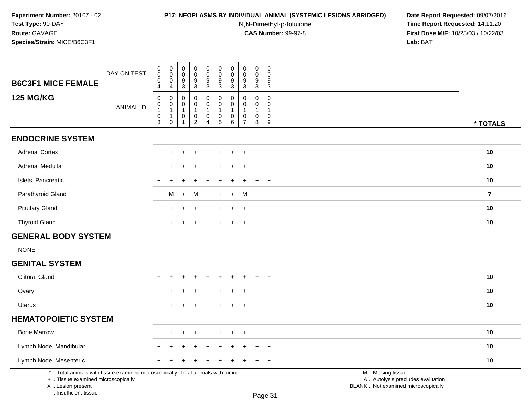# **P17: NEOPLASMS BY INDIVIDUAL ANIMAL (SYSTEMIC LESIONS ABRIDGED) Date Report Requested:** 09/07/2016

N,N-Dimethyl-p-toluidine

| DAY ON TEST<br><b>B6C3F1 MICE FEMALE</b>                                                                                                                            | 0<br>$\pmb{0}$<br>$\boldsymbol{0}$<br>$\overline{4}$                         | 0<br>$\ddot{\mathbf{0}}$<br>$\mathbf 0$<br>$\overline{4}$       | 0<br>$\boldsymbol{0}$<br>$9\,$<br>3                  | 0<br>$\ddot{\mathbf{0}}$<br>9<br>$\mathbf{3}$                               | 0<br>$\ddot{\mathbf{0}}$<br>$9\,$<br>3                   | 0<br>$\overline{0}$<br>$\frac{9}{3}$                              | $\begin{matrix} 0 \\ 0 \end{matrix}$<br>$\boldsymbol{9}$<br>$\overline{3}$ | 0<br>$\mathbf 0$<br>9<br>$\mathbf{3}$                   | 0<br>$\mathbf 0$<br>9<br>$\overline{3}$                      | 0<br>$\boldsymbol{0}$<br>9<br>3                                             |                                                                                               |                |
|---------------------------------------------------------------------------------------------------------------------------------------------------------------------|------------------------------------------------------------------------------|-----------------------------------------------------------------|------------------------------------------------------|-----------------------------------------------------------------------------|----------------------------------------------------------|-------------------------------------------------------------------|----------------------------------------------------------------------------|---------------------------------------------------------|--------------------------------------------------------------|-----------------------------------------------------------------------------|-----------------------------------------------------------------------------------------------|----------------|
| <b>125 MG/KG</b><br><b>ANIMAL ID</b>                                                                                                                                | $\boldsymbol{0}$<br>$\mathbf 0$<br>$\mathbf{1}$<br>$\mathbf 0$<br>$\sqrt{3}$ | 0<br>$\mathbf 0$<br>$\mathbf{1}$<br>$\mathbf{1}$<br>$\mathbf 0$ | 0<br>$\mathbf 0$<br>$\mathbf{1}$<br>$\mathbf 0$<br>1 | $\mathbf 0$<br>$\mathbf 0$<br>$\mathbf{1}$<br>$\mathbf 0$<br>$\overline{c}$ | $\mathsf{O}$<br>0<br>$\mathbf{1}$<br>0<br>$\overline{4}$ | $\pmb{0}$<br>$\pmb{0}$<br>$\mathbf{1}$<br>$\pmb{0}$<br>$\sqrt{5}$ | $\pmb{0}$<br>$\mathbf 0$<br>$\overline{1}$<br>$\pmb{0}$<br>$\,6\,$         | 0<br>$\mathbf 0$<br>-1<br>$\mathbf 0$<br>$\overline{7}$ | $\pmb{0}$<br>$\mathbf 0$<br>$\mathbf{1}$<br>$\mathbf 0$<br>8 | $\pmb{0}$<br>$\mathbf 0$<br>$\mathbf{1}$<br>$\mathbf 0$<br>$\boldsymbol{9}$ |                                                                                               | * TOTALS       |
| <b>ENDOCRINE SYSTEM</b>                                                                                                                                             |                                                                              |                                                                 |                                                      |                                                                             |                                                          |                                                                   |                                                                            |                                                         |                                                              |                                                                             |                                                                                               |                |
| <b>Adrenal Cortex</b>                                                                                                                                               |                                                                              |                                                                 |                                                      |                                                                             |                                                          |                                                                   |                                                                            |                                                         |                                                              | $\ddot{}$                                                                   |                                                                                               | 10             |
| <b>Adrenal Medulla</b>                                                                                                                                              | $\pm$                                                                        |                                                                 |                                                      |                                                                             |                                                          |                                                                   |                                                                            |                                                         |                                                              | $+$                                                                         |                                                                                               | 10             |
| Islets, Pancreatic                                                                                                                                                  | $+$                                                                          |                                                                 |                                                      |                                                                             |                                                          |                                                                   |                                                                            |                                                         |                                                              | $+$                                                                         |                                                                                               | 10             |
| Parathyroid Gland                                                                                                                                                   | $+$                                                                          | M                                                               | $\ddot{}$                                            | M                                                                           | $\ddot{}$                                                | $\ddot{}$                                                         | $\ddot{}$                                                                  | м                                                       | $+$                                                          | $+$                                                                         |                                                                                               | $\overline{7}$ |
| <b>Pituitary Gland</b>                                                                                                                                              |                                                                              |                                                                 |                                                      |                                                                             |                                                          |                                                                   |                                                                            |                                                         |                                                              | $\ddot{}$                                                                   |                                                                                               | 10             |
| <b>Thyroid Gland</b>                                                                                                                                                |                                                                              |                                                                 |                                                      |                                                                             |                                                          |                                                                   |                                                                            |                                                         |                                                              | $+$                                                                         |                                                                                               | 10             |
| <b>GENERAL BODY SYSTEM</b>                                                                                                                                          |                                                                              |                                                                 |                                                      |                                                                             |                                                          |                                                                   |                                                                            |                                                         |                                                              |                                                                             |                                                                                               |                |
| <b>NONE</b>                                                                                                                                                         |                                                                              |                                                                 |                                                      |                                                                             |                                                          |                                                                   |                                                                            |                                                         |                                                              |                                                                             |                                                                                               |                |
| <b>GENITAL SYSTEM</b>                                                                                                                                               |                                                                              |                                                                 |                                                      |                                                                             |                                                          |                                                                   |                                                                            |                                                         |                                                              |                                                                             |                                                                                               |                |
| <b>Clitoral Gland</b>                                                                                                                                               |                                                                              |                                                                 |                                                      |                                                                             |                                                          |                                                                   |                                                                            |                                                         | $\div$                                                       | $+$                                                                         |                                                                                               | 10             |
| Ovary                                                                                                                                                               |                                                                              |                                                                 |                                                      |                                                                             |                                                          |                                                                   |                                                                            |                                                         |                                                              | $+$                                                                         |                                                                                               | 10             |
| <b>Uterus</b>                                                                                                                                                       | $+$                                                                          |                                                                 |                                                      |                                                                             |                                                          |                                                                   |                                                                            |                                                         | $\ddot{}$                                                    | $+$                                                                         |                                                                                               | 10             |
| <b>HEMATOPOIETIC SYSTEM</b>                                                                                                                                         |                                                                              |                                                                 |                                                      |                                                                             |                                                          |                                                                   |                                                                            |                                                         |                                                              |                                                                             |                                                                                               |                |
| <b>Bone Marrow</b>                                                                                                                                                  |                                                                              |                                                                 |                                                      |                                                                             |                                                          |                                                                   |                                                                            |                                                         |                                                              | $\ddot{}$                                                                   |                                                                                               | 10             |
| Lymph Node, Mandibular                                                                                                                                              |                                                                              |                                                                 |                                                      |                                                                             |                                                          |                                                                   |                                                                            |                                                         |                                                              | $\ddot{}$                                                                   |                                                                                               | 10             |
| Lymph Node, Mesenteric                                                                                                                                              |                                                                              |                                                                 |                                                      |                                                                             |                                                          |                                                                   |                                                                            |                                                         |                                                              | $\ddot{}$                                                                   |                                                                                               | 10             |
| *  Total animals with tissue examined microscopically; Total animals with tumor<br>+  Tissue examined microscopically<br>X  Lesion present<br>I Insufficient tissue |                                                                              |                                                                 |                                                      |                                                                             |                                                          |                                                                   |                                                                            |                                                         |                                                              | Page 31                                                                     | M  Missing tissue<br>A  Autolysis precludes evaluation<br>BLANK  Not examined microscopically |                |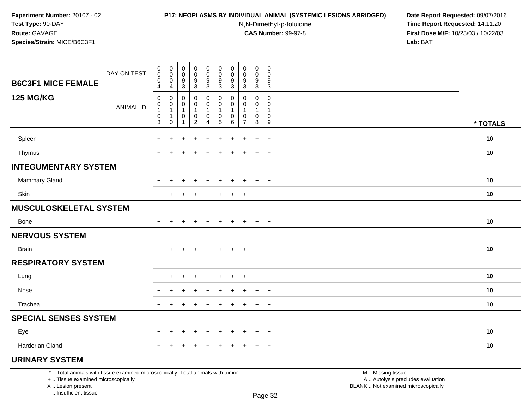### **P17: NEOPLASMS BY INDIVIDUAL ANIMAL (SYSTEMIC LESIONS ABRIDGED) Date Report Requested:** 09/07/2016

N,N-Dimethyl-p-toluidine

 **Time Report Requested:** 14:11:20 **First Dose M/F:** 10/23/03 / 10/22/03<br>**Lab:** BAT **Lab:** BAT

| <b>B6C3F1 MICE FEMALE</b>                                                       | DAY ON TEST      | $\mathbf 0$<br>0<br>0           | $\pmb{0}$<br>0<br>0         | $\boldsymbol{0}$<br>$\pmb{0}$<br>9 | 0<br>$\mathbf 0$<br>9       | $\mathbf 0$<br>0<br>9 | $\pmb{0}$<br>$\mathbf 0$<br>9 | $\pmb{0}$<br>0<br>9       | $\pmb{0}$<br>$\pmb{0}$<br>$9\,$ | $\pmb{0}$<br>0<br>9 | $\mathbf 0$<br>0<br>9  |                   |          |
|---------------------------------------------------------------------------------|------------------|---------------------------------|-----------------------------|------------------------------------|-----------------------------|-----------------------|-------------------------------|---------------------------|---------------------------------|---------------------|------------------------|-------------------|----------|
|                                                                                 |                  | 4                               | 4                           | $\sqrt{3}$                         | $\ensuremath{\mathsf{3}}$   | 3                     | $\sqrt{3}$                    | $\ensuremath{\mathsf{3}}$ | $\ensuremath{\mathsf{3}}$       | $\sqrt{3}$          | $\sqrt{3}$             |                   |          |
| <b>125 MG/KG</b>                                                                | <b>ANIMAL ID</b> | $\mathbf 0$<br>0<br>$\mathbf 1$ | 0<br>0                      | 0<br>0<br>-1                       | 0<br>$\mathbf 0$<br>1       | 0<br>0<br>1           | 0<br>0<br>1                   | 0<br>$\mathbf{1}$         | 0<br>0                          | 0<br>0<br>1         | 0<br>0<br>$\mathbf{1}$ |                   |          |
|                                                                                 |                  | 0<br>3                          | $\mathbf{1}$<br>$\mathbf 0$ | 0<br>1                             | $\pmb{0}$<br>$\overline{2}$ | 0<br>$\overline{4}$   | $\pmb{0}$<br>$\sqrt{5}$       | 0<br>$\,6\,$              | $\pmb{0}$<br>$\overline{7}$     | 0<br>8              | 0<br>9                 |                   | * TOTALS |
| Spleen                                                                          |                  | $\ddot{}$                       | $\ddot{}$                   | $\ddot{}$                          | $\ddot{}$                   | $\ddot{}$             | $\ddot{}$                     | $\ddot{}$                 | $\overline{ }$                  | $\ddot{}$           | $+$                    |                   | 10       |
| Thymus                                                                          |                  | $\ddot{}$                       | ÷                           |                                    | +                           |                       | $\ddot{}$                     | $\div$                    | $\,$                            | $+$                 | $+$                    |                   | 10       |
| <b>INTEGUMENTARY SYSTEM</b>                                                     |                  |                                 |                             |                                    |                             |                       |                               |                           |                                 |                     |                        |                   |          |
| <b>Mammary Gland</b>                                                            |                  | +                               |                             |                                    | ٠                           |                       |                               |                           |                                 | +                   | $+$                    |                   | 10       |
| Skin                                                                            |                  | $\ddot{}$                       | ÷                           |                                    |                             |                       |                               |                           | ٠                               | $\ddot{}$           | $^{+}$                 |                   | 10       |
| <b>MUSCULOSKELETAL SYSTEM</b>                                                   |                  |                                 |                             |                                    |                             |                       |                               |                           |                                 |                     |                        |                   |          |
| Bone                                                                            |                  | $+$                             |                             |                                    |                             |                       |                               |                           |                                 | $+$                 | $+$                    |                   | 10       |
| <b>NERVOUS SYSTEM</b>                                                           |                  |                                 |                             |                                    |                             |                       |                               |                           |                                 |                     |                        |                   |          |
| <b>Brain</b>                                                                    |                  | $+$                             | $+$                         | $+$                                | $+$                         | $\ddot{}$             | $+$                           | $+$                       | $+$                             | $+$                 | $+$                    |                   | 10       |
| <b>RESPIRATORY SYSTEM</b>                                                       |                  |                                 |                             |                                    |                             |                       |                               |                           |                                 |                     |                        |                   |          |
| Lung                                                                            |                  | ÷                               |                             |                                    |                             |                       |                               |                           |                                 | $\div$              | $\overline{+}$         |                   | 10       |
| Nose                                                                            |                  | $\ddot{}$                       | $\pm$                       |                                    | $\div$                      |                       |                               |                           | $\overline{ }$                  | $\pm$               | $+$                    |                   | 10       |
| Trachea                                                                         |                  | $+$                             | $\ddot{}$                   | $\pm$                              | $\ddot{}$                   | $\ddot{}$             | $\ddot{}$                     | $\ddot{}$                 | $\overline{+}$                  | $+$                 | $+$                    |                   | 10       |
| <b>SPECIAL SENSES SYSTEM</b>                                                    |                  |                                 |                             |                                    |                             |                       |                               |                           |                                 |                     |                        |                   |          |
| Eye                                                                             |                  | $\pm$                           | $\pm$                       |                                    | $\pm$                       | $\div$                | $\pm$                         | ÷                         | $\pm$                           | $+$                 | $+$                    |                   | 10       |
| Harderian Gland                                                                 |                  | $+$                             | $\ddot{}$                   | $\ddot{}$                          | $+$                         | $\ddot{}$             | $\ddot{}$                     | $+$                       | $+$                             | $+$                 | $+$                    |                   | 10       |
| <b>URINARY SYSTEM</b>                                                           |                  |                                 |                             |                                    |                             |                       |                               |                           |                                 |                     |                        |                   |          |
| *  Total animals with tissue examined microscopically; Total animals with tumor |                  |                                 |                             |                                    |                             |                       |                               |                           |                                 |                     |                        | M  Missing tissue |          |

+ .. Tissue examined microscopically

 Lesion present BLANK .. Not examined microscopicallyX .. Lesion present

I .. Insufficient tissue

 M .. Missing tissuey the contract of the contract of the contract of the contract of the contract of  $\mathsf A$  . Autolysis precludes evaluation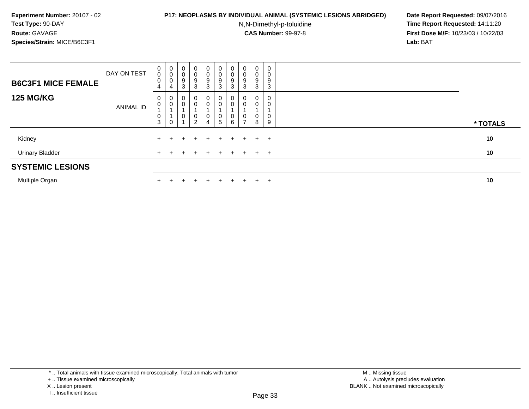### **P17: NEOPLASMS BY INDIVIDUAL ANIMAL (SYSTEMIC LESIONS ABRIDGED) Date Report Requested:** 09/07/2016

N,N-Dimethyl-p-toluidine

 **Time Report Requested:** 14:11:20 **First Dose M/F:** 10/23/03 / 10/22/03<br>**Lab:** BAT **Lab:** BAT

| <b>B6C3F1 MICE FEMALE</b> | DAY ON TEST | $\begin{matrix} 0 \\ 0 \end{matrix}$<br>0<br>4 | $\begin{matrix} 0 \\ 0 \end{matrix}$<br>$\mathbf 0$<br>4 | $\begin{matrix}0\\0\\9\\3\end{matrix}$        | $\mathbf{0}$<br>0<br>9<br>3              | 0<br>0<br>9<br>3           | $_0^0$<br>$\boldsymbol{9}$<br>$\mathbf{3}$ | $\begin{matrix} 0 \\ 0 \end{matrix}$<br>9<br>$\mathbf{3}$ | $\begin{matrix} 0 \\ 0 \end{matrix}$<br>9<br>3 | $\mathbf{0}$<br>0<br>9<br>3 | 0<br>0<br>9<br>3 |          |
|---------------------------|-------------|------------------------------------------------|----------------------------------------------------------|-----------------------------------------------|------------------------------------------|----------------------------|--------------------------------------------|-----------------------------------------------------------|------------------------------------------------|-----------------------------|------------------|----------|
| <b>125 MG/KG</b>          | ANIMAL ID   | 0<br>0<br>0<br>$\mathbf{3}$                    | 0<br>$\mathbf 0$<br>$\mathbf 0$                          | 0<br>$\pmb{0}$<br>$\pmb{0}$<br>$\overline{ }$ | $\mathbf{0}$<br>0<br>0<br>$\overline{a}$ | 0<br>0<br>$\mathbf 0$<br>4 | 0<br>0<br>0<br>$\sqrt{5}$                  | 0<br>$\pmb{0}$<br>$\pmb{0}$<br>$\,6\,$                    | $\theta$<br>0<br>0<br>$\overline{ }$           | $\mathbf 0$<br>0<br>0<br>8  | 0<br>9           | * TOTALS |
| Kidney                    |             | $\pm$                                          |                                                          | $+$                                           | $\pm$                                    | $+$                        | $+$                                        | $+$ $-$                                                   |                                                | $+$ $+$ $+$                 |                  | 10       |
| <b>Urinary Bladder</b>    |             | $+$                                            |                                                          | ÷.                                            | $\div$                                   | $+$                        | $+$                                        | $+$                                                       | $+$                                            | $+$                         | $+$              | 10       |
| <b>SYSTEMIC LESIONS</b>   |             |                                                |                                                          |                                               |                                          |                            |                                            |                                                           |                                                |                             |                  |          |
| Multiple Organ            |             | $+$                                            | $\pm$                                                    | $\pm$                                         | $\pm$                                    | $+$                        | $+$                                        | $+$                                                       | $+$                                            | $\div$                      | $+$              | 10       |

\* .. Total animals with tissue examined microscopically; Total animals with tumor

n  $+$ 

X .. Lesion present

<sup>+ ..</sup> Tissue examined microscopically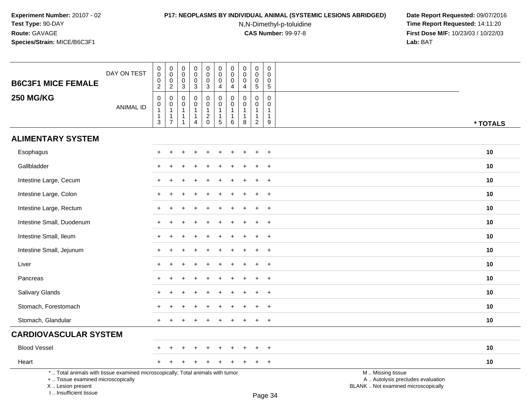I .. Insufficient tissue

# **P17: NEOPLASMS BY INDIVIDUAL ANIMAL (SYSTEMIC LESIONS ABRIDGED) Date Report Requested:** 09/07/2016

N,N-Dimethyl-p-toluidine

| <b>B6C3F1 MICE FEMALE</b>                                                                                                                  | DAY ON TEST      | 0<br>$\mathbf 0$<br>$_2^0$                                         | $_{\rm 0}^{\rm 0}$<br>$\pmb{0}$                                                   | $\pmb{0}$<br>$\mathbf 0$<br>0                                                                               | $\pmb{0}$<br>$\mathbf 0$<br>$\mathbf 0$                                                      | $\pmb{0}$<br>$\mathsf{O}\xspace$<br>$\mathbf 0$                     | $\pmb{0}$<br>$\mathsf{O}\xspace$<br>$\mathbf 0$                                                   | $\pmb{0}$<br>$\mathbf 0$<br>0                                        | $\pmb{0}$<br>$\mathsf{O}\xspace$<br>0                            | $\pmb{0}$<br>$\pmb{0}$<br>$\mathbf 0$                                             | $\pmb{0}$<br>$\mathbf 0$<br>0                                                                     |                                                                                               |          |
|--------------------------------------------------------------------------------------------------------------------------------------------|------------------|--------------------------------------------------------------------|-----------------------------------------------------------------------------------|-------------------------------------------------------------------------------------------------------------|----------------------------------------------------------------------------------------------|---------------------------------------------------------------------|---------------------------------------------------------------------------------------------------|----------------------------------------------------------------------|------------------------------------------------------------------|-----------------------------------------------------------------------------------|---------------------------------------------------------------------------------------------------|-----------------------------------------------------------------------------------------------|----------|
| <b>250 MG/KG</b>                                                                                                                           | <b>ANIMAL ID</b> | $\pmb{0}$<br>$\boldsymbol{0}$<br>$\mathbf{1}$<br>$\mathbf{1}$<br>3 | $\overline{2}$<br>0<br>$\pmb{0}$<br>$\mathbf{1}$<br>$\mathbf 1$<br>$\overline{7}$ | $\overline{3}$<br>$\mathbf 0$<br>$\mathbf 0$<br>$\overline{1}$<br>$\overline{\mathbf{1}}$<br>$\overline{1}$ | $\overline{3}$<br>$\pmb{0}$<br>$\mathbf 0$<br>$\mathbf{1}$<br>$\mathbf{1}$<br>$\overline{4}$ | $\overline{3}$<br>0<br>$\mathbf 0$<br>$\mathbf{1}$<br>$\frac{2}{0}$ | $\overline{4}$<br>$\pmb{0}$<br>$\pmb{0}$<br>$\mathbf{1}$<br>$\begin{array}{c} 1 \\ 5 \end{array}$ | 4<br>$\mathbf 0$<br>$\mathbf 0$<br>$\mathbf{1}$<br>$\mathbf{1}$<br>6 | $\overline{4}$<br>$\Omega$<br>$\Omega$<br>-1<br>$\mathbf 1$<br>8 | $\overline{5}$<br>$\mathbf 0$<br>$\mathbf 0$<br>$\mathbf{1}$<br>$\mathbf{1}$<br>2 | $\sqrt{5}$<br>$\mathbf 0$<br>$\mathbf{0}$<br>$\overline{1}$<br>$\overline{1}$<br>$\boldsymbol{9}$ |                                                                                               | * TOTALS |
| <b>ALIMENTARY SYSTEM</b>                                                                                                                   |                  |                                                                    |                                                                                   |                                                                                                             |                                                                                              |                                                                     |                                                                                                   |                                                                      |                                                                  |                                                                                   |                                                                                                   |                                                                                               |          |
| Esophagus                                                                                                                                  |                  |                                                                    |                                                                                   |                                                                                                             |                                                                                              |                                                                     |                                                                                                   |                                                                      |                                                                  |                                                                                   | $\ddot{}$                                                                                         |                                                                                               | 10       |
| Gallbladder                                                                                                                                |                  |                                                                    |                                                                                   |                                                                                                             |                                                                                              |                                                                     |                                                                                                   |                                                                      |                                                                  |                                                                                   | $\overline{+}$                                                                                    |                                                                                               | 10       |
| Intestine Large, Cecum                                                                                                                     |                  | $\div$                                                             |                                                                                   |                                                                                                             |                                                                                              |                                                                     |                                                                                                   |                                                                      |                                                                  |                                                                                   | $+$                                                                                               |                                                                                               | 10       |
| Intestine Large, Colon                                                                                                                     |                  |                                                                    |                                                                                   |                                                                                                             |                                                                                              |                                                                     |                                                                                                   |                                                                      |                                                                  |                                                                                   | $\overline{ }$                                                                                    |                                                                                               | 10       |
| Intestine Large, Rectum                                                                                                                    |                  |                                                                    |                                                                                   |                                                                                                             |                                                                                              |                                                                     |                                                                                                   |                                                                      |                                                                  |                                                                                   | $\overline{ }$                                                                                    |                                                                                               | 10       |
| Intestine Small, Duodenum                                                                                                                  |                  |                                                                    |                                                                                   |                                                                                                             |                                                                                              |                                                                     |                                                                                                   |                                                                      |                                                                  |                                                                                   | $\overline{ }$                                                                                    |                                                                                               | 10       |
| Intestine Small, Ileum                                                                                                                     |                  | $+$                                                                |                                                                                   |                                                                                                             |                                                                                              |                                                                     |                                                                                                   |                                                                      |                                                                  |                                                                                   | $+$                                                                                               |                                                                                               | 10       |
| Intestine Small, Jejunum                                                                                                                   |                  |                                                                    |                                                                                   |                                                                                                             |                                                                                              |                                                                     |                                                                                                   |                                                                      |                                                                  |                                                                                   | $+$                                                                                               |                                                                                               | 10       |
| Liver                                                                                                                                      |                  |                                                                    |                                                                                   |                                                                                                             |                                                                                              |                                                                     |                                                                                                   |                                                                      |                                                                  |                                                                                   | $\ddot{}$                                                                                         |                                                                                               | 10       |
| Pancreas                                                                                                                                   |                  |                                                                    |                                                                                   |                                                                                                             |                                                                                              |                                                                     |                                                                                                   |                                                                      |                                                                  |                                                                                   | $\ddot{}$                                                                                         |                                                                                               | 10       |
| Salivary Glands                                                                                                                            |                  | $\div$                                                             |                                                                                   |                                                                                                             |                                                                                              |                                                                     |                                                                                                   |                                                                      |                                                                  |                                                                                   | $+$                                                                                               |                                                                                               | 10       |
| Stomach, Forestomach                                                                                                                       |                  |                                                                    |                                                                                   |                                                                                                             |                                                                                              |                                                                     |                                                                                                   |                                                                      |                                                                  |                                                                                   | $\overline{+}$                                                                                    |                                                                                               | 10       |
| Stomach, Glandular                                                                                                                         |                  | $+$                                                                |                                                                                   |                                                                                                             |                                                                                              |                                                                     |                                                                                                   |                                                                      |                                                                  | $\ddot{}$                                                                         | $+$                                                                                               |                                                                                               | 10       |
| <b>CARDIOVASCULAR SYSTEM</b>                                                                                                               |                  |                                                                    |                                                                                   |                                                                                                             |                                                                                              |                                                                     |                                                                                                   |                                                                      |                                                                  |                                                                                   |                                                                                                   |                                                                                               |          |
| <b>Blood Vessel</b>                                                                                                                        |                  |                                                                    |                                                                                   |                                                                                                             |                                                                                              |                                                                     |                                                                                                   |                                                                      |                                                                  |                                                                                   | $\overline{1}$                                                                                    |                                                                                               | 10       |
| Heart                                                                                                                                      |                  |                                                                    |                                                                                   |                                                                                                             |                                                                                              |                                                                     |                                                                                                   |                                                                      |                                                                  |                                                                                   | $+$                                                                                               |                                                                                               | 10       |
| *  Total animals with tissue examined microscopically; Total animals with tumor<br>+  Tissue examined microscopically<br>X  Lesion present |                  |                                                                    |                                                                                   |                                                                                                             |                                                                                              |                                                                     |                                                                                                   |                                                                      |                                                                  |                                                                                   |                                                                                                   | M  Missing tissue<br>A  Autolysis precludes evaluation<br>BLANK  Not examined microscopically |          |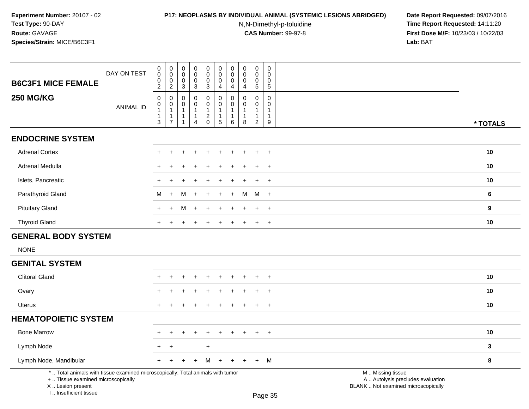# **P17: NEOPLASMS BY INDIVIDUAL ANIMAL (SYSTEMIC LESIONS ABRIDGED) Date Report Requested:** 09/07/2016

N,N-Dimethyl-p-toluidine

| DAY ON TEST<br><b>B6C3F1 MICE FEMALE</b>                                                                                                                            | 0<br>$\pmb{0}$<br>$\boldsymbol{0}$<br>$\overline{c}$               | 0<br>$\ddot{\mathbf{0}}$<br>$\boldsymbol{0}$<br>$\overline{2}$               | 0<br>$\mathsf 0$<br>0<br>$\sqrt{3}$           | 0<br>$\pmb{0}$<br>0<br>3                                                  | 0<br>$\overline{0}$<br>$\mathbf 0$<br>3                         | 0<br>$\mathbf 0$<br>0<br>$\overline{4}$                        | 0<br>$\overline{0}$<br>0<br>$\overline{4}$                    | 0<br>$\mathbf 0$<br>$\mathbf 0$<br>4           | 0<br>$\mathbf 0$<br>$\mathbf 0$<br>$\sqrt{5}$                               | 0<br>0<br>$\mathbf 0$<br>$\,$ 5 $\,$     |                                                                                               |              |
|---------------------------------------------------------------------------------------------------------------------------------------------------------------------|--------------------------------------------------------------------|------------------------------------------------------------------------------|-----------------------------------------------|---------------------------------------------------------------------------|-----------------------------------------------------------------|----------------------------------------------------------------|---------------------------------------------------------------|------------------------------------------------|-----------------------------------------------------------------------------|------------------------------------------|-----------------------------------------------------------------------------------------------|--------------|
| <b>250 MG/KG</b><br><b>ANIMAL ID</b>                                                                                                                                | 0<br>0<br>$\mathbf{1}$<br>$\mathbf 1$<br>$\ensuremath{\mathsf{3}}$ | $\mathbf 0$<br>$\pmb{0}$<br>$\mathbf{1}$<br>$\overline{1}$<br>$\overline{7}$ | 0<br>0<br>$\mathbf{1}$<br>$\overline{1}$<br>1 | $\mathbf 0$<br>$\Omega$<br>$\mathbf{1}$<br>$\mathbf{1}$<br>$\overline{4}$ | 0<br>$\mathbf 0$<br>1<br>$\overline{\mathbf{c}}$<br>$\mathsf 0$ | 0<br>$\mathbf 0$<br>$\mathbf{1}$<br>$\mathbf{1}$<br>$\sqrt{5}$ | $\pmb{0}$<br>$\mathbf 0$<br>$\mathbf{1}$<br>$\mathbf{1}$<br>6 | $\mathbf 0$<br>$\Omega$<br>$\overline{1}$<br>8 | $\mathbf 0$<br>$\Omega$<br>$\mathbf{1}$<br>$\overline{1}$<br>$\overline{2}$ | 0<br>$\Omega$<br>-1<br>$\mathbf{1}$<br>9 |                                                                                               | * TOTALS     |
| <b>ENDOCRINE SYSTEM</b>                                                                                                                                             |                                                                    |                                                                              |                                               |                                                                           |                                                                 |                                                                |                                                               |                                                |                                                                             |                                          |                                                                                               |              |
| <b>Adrenal Cortex</b>                                                                                                                                               |                                                                    |                                                                              |                                               |                                                                           |                                                                 |                                                                |                                                               |                                                |                                                                             | $\ddot{}$                                |                                                                                               | 10           |
| Adrenal Medulla                                                                                                                                                     |                                                                    |                                                                              |                                               |                                                                           |                                                                 |                                                                |                                                               |                                                |                                                                             | $\overline{ }$                           |                                                                                               | 10           |
| Islets, Pancreatic                                                                                                                                                  | $+$                                                                |                                                                              |                                               |                                                                           |                                                                 |                                                                |                                                               |                                                |                                                                             | $+$                                      |                                                                                               | 10           |
| Parathyroid Gland                                                                                                                                                   | M                                                                  | $+$                                                                          | M                                             |                                                                           | $\ddot{}$                                                       | $\ddot{}$                                                      | $\ddot{}$                                                     | м                                              | M                                                                           | $+$                                      |                                                                                               | 6            |
| <b>Pituitary Gland</b>                                                                                                                                              | $+$                                                                |                                                                              | м                                             |                                                                           |                                                                 |                                                                |                                                               |                                                |                                                                             | $+$                                      |                                                                                               | 9            |
| <b>Thyroid Gland</b>                                                                                                                                                | $+$                                                                |                                                                              | ÷                                             |                                                                           |                                                                 |                                                                | $\div$                                                        |                                                | $\ddot{}$                                                                   | $+$                                      |                                                                                               | 10           |
| <b>GENERAL BODY SYSTEM</b>                                                                                                                                          |                                                                    |                                                                              |                                               |                                                                           |                                                                 |                                                                |                                                               |                                                |                                                                             |                                          |                                                                                               |              |
| <b>NONE</b>                                                                                                                                                         |                                                                    |                                                                              |                                               |                                                                           |                                                                 |                                                                |                                                               |                                                |                                                                             |                                          |                                                                                               |              |
| <b>GENITAL SYSTEM</b>                                                                                                                                               |                                                                    |                                                                              |                                               |                                                                           |                                                                 |                                                                |                                                               |                                                |                                                                             |                                          |                                                                                               |              |
| <b>Clitoral Gland</b>                                                                                                                                               |                                                                    |                                                                              |                                               |                                                                           |                                                                 |                                                                |                                                               |                                                |                                                                             | $\ddot{}$                                |                                                                                               | 10           |
| Ovary                                                                                                                                                               | $+$                                                                |                                                                              |                                               |                                                                           |                                                                 |                                                                |                                                               |                                                | $\div$                                                                      | $+$                                      |                                                                                               | 10           |
| Uterus                                                                                                                                                              | $+$                                                                | $\div$                                                                       |                                               |                                                                           |                                                                 | $\div$                                                         | $\pm$                                                         | $\pm$                                          | $\pm$                                                                       | $+$                                      |                                                                                               | 10           |
| <b>HEMATOPOIETIC SYSTEM</b>                                                                                                                                         |                                                                    |                                                                              |                                               |                                                                           |                                                                 |                                                                |                                                               |                                                |                                                                             |                                          |                                                                                               |              |
| <b>Bone Marrow</b>                                                                                                                                                  | $\pm$                                                              |                                                                              |                                               |                                                                           | ÷.                                                              |                                                                |                                                               |                                                | ÷                                                                           | $+$                                      |                                                                                               | 10           |
| Lymph Node                                                                                                                                                          | $+$                                                                | $\overline{+}$                                                               |                                               |                                                                           | $\ddot{}$                                                       |                                                                |                                                               |                                                |                                                                             |                                          |                                                                                               | $\mathbf{3}$ |
| Lymph Node, Mandibular                                                                                                                                              |                                                                    |                                                                              |                                               |                                                                           | M                                                               |                                                                |                                                               |                                                | $+$                                                                         | M                                        |                                                                                               | 8            |
| *  Total animals with tissue examined microscopically; Total animals with tumor<br>+  Tissue examined microscopically<br>X  Lesion present<br>I Insufficient tissue |                                                                    |                                                                              |                                               |                                                                           |                                                                 |                                                                |                                                               |                                                |                                                                             | Page 35                                  | M  Missing tissue<br>A  Autolysis precludes evaluation<br>BLANK  Not examined microscopically |              |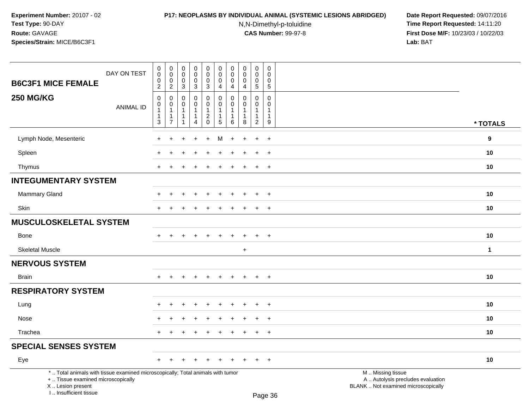#### **P17: NEOPLASMS BY INDIVIDUAL ANIMAL (SYSTEMIC LESIONS ABRIDGED) Date Report Requested:** 09/07/2016

N,N-Dimethyl-p-toluidine

| <b>B6C3F1 MICE FEMALE</b>                                                                                                                                           | DAY ON TEST      | $\begin{smallmatrix}0\\0\end{smallmatrix}$<br>$\mathbf 0$<br>$\overline{2}$ | $\pmb{0}$<br>$\mathbf 0$<br>$\mathbf 0$<br>$\overline{2}$                      | $\mathsf{O}\xspace$<br>$\mathbf 0$<br>$\mathsf{O}\xspace$<br>$\mathbf{3}$ | $\begin{smallmatrix} 0\\0 \end{smallmatrix}$<br>$\mathsf{O}\xspace$<br>3 | $\begin{smallmatrix}0\\0\end{smallmatrix}$<br>$\mathsf{O}\xspace$<br>$\overline{3}$ | $\pmb{0}$<br>$\pmb{0}$<br>$\pmb{0}$<br>$\overline{4}$                | $\pmb{0}$<br>$\mathbf 0$<br>0<br>$\overline{4}$                      | $\pmb{0}$<br>$\mathbf 0$<br>$\mathbf 0$<br>$\overline{4}$       | $\mathbf 0$<br>$\mathbf 0$<br>$\mathbf 0$<br>$\overline{5}$    | $\pmb{0}$<br>$\mathbf 0$<br>$\mathsf{O}\xspace$<br>$\overline{5}$              |                                                                                               |             |
|---------------------------------------------------------------------------------------------------------------------------------------------------------------------|------------------|-----------------------------------------------------------------------------|--------------------------------------------------------------------------------|---------------------------------------------------------------------------|--------------------------------------------------------------------------|-------------------------------------------------------------------------------------|----------------------------------------------------------------------|----------------------------------------------------------------------|-----------------------------------------------------------------|----------------------------------------------------------------|--------------------------------------------------------------------------------|-----------------------------------------------------------------------------------------------|-------------|
| <b>250 MG/KG</b>                                                                                                                                                    | <b>ANIMAL ID</b> | $\pmb{0}$<br>$\,0\,$<br>$\mathbf{1}$<br>1<br>$\sqrt{3}$                     | $\mathbf 0$<br>$\pmb{0}$<br>$\overline{1}$<br>$\overline{1}$<br>$\overline{7}$ | $\pmb{0}$<br>$\mathsf 0$<br>$\mathbf{1}$<br>$\mathbf{1}$<br>$\mathbf{1}$  | 0<br>$\mathbf 0$<br>$\mathbf{1}$<br>$\mathbf{1}$<br>$\overline{4}$       | $\pmb{0}$<br>$\pmb{0}$<br>$\begin{array}{c} 1 \\ 2 \\ 0 \end{array}$                | $\pmb{0}$<br>$\pmb{0}$<br>$\mathbf{1}$<br>$\mathbf{1}$<br>$\sqrt{5}$ | $\mathbf 0$<br>$\mathbf{0}$<br>$\overline{1}$<br>$\overline{1}$<br>6 | $\mathbf 0$<br>$\mathbf 0$<br>$\mathbf{1}$<br>$\mathbf{1}$<br>8 | 0<br>$\mathbf 0$<br>$\mathbf{1}$<br>$\mathbf{1}$<br>$\sqrt{2}$ | $\mathbf 0$<br>$\mathbf 0$<br>$\mathbf{1}$<br>$\mathbf{1}$<br>$\boldsymbol{9}$ |                                                                                               | * TOTALS    |
| Lymph Node, Mesenteric                                                                                                                                              |                  | $\ddot{}$                                                                   | $\ddot{}$                                                                      | ÷                                                                         | $\ddot{}$                                                                | $\ddot{}$                                                                           | M                                                                    | $\ddot{}$                                                            | $\ddot{}$                                                       | $\ddot{}$                                                      | $+$                                                                            |                                                                                               | 9           |
| Spleen                                                                                                                                                              |                  |                                                                             |                                                                                |                                                                           |                                                                          |                                                                                     |                                                                      |                                                                      |                                                                 |                                                                | $\overline{+}$                                                                 |                                                                                               | 10          |
| Thymus                                                                                                                                                              |                  | $\ddot{}$                                                                   |                                                                                |                                                                           |                                                                          |                                                                                     |                                                                      |                                                                      |                                                                 | $\ddot{}$                                                      | $\ddot{}$                                                                      |                                                                                               | 10          |
| <b>INTEGUMENTARY SYSTEM</b>                                                                                                                                         |                  |                                                                             |                                                                                |                                                                           |                                                                          |                                                                                     |                                                                      |                                                                      |                                                                 |                                                                |                                                                                |                                                                                               |             |
| <b>Mammary Gland</b>                                                                                                                                                |                  |                                                                             |                                                                                |                                                                           |                                                                          |                                                                                     |                                                                      |                                                                      |                                                                 |                                                                | $\overline{+}$                                                                 |                                                                                               | 10          |
| <b>Skin</b>                                                                                                                                                         |                  | $\ddot{}$                                                                   |                                                                                |                                                                           |                                                                          |                                                                                     |                                                                      |                                                                      |                                                                 | ÷                                                              | $\ddot{}$                                                                      |                                                                                               | 10          |
| <b>MUSCULOSKELETAL SYSTEM</b>                                                                                                                                       |                  |                                                                             |                                                                                |                                                                           |                                                                          |                                                                                     |                                                                      |                                                                      |                                                                 |                                                                |                                                                                |                                                                                               |             |
| <b>Bone</b>                                                                                                                                                         |                  | ÷                                                                           | +                                                                              |                                                                           |                                                                          |                                                                                     |                                                                      |                                                                      |                                                                 |                                                                | $\pm$                                                                          |                                                                                               | 10          |
| <b>Skeletal Muscle</b>                                                                                                                                              |                  |                                                                             |                                                                                |                                                                           |                                                                          |                                                                                     |                                                                      |                                                                      | $\ddot{}$                                                       |                                                                |                                                                                |                                                                                               | $\mathbf 1$ |
| <b>NERVOUS SYSTEM</b>                                                                                                                                               |                  |                                                                             |                                                                                |                                                                           |                                                                          |                                                                                     |                                                                      |                                                                      |                                                                 |                                                                |                                                                                |                                                                                               |             |
| <b>Brain</b>                                                                                                                                                        |                  | $+$                                                                         | $\ddot{}$                                                                      | $\pm$                                                                     | $\ddot{}$                                                                | $\ddot{}$                                                                           | $\ddot{}$                                                            | $\ddot{}$                                                            | $+$                                                             | $+$                                                            | $+$                                                                            |                                                                                               | 10          |
| <b>RESPIRATORY SYSTEM</b>                                                                                                                                           |                  |                                                                             |                                                                                |                                                                           |                                                                          |                                                                                     |                                                                      |                                                                      |                                                                 |                                                                |                                                                                |                                                                                               |             |
| Lung                                                                                                                                                                |                  | $\ddot{}$                                                                   | +                                                                              |                                                                           |                                                                          |                                                                                     |                                                                      |                                                                      |                                                                 | $\ddot{}$                                                      | $+$                                                                            |                                                                                               | 10          |
| Nose                                                                                                                                                                |                  |                                                                             |                                                                                |                                                                           |                                                                          |                                                                                     |                                                                      |                                                                      |                                                                 | ÷                                                              | $\overline{+}$                                                                 |                                                                                               | 10          |
| Trachea                                                                                                                                                             |                  | $\pm$                                                                       |                                                                                |                                                                           |                                                                          |                                                                                     |                                                                      |                                                                      |                                                                 | $\ddot{}$                                                      | $^{+}$                                                                         |                                                                                               | 10          |
| <b>SPECIAL SENSES SYSTEM</b>                                                                                                                                        |                  |                                                                             |                                                                                |                                                                           |                                                                          |                                                                                     |                                                                      |                                                                      |                                                                 |                                                                |                                                                                |                                                                                               |             |
| Eye                                                                                                                                                                 |                  |                                                                             |                                                                                |                                                                           |                                                                          |                                                                                     |                                                                      |                                                                      |                                                                 |                                                                | $\ddot{}$                                                                      |                                                                                               | 10          |
| *  Total animals with tissue examined microscopically; Total animals with tumor<br>+  Tissue examined microscopically<br>X  Lesion present<br>I Insufficient tissue |                  |                                                                             |                                                                                |                                                                           |                                                                          |                                                                                     |                                                                      |                                                                      |                                                                 |                                                                | Page 36                                                                        | M  Missing tissue<br>A  Autolysis precludes evaluation<br>BLANK  Not examined microscopically |             |